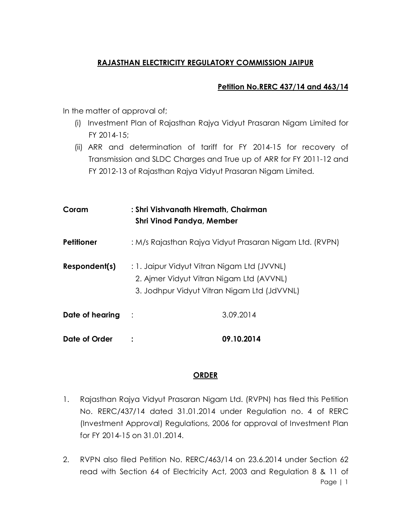## **RAJASTHAN ELECTRICITY REGULATORY COMMISSION JAIPUR**

### **Petition No.RERC 437/14 and 463/14**

In the matter of approval of;

- (i) Investment Plan of Rajasthan Rajya Vidyut Prasaran Nigam Limited for FY 2014-15;
- (ii) ARR and determination of tariff for FY 2014-15 for recovery of Transmission and SLDC Charges and True up of ARR for FY 2011-12 and FY 2012-13 of Rajasthan Rajya Vidyut Prasaran Nigam Limited.

| Coram             | : Shri Vishvanath Hiremath, Chairman<br>Shri Vinod Pandya, Member                                                                      |            |
|-------------------|----------------------------------------------------------------------------------------------------------------------------------------|------------|
| <b>Petitioner</b> | : M/s Rajasthan Rajya Vidyut Prasaran Nigam Ltd. (RVPN)                                                                                |            |
| Respondent(s)     | : 1. Jaipur Vidyut Vitran Nigam Ltd (JVVNL)<br>2. Ajmer Vidyut Vitran Nigam Ltd (AVVNL)<br>3. Jodhpur Vidyut Vitran Nigam Ltd (JdVVNL) |            |
| Date of hearing   |                                                                                                                                        | 3.09.2014  |
| Date of Order     |                                                                                                                                        | 09.10.2014 |

## **ORDER**

- 1. Rajasthan Rajya Vidyut Prasaran Nigam Ltd. (RVPN) has filed this Petition No. RERC/437/14 dated 31.01.2014 under Regulation no. 4 of RERC (Investment Approval) Regulations, 2006 for approval of Investment Plan for FY 2014-15 on 31.01.2014.
- Page | 1 2. RVPN also filed Petition No. RERC/463/14 on 23.6.2014 under Section 62 read with Section 64 of Electricity Act, 2003 and Regulation 8 & 11 of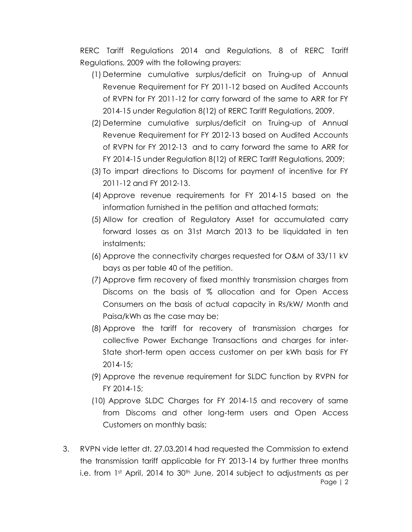RERC Tariff Regulations 2014 and Regulations, 8 of RERC Tariff Regulations, 2009 with the following prayers:

- (1) Determine cumulative surplus/deficit on Truing-up of Annual Revenue Requirement for FY 2011-12 based on Audited Accounts of RVPN for FY 2011-12 for carry forward of the same to ARR for FY 2014-15 under Regulation 8(12) of RERC Tariff Regulations, 2009.
- (2) Determine cumulative surplus/deficit on Truing-up of Annual Revenue Requirement for FY 2012-13 based on Audited Accounts of RVPN for FY 2012-13 and to carry forward the same to ARR for FY 2014-15 under Regulation 8(12) of RERC Tariff Regulations, 2009;
- (3) To impart directions to Discoms for payment of incentive for FY 2011-12 and FY 2012-13.
- (4) Approve revenue requirements for FY 2014-15 based on the information furnished in the petition and attached formats;
- (5) Allow for creation of Regulatory Asset for accumulated carry forward losses as on 31st March 2013 to be liquidated in ten instalments;
- (6) Approve the connectivity charges requested for O&M of 33/11 kV bays as per table 40 of the petition.
- (7) Approve firm recovery of fixed monthly transmission charges from Discoms on the basis of % allocation and for Open Access Consumers on the basis of actual capacity in Rs/kW/ Month and Paisa/kWh as the case may be;
- (8) Approve the tariff for recovery of transmission charges for collective Power Exchange Transactions and charges for inter-State short-term open access customer on per kWh basis for FY 2014-15;
- (9) Approve the revenue requirement for SLDC function by RVPN for FY 2014-15;
- (10) Approve SLDC Charges for FY 2014-15 and recovery of same from Discoms and other long-term users and Open Access Customers on monthly basis;
- Page | 2 3. RVPN vide letter dt. 27.03.2014 had requested the Commission to extend the transmission tariff applicable for FY 2013-14 by further three months i.e. from 1st April, 2014 to 30<sup>th</sup> June, 2014 subject to adjustments as per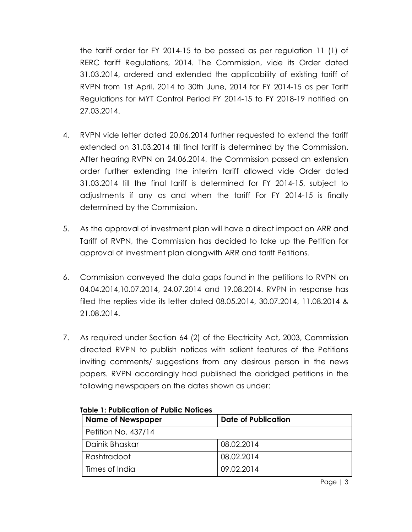the tariff order for FY 2014-15 to be passed as per regulation 11 (1) of RERC tariff Regulations, 2014. The Commission, vide its Order dated 31.03.2014, ordered and extended the applicability of existing tariff of RVPN from 1st April, 2014 to 30th June, 2014 for FY 2014-15 as per Tariff Regulations for MYT Control Period FY 2014-15 to FY 2018-19 notified on 27.03.2014.

- 4. RVPN vide letter dated 20.06.2014 further requested to extend the tariff extended on 31.03.2014 till final tariff is determined by the Commission. After hearing RVPN on 24.06.2014, the Commission passed an extension order further extending the interim tariff allowed vide Order dated 31.03.2014 till the final tariff is determined for FY 2014-15, subject to adjustments if any as and when the tariff For FY 2014-15 is finally determined by the Commission.
- 5. As the approval of investment plan will have a direct impact on ARR and Tariff of RVPN, the Commission has decided to take up the Petition for approval of investment plan alongwith ARR and tariff Petitions.
- 6. Commission conveyed the data gaps found in the petitions to RVPN on 04.04.2014,10.07.2014, 24.07.2014 and 19.08.2014. RVPN in response has filed the replies vide its letter dated 08.05.2014, 30.07.2014, 11.08.2014 & 21.08.2014.
- 7. As required under Section 64 (2) of the Electricity Act, 2003, Commission directed RVPN to publish notices with salient features of the Petitions inviting comments/ suggestions from any desirous person in the news papers. RVPN accordingly had published the abridged petitions in the following newspapers on the dates shown as under:

| <b>Name of Newspaper</b> | Date of Publication |  |
|--------------------------|---------------------|--|
| Petition No. 437/14      |                     |  |
| Dainik Bhaskar           | 08.02.2014          |  |
| Rashtradoot              | 08.02.2014          |  |
| Times of India           | 09.02.2014          |  |

**Table 1: Publication of Public Notices**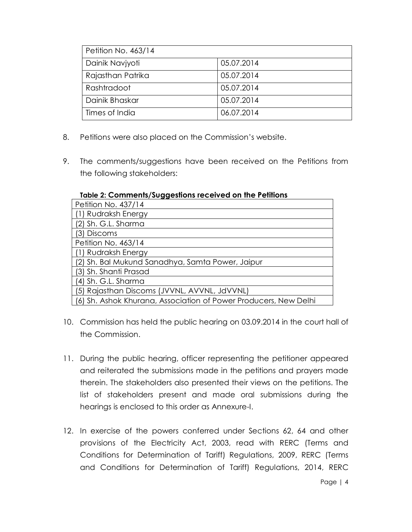| Petition No. 463/14 |            |  |
|---------------------|------------|--|
| Dainik Navjyoti     | 05.07.2014 |  |
| Rajasthan Patrika   | 05.07.2014 |  |
| Rashtradoot         | 05.07.2014 |  |
| Dainik Bhaskar      | 05.07.2014 |  |
| Times of India      | 06.07.2014 |  |

- 8. Petitions were also placed on the Commission's website.
- 9. The comments/suggestions have been received on the Petitions from the following stakeholders:

| Petition No. 437/14                                              |  |  |
|------------------------------------------------------------------|--|--|
| (1) Rudraksh Energy                                              |  |  |
| (2) Sh. G.L. Sharma                                              |  |  |
| (3) Discoms                                                      |  |  |
| Petition No. 463/14                                              |  |  |
| (1) Rudraksh Energy                                              |  |  |
| (2) Sh. Bal Mukund Sanadhya, Samta Power, Jaipur                 |  |  |
| (3) Sh. Shanti Prasad                                            |  |  |
| (4) Sh. G.L. Sharma                                              |  |  |
| (5) Rajasthan Discoms (JVVNL, AVVNL, JdVVNL)                     |  |  |
| (6) Sh. Ashok Khurana, Association of Power Producers, New Delhi |  |  |

#### **Table 2: Comments/Suggestions received on the Petitions**

- 10. Commission has held the public hearing on 03.09.2014 in the court hall of the Commission.
- 11. During the public hearing, officer representing the petitioner appeared and reiterated the submissions made in the petitions and prayers made therein. The stakeholders also presented their views on the petitions. The list of stakeholders present and made oral submissions during the hearings is enclosed to this order as Annexure-I.
- 12. In exercise of the powers conferred under Sections 62, 64 and other provisions of the Electricity Act, 2003, read with RERC (Terms and Conditions for Determination of Tariff) Regulations, 2009, RERC (Terms and Conditions for Determination of Tariff) Regulations, 2014, RERC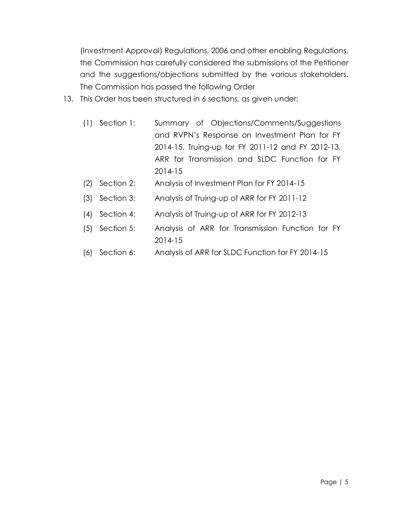(Investment Approval) Regulations, 2006 and other enabling Regulations, the Commission has carefully considered the submissions of the Petitioner and the suggestions/objections submitted by the various stakeholders. The Commission has passed the following Order

- 13. This Order has been structured in 6 sections, as given under:
	- (1) Section 1: Summary of Objections/Comments/Suggestions and RVPN's Response on Investment Plan for FY 2014-15, Truing-up for FY 2011-12 and FY 2012-13, ARR for Transmission and SLDC Function for FY 2014-15
	- (2) Section 2: Analysis of Investment Plan for FY 2014-15
	- (3) Section 3: Analysis of Truing-up of ARR for FY 2011-12
	- (4) Section 4: Analysis of Truing-up of ARR for FY 2012-13
	- (5) Section 5: Analysis of ARR for Transmission Function for FY 2014-15
	- (6) Section 6: Analysis of ARR for SLDC Function for FY 2014-15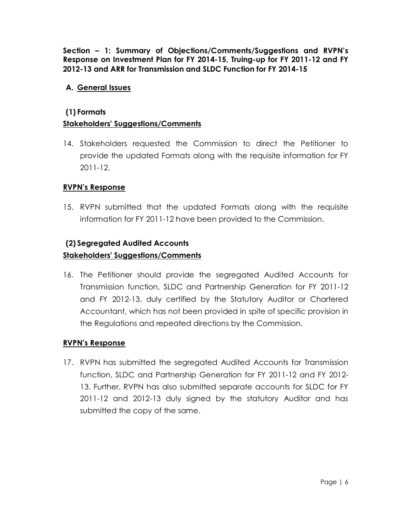**Section – 1: Summary of Objections/Comments/Suggestions and RVPN's Response on Investment Plan for FY 2014-15, Truing-up for FY 2011-12 and FY 2012-13 and ARR for Transmission and SLDC Function for FY 2014-15**

## **A. General Issues**

#### **(1) Formats**

## **Stakeholders' Suggestions/Comments**

14. Stakeholders requested the Commission to direct the Petitioner to provide the updated Formats along with the requisite information for FY 2011-12.

### **RVPN's Response**

15. RVPN submitted that the updated Formats along with the requisite information for FY 2011-12 have been provided to the Commission.

## **(2) Segregated Audited Accounts**

### **Stakeholders' Suggestions/Comments**

16. The Petitioner should provide the segregated Audited Accounts for Transmission function, SLDC and Partnership Generation for FY 2011-12 and FY 2012-13, duly certified by the Statutory Auditor or Chartered Accountant, which has not been provided in spite of specific provision in the Regulations and repeated directions by the Commission.

#### **RVPN's Response**

17. RVPN has submitted the segregated Audited Accounts for Transmission function, SLDC and Partnership Generation for FY 2011-12 and FY 2012- 13. Further, RVPN has also submitted separate accounts for SLDC for FY 2011-12 and 2012-13 duly signed by the statutory Auditor and has submitted the copy of the same.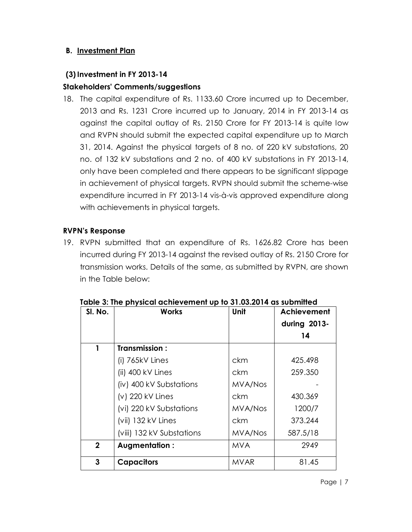## **B. Investment Plan**

### **(3)Investment in FY 2013-14**

### **Stakeholders' Comments/suggestions**

18. The capital expenditure of Rs. 1133.60 Crore incurred up to December, 2013 and Rs. 1231 Crore incurred up to January, 2014 in FY 2013-14 as against the capital outlay of Rs. 2150 Crore for FY 2013-14 is quite low and RVPN should submit the expected capital expenditure up to March 31, 2014. Against the physical targets of 8 no. of 220 kV substations, 20 no. of 132 kV substations and 2 no. of 400 kV substations in FY 2013-14, only have been completed and there appears to be significant slippage in achievement of physical targets. RVPN should submit the scheme-wise expenditure incurred in FY 2013-14 vis-à-vis approved expenditure along with achievements in physical targets.

#### **RVPN's Response**

19. RVPN submitted that an expenditure of Rs. 1626.82 Crore has been incurred during FY 2013-14 against the revised outlay of Rs. 2150 Crore for transmission works. Details of the same, as submitted by RVPN, are shown in the Table below:

| SI. No.      | <b>Works</b>              | <b>Unit</b>    | Achievement<br>during 2013-<br>14 |
|--------------|---------------------------|----------------|-----------------------------------|
| 1            | Transmission:             |                |                                   |
|              | $(i)$ 765 $kV$ Lines      | ckm            | 425.498                           |
|              | (ii) 400 kV Lines         | ckm            | 259.350                           |
|              | (iv) 400 kV Substations   | <b>MVA/Nos</b> |                                   |
|              | (v) 220 kV Lines          | ckm            | 430.369                           |
|              | (vi) 220 kV Substations   | MVA/Nos        | 1200/7                            |
|              | (vii) 132 kV Lines        | ckm            | 373.244                           |
|              | (viii) 132 kV Substations | MVA/Nos        | 587.5/18                          |
| $\mathbf{2}$ | Augmentation:             | <b>MVA</b>     | 2949                              |
| 3            | <b>Capacitors</b>         | <b>MVAR</b>    | 81.45                             |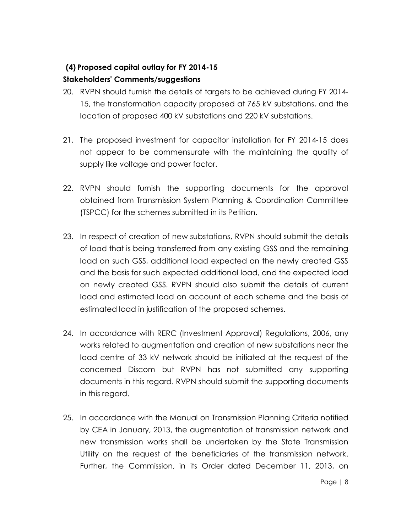# **(4) Proposed capital outlay for FY 2014-15 Stakeholders' Comments/suggestions**

- 20. RVPN should furnish the details of targets to be achieved during FY 2014- 15, the transformation capacity proposed at 765 kV substations, and the location of proposed 400 kV substations and 220 kV substations.
- 21. The proposed investment for capacitor installation for FY 2014-15 does not appear to be commensurate with the maintaining the quality of supply like voltage and power factor.
- 22. RVPN should furnish the supporting documents for the approval obtained from Transmission System Planning & Coordination Committee (TSPCC) for the schemes submitted in its Petition.
- 23. In respect of creation of new substations, RVPN should submit the details of load that is being transferred from any existing GSS and the remaining load on such GSS, additional load expected on the newly created GSS and the basis for such expected additional load, and the expected load on newly created GSS. RVPN should also submit the details of current load and estimated load on account of each scheme and the basis of estimated load in justification of the proposed schemes.
- 24. In accordance with RERC (Investment Approval) Regulations, 2006, any works related to augmentation and creation of new substations near the load centre of 33 kV network should be initiated at the request of the concerned Discom but RVPN has not submitted any supporting documents in this regard. RVPN should submit the supporting documents in this regard.
- 25. In accordance with the Manual on Transmission Planning Criteria notified by CEA in January, 2013, the augmentation of transmission network and new transmission works shall be undertaken by the State Transmission Utility on the request of the beneficiaries of the transmission network. Further, the Commission, in its Order dated December 11, 2013, on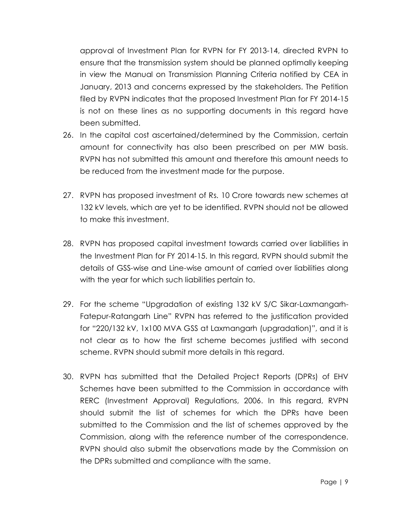approval of Investment Plan for RVPN for FY 2013-14, directed RVPN to ensure that the transmission system should be planned optimally keeping in view the Manual on Transmission Planning Criteria notified by CEA in January, 2013 and concerns expressed by the stakeholders. The Petition filed by RVPN indicates that the proposed Investment Plan for FY 2014-15 is not on these lines as no supporting documents in this regard have been submitted.

- 26. In the capital cost ascertained/determined by the Commission, certain amount for connectivity has also been prescribed on per MW basis. RVPN has not submitted this amount and therefore this amount needs to be reduced from the investment made for the purpose.
- 27. RVPN has proposed investment of Rs. 10 Crore towards new schemes at 132 kV levels, which are yet to be identified. RVPN should not be allowed to make this investment.
- 28. RVPN has proposed capital investment towards carried over liabilities in the Investment Plan for FY 2014-15. In this regard, RVPN should submit the details of GSS-wise and Line-wise amount of carried over liabilities along with the year for which such liabilities pertain to.
- 29. For the scheme "Upgradation of existing 132 kV S/C Sikar-Laxmangarh-Fatepur-Ratangarh Line" RVPN has referred to the justification provided for "220/132 kV, 1x100 MVA GSS at Laxmangarh (upgradation)", and it is not clear as to how the first scheme becomes justified with second scheme. RVPN should submit more details in this regard.
- 30. RVPN has submitted that the Detailed Project Reports (DPRs) of EHV Schemes have been submitted to the Commission in accordance with RERC (Investment Approval) Regulations, 2006. In this regard, RVPN should submit the list of schemes for which the DPRs have been submitted to the Commission and the list of schemes approved by the Commission, along with the reference number of the correspondence. RVPN should also submit the observations made by the Commission on the DPRs submitted and compliance with the same.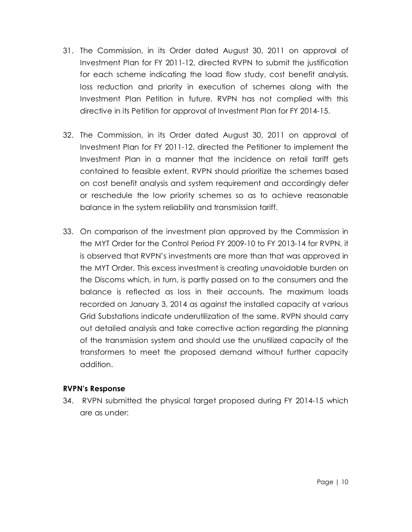- 31. The Commission, in its Order dated August 30, 2011 on approval of Investment Plan for FY 2011-12, directed RVPN to submit the justification for each scheme indicating the load flow study, cost benefit analysis, loss reduction and priority in execution of schemes along with the Investment Plan Petition in future. RVPN has not complied with this directive in its Petition for approval of Investment Plan for FY 2014-15.
- 32. The Commission, in its Order dated August 30, 2011 on approval of Investment Plan for FY 2011-12, directed the Petitioner to implement the Investment Plan in a manner that the incidence on retail tariff gets contained to feasible extent. RVPN should prioritize the schemes based on cost benefit analysis and system requirement and accordingly defer or reschedule the low priority schemes so as to achieve reasonable balance in the system reliability and transmission tariff.
- 33. On comparison of the investment plan approved by the Commission in the MYT Order for the Control Period FY 2009-10 to FY 2013-14 for RVPN, it is observed that RVPN's investments are more than that was approved in the MYT Order. This excess investment is creating unavoidable burden on the Discoms which, in turn, is partly passed on to the consumers and the balance is reflected as loss in their accounts. The maximum loads recorded on January 3, 2014 as against the installed capacity at various Grid Substations indicate underutilization of the same. RVPN should carry out detailed analysis and take corrective action regarding the planning of the transmission system and should use the unutilized capacity of the transformers to meet the proposed demand without further capacity addition.

#### **RVPN's Response**

34. RVPN submitted the physical target proposed during FY 2014-15 which are as under: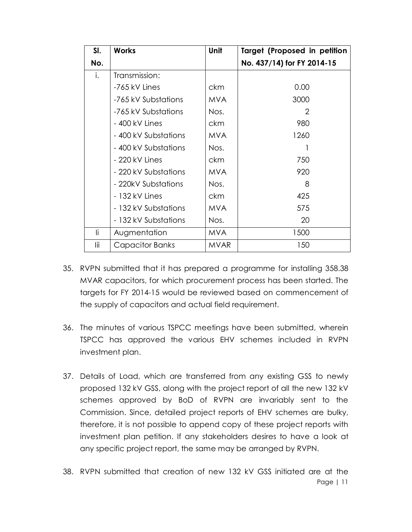| SI. | <b>Works</b>         | <b>Unit</b> | Target (Proposed in petition |
|-----|----------------------|-------------|------------------------------|
| No. |                      |             | No. 437/14) for FY 2014-15   |
| i.  | Transmission:        |             |                              |
|     | -765 kV Lines        | ckm         | 0.00                         |
|     | -765 kV Substations  | <b>MVA</b>  | 3000                         |
|     | -765 kV Substations  | Nos.        | $\overline{2}$               |
|     | - 400 kV Lines       | ckm         | 980                          |
|     | - 400 kV Substations | <b>MVA</b>  | 1260                         |
|     | - 400 kV Substations | Nos.        |                              |
|     | - 220 kV Lines       | ckm         | 750                          |
|     | - 220 kV Substations | <b>MVA</b>  | 920                          |
|     | - 220kV Substations  | Nos.        | 8                            |
|     | - 132 kV Lines       | ckm         | 425                          |
|     | - 132 kV Substations | <b>MVA</b>  | 575                          |
|     | - 132 kV Substations | Nos.        | 20                           |
| li. | Augmentation         | <b>MVA</b>  | 1500                         |
| lii | Capacitor Banks      | <b>MVAR</b> | 150                          |

- 35. RVPN submitted that it has prepared a programme for installing 358.38 MVAR capacitors, for which procurement process has been started. The targets for FY 2014-15 would be reviewed based on commencement of the supply of capacitors and actual field requirement.
- 36. The minutes of various TSPCC meetings have been submitted, wherein TSPCC has approved the various EHV schemes included in RVPN investment plan.
- 37. Details of Load, which are transferred from any existing GSS to newly proposed 132 kV GSS, along with the project report of all the new 132 kV schemes approved by BoD of RVPN are invariably sent to the Commission. Since, detailed project reports of EHV schemes are bulky, therefore, it is not possible to append copy of these project reports with investment plan petition. If any stakeholders desires to have a look at any specific project report, the same may be arranged by RVPN.
- Page | 11 38. RVPN submitted that creation of new 132 kV GSS initiated are at the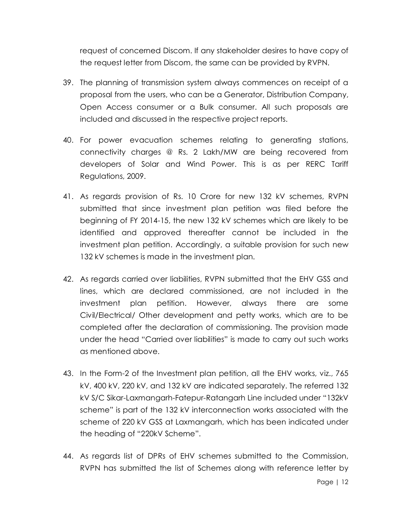request of concerned Discom. If any stakeholder desires to have copy of the request letter from Discom, the same can be provided by RVPN.

- 39. The planning of transmission system always commences on receipt of a proposal from the users, who can be a Generator, Distribution Company, Open Access consumer or a Bulk consumer. All such proposals are included and discussed in the respective project reports.
- 40. For power evacuation schemes relating to generating stations, connectivity charges @ Rs. 2 Lakh/MW are being recovered from developers of Solar and Wind Power. This is as per RERC Tariff Regulations, 2009.
- 41. As regards provision of Rs. 10 Crore for new 132 kV schemes, RVPN submitted that since investment plan petition was filed before the beginning of FY 2014-15, the new 132 kV schemes which are likely to be identified and approved thereafter cannot be included in the investment plan petition. Accordingly, a suitable provision for such new 132 kV schemes is made in the investment plan.
- 42. As regards carried over liabilities, RVPN submitted that the EHV GSS and lines, which are declared commissioned, are not included in the investment plan petition. However, always there are some Civil/Electrical/ Other development and petty works, which are to be completed after the declaration of commissioning. The provision made under the head "Carried over liabilities" is made to carry out such works as mentioned above.
- 43. In the Form-2 of the Investment plan petition, all the EHV works, viz., 765 kV, 400 kV, 220 kV, and 132 kV are indicated separately. The referred 132 kV S/C Sikar-Laxmangarh-Fatepur-Ratangarh Line included under "132kV scheme" is part of the 132 kV interconnection works associated with the scheme of 220 kV GSS at Laxmangarh, which has been indicated under the heading of "220kV Scheme".
- 44. As regards list of DPRs of EHV schemes submitted to the Commission, RVPN has submitted the list of Schemes along with reference letter by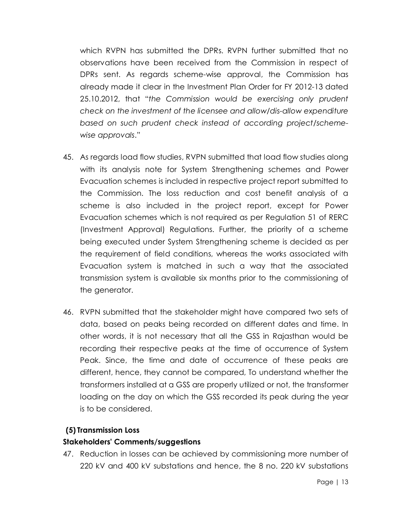which RVPN has submitted the DPRs. RVPN further submitted that no observations have been received from the Commission in respect of DPRs sent. As regards scheme-wise approval, the Commission has already made it clear in the Investment Plan Order for FY 2012-13 dated 25.10.2012, that "*the Commission would be exercising only prudent check on the investment of the licensee and allow/dis-allow expenditure based on such prudent check instead of according project/schemewise approvals*."

- 45. As regards load flow studies, RVPN submitted that load flow studies along with its analysis note for System Strengthening schemes and Power Evacuation schemes is included in respective project report submitted to the Commission. The loss reduction and cost benefit analysis of a scheme is also included in the project report, except for Power Evacuation schemes which is not required as per Regulation 51 of RERC (Investment Approval) Regulations. Further, the priority of a scheme being executed under System Strengthening scheme is decided as per the requirement of field conditions, whereas the works associated with Evacuation system is matched in such a way that the associated transmission system is available six months prior to the commissioning of the generator.
- 46. RVPN submitted that the stakeholder might have compared two sets of data, based on peaks being recorded on different dates and time. In other words, it is not necessary that all the GSS in Rajasthan would be recording their respective peaks at the time of occurrence of System Peak. Since, the time and date of occurrence of these peaks are different, hence, they cannot be compared, To understand whether the transformers installed at a GSS are properly utilized or not, the transformer loading on the day on which the GSS recorded its peak during the year is to be considered.

#### **(5) Transmission Loss**

#### **Stakeholders' Comments/suggestions**

47. Reduction in losses can be achieved by commissioning more number of 220 kV and 400 kV substations and hence, the 8 no. 220 kV substations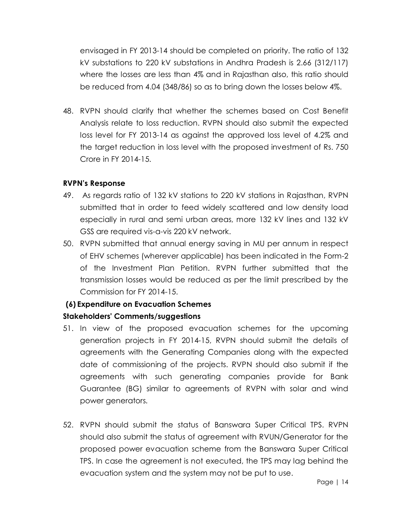envisaged in FY 2013-14 should be completed on priority. The ratio of 132 kV substations to 220 kV substations in Andhra Pradesh is 2.66 (312/117) where the losses are less than 4% and in Rajasthan also, this ratio should be reduced from 4.04 (348/86) so as to bring down the losses below 4%.

48. RVPN should clarify that whether the schemes based on Cost Benefit Analysis relate to loss reduction. RVPN should also submit the expected loss level for FY 2013-14 as against the approved loss level of 4.2% and the target reduction in loss level with the proposed investment of Rs. 750 Crore in FY 2014-15.

#### **RVPN's Response**

- 49. As regards ratio of 132 kV stations to 220 kV stations in Rajasthan, RVPN submitted that in order to feed widely scattered and low density load especially in rural and semi urban areas, more 132 kV lines and 132 kV GSS are required vis-a-vis 220 kV network.
- 50. RVPN submitted that annual energy saving in MU per annum in respect of EHV schemes (wherever applicable) has been indicated in the Form-2 of the Investment Plan Petition. RVPN further submitted that the transmission losses would be reduced as per the limit prescribed by the Commission for FY 2014-15.

# **(6) Expenditure on Evacuation Schemes**

## **Stakeholders' Comments/suggestions**

- 51. In view of the proposed evacuation schemes for the upcoming generation projects in FY 2014-15, RVPN should submit the details of agreements with the Generating Companies along with the expected date of commissioning of the projects. RVPN should also submit if the agreements with such generating companies provide for Bank Guarantee (BG) similar to agreements of RVPN with solar and wind power generators.
- 52. RVPN should submit the status of Banswara Super Critical TPS. RVPN should also submit the status of agreement with RVUN/Generator for the proposed power evacuation scheme from the Banswara Super Critical TPS. In case the agreement is not executed, the TPS may lag behind the evacuation system and the system may not be put to use.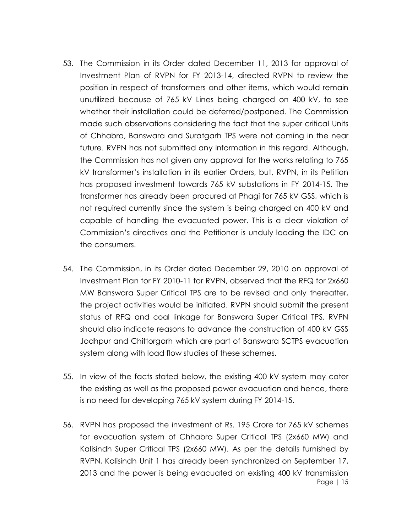- 53. The Commission in its Order dated December 11, 2013 for approval of Investment Plan of RVPN for FY 2013-14, directed RVPN to review the position in respect of transformers and other items, which would remain unutilized because of 765 kV Lines being charged on 400 kV, to see whether their installation could be deferred/postponed. The Commission made such observations considering the fact that the super critical Units of Chhabra, Banswara and Suratgarh TPS were not coming in the near future. RVPN has not submitted any information in this regard. Although, the Commission has not given any approval for the works relating to 765 kV transformer's installation in its earlier Orders, but, RVPN, in its Petition has proposed investment towards 765 kV substations in FY 2014-15. The transformer has already been procured at Phagi for 765 kV GSS, which is not required currently since the system is being charged on 400 kV and capable of handling the evacuated power. This is a clear violation of Commission's directives and the Petitioner is unduly loading the IDC on the consumers.
- 54. The Commission, in its Order dated December 29, 2010 on approval of Investment Plan for FY 2010-11 for RVPN, observed that the RFQ for 2x660 MW Banswara Super Critical TPS are to be revised and only thereafter, the project activities would be initiated. RVPN should submit the present status of RFQ and coal linkage for Banswara Super Critical TPS. RVPN should also indicate reasons to advance the construction of 400 kV GSS Jodhpur and Chittorgarh which are part of Banswara SCTPS evacuation system along with load flow studies of these schemes.
- 55. In view of the facts stated below, the existing 400 kV system may cater the existing as well as the proposed power evacuation and hence, there is no need for developing 765 kV system during FY 2014-15.
- Page | 15 56. RVPN has proposed the investment of Rs. 195 Crore for 765 kV schemes for evacuation system of Chhabra Super Critical TPS (2x660 MW) and Kalisindh Super Critical TPS (2x660 MW). As per the details furnished by RVPN, Kalisindh Unit 1 has already been synchronized on September 17, 2013 and the power is being evacuated on existing 400 kV transmission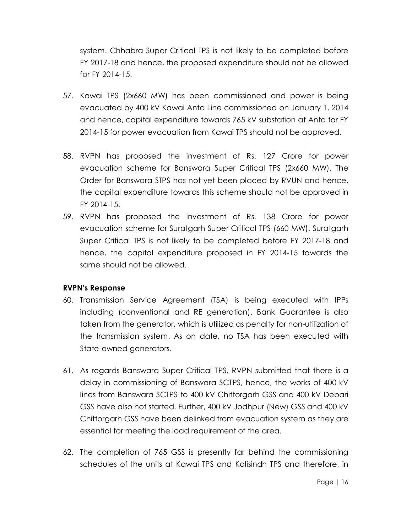system. Chhabra Super Critical TPS is not likely to be completed before FY 2017-18 and hence, the proposed expenditure should not be allowed for FY 2014-15.

- 57. Kawai TPS (2x660 MW) has been commissioned and power is being evacuated by 400 kV Kawai Anta Line commissioned on January 1, 2014 and hence, capital expenditure towards 765 kV substation at Anta for FY 2014-15 for power evacuation from Kawai TPS should not be approved.
- 58. RVPN has proposed the investment of Rs. 127 Crore for power evacuation scheme for Banswara Super Critical TPS (2x660 MW). The Order for Banswara STPS has not yet been placed by RVUN and hence, the capital expenditure towards this scheme should not be approved in FY 2014-15.
- 59. RVPN has proposed the investment of Rs. 138 Crore for power evacuation scheme for Suratgarh Super Critical TPS (660 MW). Suratgarh Super Critical TPS is not likely to be completed before FY 2017-18 and hence, the capital expenditure proposed in FY 2014-15 towards the same should not be allowed.

## **RVPN's Response**

- 60. Transmission Service Agreement (TSA) is being executed with IPPs including (conventional and RE generation). Bank Guarantee is also taken from the generator, which is utilized as penalty for non-utilization of the transmission system. As on date, no TSA has been executed with State-owned generators.
- 61. As regards Banswara Super Critical TPS, RVPN submitted that there is a delay in commissioning of Banswara SCTPS, hence, the works of 400 kV lines from Banswara SCTPS to 400 kV Chittorgarh GSS and 400 kV Debari GSS have also not started. Further, 400 kV Jodhpur (New) GSS and 400 kV Chittorgarh GSS have been delinked from evacuation system as they are essential for meeting the load requirement of the area.
- 62. The completion of 765 GSS is presently far behind the commissioning schedules of the units at Kawai TPS and Kalisindh TPS and therefore, in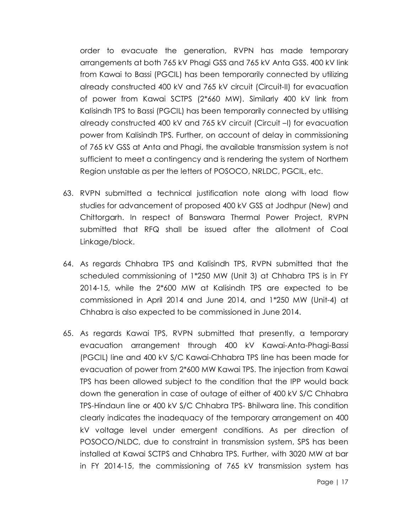order to evacuate the generation, RVPN has made temporary arrangements at both 765 kV Phagi GSS and 765 kV Anta GSS. 400 kV link from Kawai to Bassi (PGCIL) has been temporarily connected by utilizing already constructed 400 kV and 765 kV circuit (Circuit-II) for evacuation of power from Kawai SCTPS (2\*660 MW). Similarly 400 kV link from Kalisindh TPS to Bassi (PGCIL) has been temporarily connected by utilising already constructed 400 kV and 765 kV circuit (Circuit –I) for evacuation power from Kalisindh TPS. Further, on account of delay in commissioning of 765 kV GSS at Anta and Phagi, the available transmission system is not sufficient to meet a contingency and is rendering the system of Northern Region unstable as per the letters of POSOCO, NRLDC, PGCIL, etc.

- 63. RVPN submitted a technical justification note along with load flow studies for advancement of proposed 400 kV GSS at Jodhpur (New) and Chittorgarh. In respect of Banswara Thermal Power Project, RVPN submitted that RFQ shall be issued after the allotment of Coal Linkage/block.
- 64. As regards Chhabra TPS and Kalisindh TPS, RVPN submitted that the scheduled commissioning of 1\*250 MW (Unit 3) at Chhabra TPS is in FY 2014-15, while the 2\*600 MW at Kalisindh TPS are expected to be commissioned in April 2014 and June 2014, and 1\*250 MW (Unit-4) at Chhabra is also expected to be commissioned in June 2014.
- 65. As regards Kawai TPS, RVPN submitted that presently, a temporary evacuation arrangement through 400 kV Kawai-Anta-Phagi-Bassi (PGCIL) line and 400 kV S/C Kawai-Chhabra TPS line has been made for evacuation of power from 2\*600 MW Kawai TPS. The injection from Kawai TPS has been allowed subject to the condition that the IPP would back down the generation in case of outage of either of 400 kV S/C Chhabra TPS-Hindaun line or 400 kV S/C Chhabra TPS- Bhilwara line. This condition clearly indicates the inadequacy of the temporary arrangement on 400 kV voltage level under emergent conditions. As per direction of POSOCO/NLDC, due to constraint in transmission system, SPS has been installed at Kawai SCTPS and Chhabra TPS. Further, with 3020 MW at bar in FY 2014-15, the commissioning of 765 kV transmission system has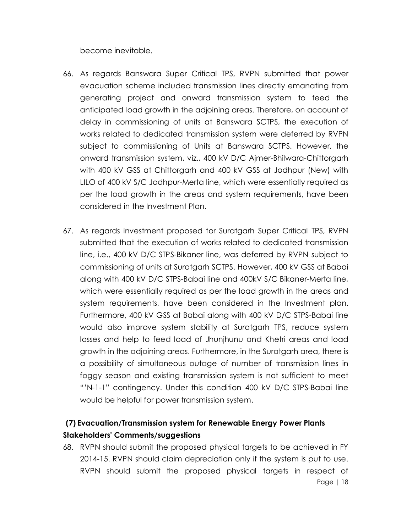become inevitable.

- 66. As regards Banswara Super Critical TPS, RVPN submitted that power evacuation scheme included transmission lines directly emanating from generating project and onward transmission system to feed the anticipated load growth in the adjoining areas. Therefore, on account of delay in commissioning of units at Banswara SCTPS, the execution of works related to dedicated transmission system were deferred by RVPN subject to commissioning of Units at Banswara SCTPS. However, the onward transmission system, viz., 400 kV D/C Ajmer-Bhilwara-Chittorgarh with 400 kV GSS at Chittorgarh and 400 kV GSS at Jodhpur (New) with LILO of 400 kV S/C Jodhpur-Merta line, which were essentially required as per the load growth in the areas and system requirements, have been considered in the Investment Plan.
- 67. As regards investment proposed for Suratgarh Super Critical TPS, RVPN submitted that the execution of works related to dedicated transmission line, i.e., 400 kV D/C STPS-Bikaner line, was deferred by RVPN subject to commissioning of units at Suratgarh SCTPS. However, 400 kV GSS at Babai along with 400 kV D/C STPS-Babai line and 400kV S/C Bikaner-Merta line, which were essentially required as per the load growth in the areas and system requirements, have been considered in the Investment plan. Furthermore, 400 kV GSS at Babai along with 400 kV D/C STPS-Babai line would also improve system stability at Suratgarh TPS, reduce system losses and help to feed load of Jhunjhunu and Khetri areas and load growth in the adjoining areas. Furthermore, in the Suratgarh area, there is a possibility of simultaneous outage of number of transmission lines in foggy season and existing transmission system is not sufficient to meet "'N-1-1" contingency. Under this condition 400 kV D/C STPS-Babai line would be helpful for power transmission system.

# **(7) Evacuation/Transmission system for Renewable Energy Power Plants Stakeholders' Comments/suggestions**

Page | 18 68. RVPN should submit the proposed physical targets to be achieved in FY 2014-15. RVPN should claim depreciation only if the system is put to use. RVPN should submit the proposed physical targets in respect of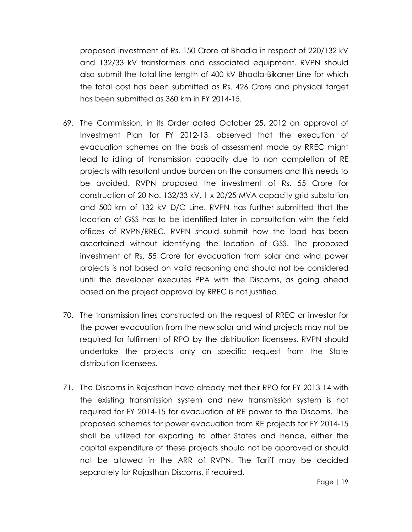proposed investment of Rs. 150 Crore at Bhadla in respect of 220/132 kV and 132/33 kV transformers and associated equipment. RVPN should also submit the total line length of 400 kV Bhadla-Bikaner Line for which the total cost has been submitted as Rs. 426 Crore and physical target has been submitted as 360 km in FY 2014-15.

- 69. The Commission, in its Order dated October 25, 2012 on approval of Investment Plan for FY 2012-13, observed that the execution of evacuation schemes on the basis of assessment made by RREC might lead to idling of transmission capacity due to non completion of RE projects with resultant undue burden on the consumers and this needs to be avoided. RVPN proposed the investment of Rs. 55 Crore for construction of 20 No. 132/33 kV, 1 x 20/25 MVA capacity grid substation and 500 km of 132 kV D/C Line. RVPN has further submitted that the location of GSS has to be identified later in consultation with the field offices of RVPN/RREC. RVPN should submit how the load has been ascertained without identifying the location of GSS. The proposed investment of Rs. 55 Crore for evacuation from solar and wind power projects is not based on valid reasoning and should not be considered until the developer executes PPA with the Discoms, as going ahead based on the project approval by RREC is not justified.
- 70. The transmission lines constructed on the request of RREC or investor for the power evacuation from the new solar and wind projects may not be required for fulfilment of RPO by the distribution licensees. RVPN should undertake the projects only on specific request from the State distribution licensees.
- 71. The Discoms in Rajasthan have already met their RPO for FY 2013-14 with the existing transmission system and new transmission system is not required for FY 2014-15 for evacuation of RE power to the Discoms. The proposed schemes for power evacuation from RE projects for FY 2014-15 shall be utilized for exporting to other States and hence, either the capital expenditure of these projects should not be approved or should not be allowed in the ARR of RVPN. The Tariff may be decided separately for Rajasthan Discoms, if required.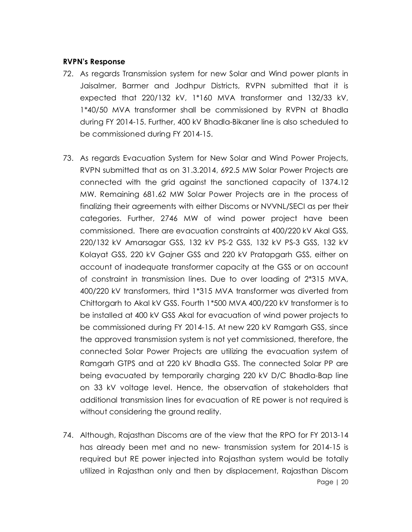#### **RVPN's Response**

- 72. As regards Transmission system for new Solar and Wind power plants in Jaisalmer, Barmer and Jodhpur Districts, RVPN submitted that it is expected that 220/132 kV, 1\*160 MVA transformer and 132/33 kV, 1\*40/50 MVA transformer shall be commissioned by RVPN at Bhadla during FY 2014-15. Further, 400 kV Bhadla-Bikaner line is also scheduled to be commissioned during FY 2014-15.
- 73. As regards Evacuation System for New Solar and Wind Power Projects, RVPN submitted that as on 31.3.2014, 692.5 MW Solar Power Projects are connected with the grid against the sanctioned capacity of 1374.12 MW. Remaining 681.62 MW Solar Power Projects are in the process of finalizing their agreements with either Discoms or NVVNL/SECI as per their categories. Further, 2746 MW of wind power project have been commissioned. There are evacuation constraints at 400/220 kV Akal GSS, 220/132 kV Amarsagar GSS, 132 kV PS-2 GSS, 132 kV PS-3 GSS, 132 kV Kolayat GSS, 220 kV Gajner GSS and 220 kV Pratapgarh GSS, either on account of inadequate transformer capacity at the GSS or on account of constraint in transmission lines. Due to over loading of 2\*315 MVA, 400/220 kV transformers, third 1\*315 MVA transformer was diverted from Chittorgarh to Akal kV GSS. Fourth 1\*500 MVA 400/220 kV transformer is to be installed at 400 kV GSS Akal for evacuation of wind power projects to be commissioned during FY 2014-15. At new 220 kV Ramgarh GSS, since the approved transmission system is not yet commissioned, therefore, the connected Solar Power Projects are utilizing the evacuation system of Ramgarh GTPS and at 220 kV Bhadla GSS. The connected Solar PP are being evacuated by temporarily charging 220 kV D/C Bhadla-Bap line on 33 kV voltage level. Hence, the observation of stakeholders that additional transmission lines for evacuation of RE power is not required is without considering the ground reality.
- Page | 20 74. Although, Rajasthan Discoms are of the view that the RPO for FY 2013-14 has already been met and no new- transmission system for 2014-15 is required but RE power injected into Rajasthan system would be totally utilized in Rajasthan only and then by displacement, Rajasthan Discom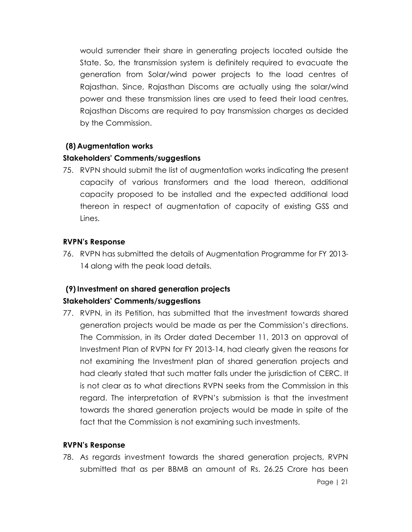would surrender their share in generating projects located outside the State. So, the transmission system is definitely required to evacuate the generation from Solar/wind power projects to the load centres of Rajasthan. Since, Rajasthan Discoms are actually using the solar/wind power and these transmission lines are used to feed their load centres, Rajasthan Discoms are required to pay transmission charges as decided by the Commission.

### **(8) Augmentation works**

#### **Stakeholders' Comments/suggestions**

75. RVPN should submit the list of augmentation works indicating the present capacity of various transformers and the load thereon, additional capacity proposed to be installed and the expected additional load thereon in respect of augmentation of capacity of existing GSS and Lines.

### **RVPN's Response**

76. RVPN has submitted the details of Augmentation Programme for FY 2013- 14 along with the peak load details.

# **(9)Investment on shared generation projects**

## **Stakeholders' Comments/suggestions**

77. RVPN, in its Petition, has submitted that the investment towards shared generation projects would be made as per the Commission's directions. The Commission, in its Order dated December 11, 2013 on approval of Investment Plan of RVPN for FY 2013-14, had clearly given the reasons for not examining the Investment plan of shared generation projects and had clearly stated that such matter falls under the jurisdiction of CERC. It is not clear as to what directions RVPN seeks from the Commission in this regard. The interpretation of RVPN's submission is that the investment towards the shared generation projects would be made in spite of the fact that the Commission is not examining such investments.

## **RVPN's Response**

78. As regards investment towards the shared generation projects, RVPN submitted that as per BBMB an amount of Rs. 26.25 Crore has been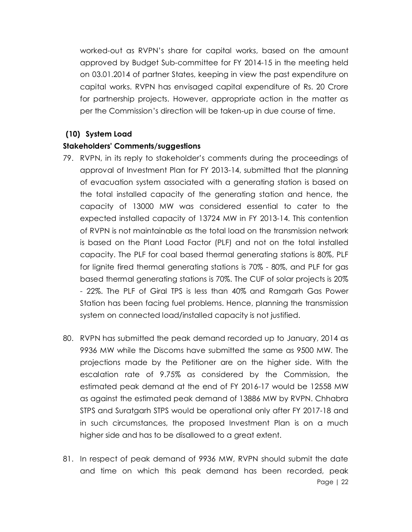worked-out as RVPN's share for capital works, based on the amount approved by Budget Sub-committee for FY 2014-15 in the meeting held on 03.01.2014 of partner States, keeping in view the past expenditure on capital works. RVPN has envisaged capital expenditure of Rs. 20 Crore for partnership projects. However, appropriate action in the matter as per the Commission's direction will be taken-up in due course of time.

#### **(10) System Load**

#### **Stakeholders' Comments/suggestions**

- 79. RVPN, in its reply to stakeholder's comments during the proceedings of approval of Investment Plan for FY 2013-14, submitted that the planning of evacuation system associated with a generating station is based on the total installed capacity of the generating station and hence, the capacity of 13000 MW was considered essential to cater to the expected installed capacity of 13724 MW in FY 2013-14. This contention of RVPN is not maintainable as the total load on the transmission network is based on the Plant Load Factor (PLF) and not on the total installed capacity. The PLF for coal based thermal generating stations is 80%, PLF for lignite fired thermal generating stations is 70% - 80%, and PLF for gas based thermal generating stations is 70%. The CUF of solar projects is 20% - 22%. The PLF of Giral TPS is less than 40% and Ramgarh Gas Power Station has been facing fuel problems. Hence, planning the transmission system on connected load/installed capacity is not justified.
- 80. RVPN has submitted the peak demand recorded up to January, 2014 as 9936 MW while the Discoms have submitted the same as 9500 MW. The projections made by the Petitioner are on the higher side. With the escalation rate of 9.75% as considered by the Commission, the estimated peak demand at the end of FY 2016-17 would be 12558 MW as against the estimated peak demand of 13886 MW by RVPN. Chhabra STPS and Suratgarh STPS would be operational only after FY 2017-18 and in such circumstances, the proposed Investment Plan is on a much higher side and has to be disallowed to a great extent.
- Page | 22 81. In respect of peak demand of 9936 MW, RVPN should submit the date and time on which this peak demand has been recorded, peak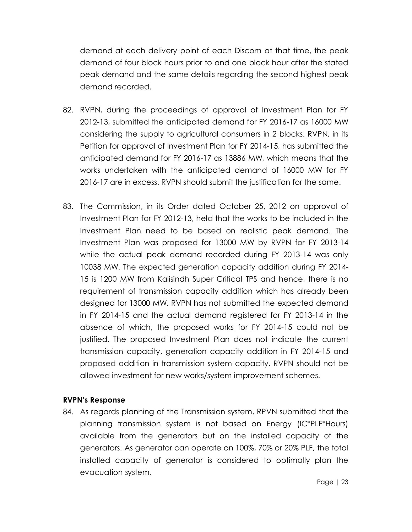demand at each delivery point of each Discom at that time, the peak demand of four block hours prior to and one block hour after the stated peak demand and the same details regarding the second highest peak demand recorded.

- 82. RVPN, during the proceedings of approval of Investment Plan for FY 2012-13, submitted the anticipated demand for FY 2016-17 as 16000 MW considering the supply to agricultural consumers in 2 blocks. RVPN, in its Petition for approval of Investment Plan for FY 2014-15, has submitted the anticipated demand for FY 2016-17 as 13886 MW, which means that the works undertaken with the anticipated demand of 16000 MW for FY 2016-17 are in excess. RVPN should submit the justification for the same.
- 83. The Commission, in its Order dated October 25, 2012 on approval of Investment Plan for FY 2012-13, held that the works to be included in the Investment Plan need to be based on realistic peak demand. The Investment Plan was proposed for 13000 MW by RVPN for FY 2013-14 while the actual peak demand recorded during FY 2013-14 was only 10038 MW. The expected generation capacity addition during FY 2014- 15 is 1200 MW from Kalisindh Super Critical TPS and hence, there is no requirement of transmission capacity addition which has already been designed for 13000 MW. RVPN has not submitted the expected demand in FY 2014-15 and the actual demand registered for FY 2013-14 in the absence of which, the proposed works for FY 2014-15 could not be justified. The proposed Investment Plan does not indicate the current transmission capacity, generation capacity addition in FY 2014-15 and proposed addition in transmission system capacity. RVPN should not be allowed investment for new works/system improvement schemes.

#### **RVPN's Response**

84. As regards planning of the Transmission system, RPVN submitted that the planning transmission system is not based on Energy (IC\*PLF\*Hours) available from the generators but on the installed capacity of the generators. As generator can operate on 100%, 70% or 20% PLF, the total installed capacity of generator is considered to optimally plan the evacuation system.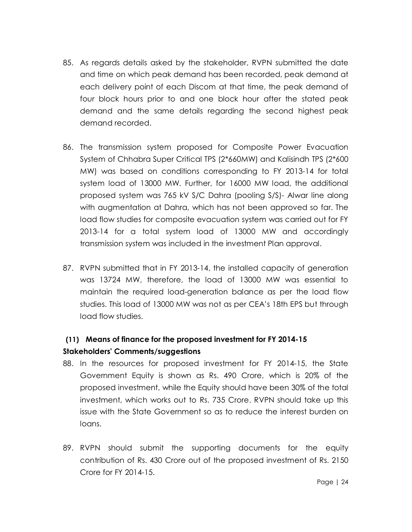- 85. As regards details asked by the stakeholder, RVPN submitted the date and time on which peak demand has been recorded, peak demand at each delivery point of each Discom at that time, the peak demand of four block hours prior to and one block hour after the stated peak demand and the same details regarding the second highest peak demand recorded.
- 86. The transmission system proposed for Composite Power Evacuation System of Chhabra Super Critical TPS (2\*660MW) and Kalisindh TPS (2\*600 MW) was based on conditions corresponding to FY 2013-14 for total system load of 13000 MW. Further, for 16000 MW load, the additional proposed system was 765 kV S/C Dahra (pooling S/S)- Alwar line along with augmentation at Dahra, which has not been approved so far. The load flow studies for composite evacuation system was carried out for FY 2013-14 for a total system load of 13000 MW and accordingly transmission system was included in the investment Plan approval.
- 87. RVPN submitted that in FY 2013-14, the installed capacity of generation was 13724 MW, therefore, the load of 13000 MW was essential to maintain the required load-generation balance as per the load flow studies. This load of 13000 MW was not as per CEA's 18th EPS but through load flow studies.

# **(11) Means of finance for the proposed investment for FY 2014-15 Stakeholders' Comments/suggestions**

- 88. In the resources for proposed investment for FY 2014-15, the State Government Equity is shown as Rs. 490 Crore, which is 20% of the proposed investment, while the Equity should have been 30% of the total investment, which works out to Rs. 735 Crore. RVPN should take up this issue with the State Government so as to reduce the interest burden on loans.
- 89. RVPN should submit the supporting documents for the equity contribution of Rs. 430 Crore out of the proposed investment of Rs. 2150 Crore for FY 2014-15.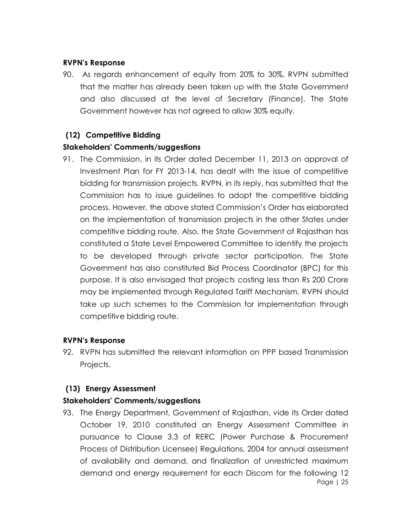#### **RVPN's Response**

90. As regards enhancement of equity from 20% to 30%, RVPN submitted that the matter has already been taken up with the State Government and also discussed at the level of Secretary (Finance). The State Government however has not agreed to allow 30% equity.

## **(12) Competitive Bidding**

### **Stakeholders' Comments/suggestions**

91. The Commission, in its Order dated December 11, 2013 on approval of Investment Plan for FY 2013-14, has dealt with the issue of competitive bidding for transmission projects. RVPN, in its reply, has submitted that the Commission has to issue guidelines to adopt the competitive bidding process. However, the above stated Commission's Order has elaborated on the implementation of transmission projects in the other States under competitive bidding route. Also, the State Government of Rajasthan has constituted a State Level Empowered Committee to identify the projects to be developed through private sector participation. The State Government has also constituted Bid Process Coordinator (BPC) for this purpose. It is also envisaged that projects costing less than Rs 200 Crore may be implemented through Regulated Tariff Mechanism. RVPN should take up such schemes to the Commission for implementation through competitive bidding route.

#### **RVPN's Response**

92. RVPN has submitted the relevant information on PPP based Transmission Projects.

#### **(13) Energy Assessment**

## **Stakeholders' Comments/suggestions**

Page | 25 93. The Energy Department, Government of Rajasthan, vide its Order dated October 19, 2010 constituted an Energy Assessment Committee in pursuance to Clause 3.3 of RERC (Power Purchase & Procurement Process of Distribution Licensee) Regulations, 2004 for annual assessment of availability and demand, and finalization of unrestricted maximum demand and energy requirement for each Discom for the following 12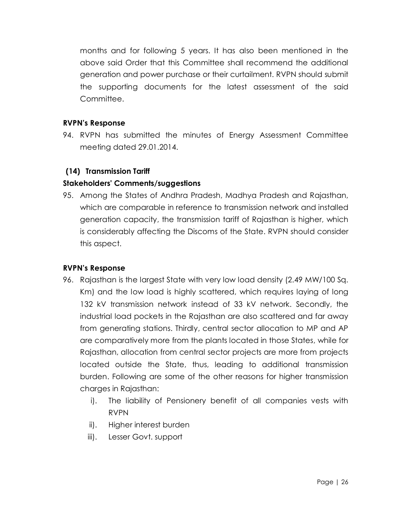months and for following 5 years. It has also been mentioned in the above said Order that this Committee shall recommend the additional generation and power purchase or their curtailment. RVPN should submit the supporting documents for the latest assessment of the said Committee.

#### **RVPN's Response**

94. RVPN has submitted the minutes of Energy Assessment Committee meeting dated 29.01.2014.

## **(14) Transmission Tariff**

## **Stakeholders' Comments/suggestions**

95. Among the States of Andhra Pradesh, Madhya Pradesh and Rajasthan, which are comparable in reference to transmission network and installed generation capacity, the transmission tariff of Rajasthan is higher, which is considerably affecting the Discoms of the State. RVPN should consider this aspect.

## **RVPN's Response**

- 96. Rajasthan is the largest State with very low load density (2.49 MW/100 Sq. Km) and the low load is highly scattered, which requires laying of long 132 kV transmission network instead of 33 kV network. Secondly, the industrial load pockets in the Rajasthan are also scattered and far away from generating stations. Thirdly, central sector allocation to MP and AP are comparatively more from the plants located in those States, while for Rajasthan, allocation from central sector projects are more from projects located outside the State, thus, leading to additional transmission burden. Following are some of the other reasons for higher transmission charges in Rajasthan:
	- i). The liability of Pensionery benefit of all companies vests with RVPN
	- ii). Higher interest burden
	- iii). Lesser Govt. support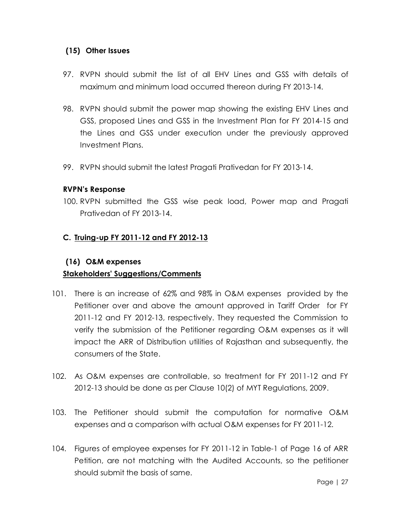#### **(15) Other Issues**

- 97. RVPN should submit the list of all EHV Lines and GSS with details of maximum and minimum load occurred thereon during FY 2013-14.
- 98. RVPN should submit the power map showing the existing EHV Lines and GSS, proposed Lines and GSS in the Investment Plan for FY 2014-15 and the Lines and GSS under execution under the previously approved Investment Plans.
- 99. RVPN should submit the latest Pragati Prativedan for FY 2013-14.

#### **RVPN's Response**

100. RVPN submitted the GSS wise peak load, Power map and Pragati Prativedan of FY 2013-14.

### **C. Truing-up FY 2011-12 and FY 2012-13**

### **(16) O&M expenses**

## **Stakeholders' Suggestions/Comments**

- 101. There is an increase of 62% and 98% in O&M expenses provided by the Petitioner over and above the amount approved in Tariff Order for FY 2011-12 and FY 2012-13, respectively. They requested the Commission to verify the submission of the Petitioner regarding O&M expenses as it will impact the ARR of Distribution utilities of Rajasthan and subsequently, the consumers of the State.
- 102. As O&M expenses are controllable, so treatment for FY 2011-12 and FY 2012-13 should be done as per Clause 10(2) of MYT Regulations, 2009.
- 103. The Petitioner should submit the computation for normative O&M expenses and a comparison with actual O&M expenses for FY 2011-12.
- 104. Figures of employee expenses for FY 2011-12 in Table-1 of Page 16 of ARR Petition, are not matching with the Audited Accounts, so the petitioner should submit the basis of same.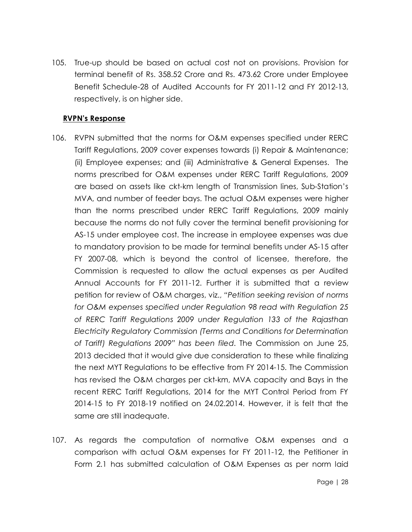105. True-up should be based on actual cost not on provisions. Provision for terminal benefit of Rs. 358.52 Crore and Rs. 473.62 Crore under Employee Benefit Schedule-28 of Audited Accounts for FY 2011-12 and FY 2012-13, respectively, is on higher side.

#### **RVPN's Response**

- 106. RVPN submitted that the norms for O&M expenses specified under RERC Tariff Regulations, 2009 cover expenses towards (i) Repair & Maintenance; (ii) Employee expenses; and (iii) Administrative & General Expenses. The norms prescribed for O&M expenses under RERC Tariff Regulations, 2009 are based on assets like ckt-km length of Transmission lines, Sub-Station's MVA, and number of feeder bays. The actual O&M expenses were higher than the norms prescribed under RERC Tariff Regulations, 2009 mainly because the norms do not fully cover the terminal benefit provisioning for AS-15 under employee cost. The increase in employee expenses was due to mandatory provision to be made for terminal benefits under AS-15 after FY 2007-08, which is beyond the control of licensee, therefore, the Commission is requested to allow the actual expenses as per Audited Annual Accounts for FY 2011-12. Further it is submitted that a review petition for review of O&M charges, viz., *"Petition seeking revision of norms for O&M expenses specified under Regulation 98 read with Regulation 25 of RERC Tariff Regulations 2009 under Regulation 133 of the Rajasthan Electricity Regulatory Commission (Terms and Conditions for Determination of Tariff) Regulations 2009" has been filed*. The Commission on June 25, 2013 decided that it would give due consideration to these while finalizing the next MYT Regulations to be effective from FY 2014-15. The Commission has revised the O&M charges per ckt-km, MVA capacity and Bays in the recent RERC Tariff Regulations, 2014 for the MYT Control Period from FY 2014-15 to FY 2018-19 notified on 24.02.2014. However, it is felt that the same are still inadequate.
- 107. As regards the computation of normative O&M expenses and a comparison with actual O&M expenses for FY 2011-12, the Petitioner in Form 2.1 has submitted calculation of O&M Expenses as per norm laid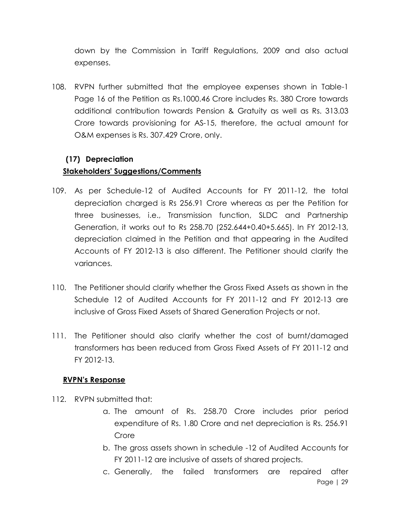down by the Commission in Tariff Regulations, 2009 and also actual expenses.

108. RVPN further submitted that the employee expenses shown in Table-1 Page 16 of the Petition as Rs.1000.46 Crore includes Rs. 380 Crore towards additional contribution towards Pension & Gratuity as well as Rs. 313.03 Crore towards provisioning for AS-15, therefore, the actual amount for O&M expenses is Rs. 307.429 Crore, only.

#### **(17) Depreciation**

#### **Stakeholders' Suggestions/Comments**

- 109. As per Schedule-12 of Audited Accounts for FY 2011-12, the total depreciation charged is Rs 256.91 Crore whereas as per the Petition for three businesses, i.e., Transmission function, SLDC and Partnership Generation, it works out to Rs 258.70 (252.644+0.40+5.665). In FY 2012-13, depreciation claimed in the Petition and that appearing in the Audited Accounts of FY 2012-13 is also different. The Petitioner should clarify the variances.
- 110. The Petitioner should clarify whether the Gross Fixed Assets as shown in the Schedule 12 of Audited Accounts for FY 2011-12 and FY 2012-13 are inclusive of Gross Fixed Assets of Shared Generation Projects or not.
- 111. The Petitioner should also clarify whether the cost of burnt/damaged transformers has been reduced from Gross Fixed Assets of FY 2011-12 and FY 2012-13.

#### **RVPN's Response**

- 112. RVPN submitted that:
	- a. The amount of Rs. 258.70 Crore includes prior period expenditure of Rs. 1.80 Crore and net depreciation is Rs. 256.91 Crore
	- b. The gross assets shown in schedule -12 of Audited Accounts for FY 2011-12 are inclusive of assets of shared projects.
	- Page | 29 c. Generally, the failed transformers are repaired after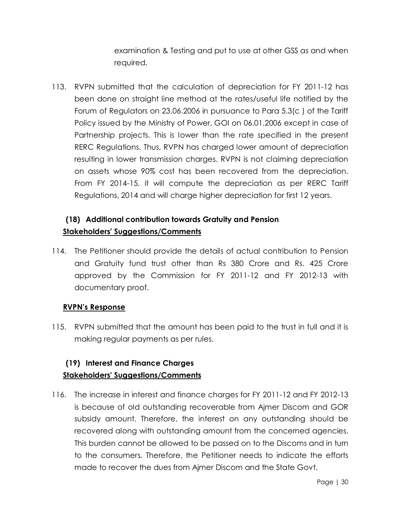examination & Testing and put to use at other GSS as and when required.

113. RVPN submitted that the calculation of depreciation for FY 2011-12 has been done on straight line method at the rates/useful life notified by the Forum of Regulators on 23.06.2006 in pursuance to Para 5.3(c ) of the Tariff Policy issued by the Ministry of Power, GOI on 06.01.2006 except in case of Partnership projects. This is lower than the rate specified in the present RERC Regulations. Thus, RVPN has charged lower amount of depreciation resulting in lower transmission charges. RVPN is not claiming depreciation on assets whose 90% cost has been recovered from the depreciation. From FY 2014-15, it will compute the depreciation as per RERC Tariff Regulations, 2014 and will charge higher depreciation for first 12 years.

# **(18) Additional contribution towards Gratuity and Pension Stakeholders' Suggestions/Comments**

114. The Petitioner should provide the details of actual contribution to Pension and Gratuity fund trust other than Rs 380 Crore and Rs. 425 Crore approved by the Commission for FY 2011-12 and FY 2012-13 with documentary proof.

## **RVPN's Response**

115. RVPN submitted that the amount has been paid to the trust in full and it is making regular payments as per rules.

## **(19) Interest and Finance Charges Stakeholders' Suggestions/Comments**

116. The increase in interest and finance charges for FY 2011-12 and FY 2012-13 is because of old outstanding recoverable from Ajmer Discom and GOR subsidy amount. Therefore, the interest on any outstanding should be recovered along with outstanding amount from the concerned agencies. This burden cannot be allowed to be passed on to the Discoms and in turn to the consumers. Therefore, the Petitioner needs to indicate the efforts made to recover the dues from Ajmer Discom and the State Govt.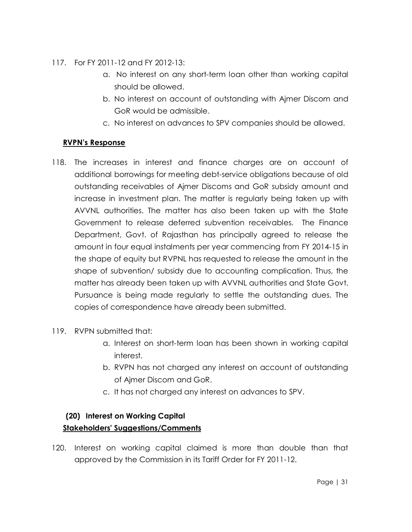- 117. For FY 2011-12 and FY 2012-13:
	- a. No interest on any short-term loan other than working capital should be allowed.
	- b. No interest on account of outstanding with Ajmer Discom and GoR would be admissible.
	- c. No interest on advances to SPV companies should be allowed.

## **RVPN's Response**

- 118. The increases in interest and finance charges are on account of additional borrowings for meeting debt-service obligations because of old outstanding receivables of Ajmer Discoms and GoR subsidy amount and increase in investment plan. The matter is regularly being taken up with AVVNL authorities. The matter has also been taken up with the State Government to release deferred subvention receivables. The Finance Department, Govt. of Rajasthan has principally agreed to release the amount in four equal instalments per year commencing from FY 2014-15 in the shape of equity but RVPNL has requested to release the amount in the shape of subvention/ subsidy due to accounting complication. Thus, the matter has already been taken up with AVVNL authorities and State Govt. Pursuance is being made regularly to settle the outstanding dues. The copies of correspondence have already been submitted.
- 119. RVPN submitted that:
	- a. Interest on short-term loan has been shown in working capital interest.
	- b. RVPN has not charged any interest on account of outstanding of Ajmer Discom and GoR.
	- c. It has not charged any interest on advances to SPV.

## **(20) Interest on Working Capital**

## **Stakeholders' Suggestions/Comments**

120. Interest on working capital claimed is more than double than that approved by the Commission in its Tariff Order for FY 2011-12.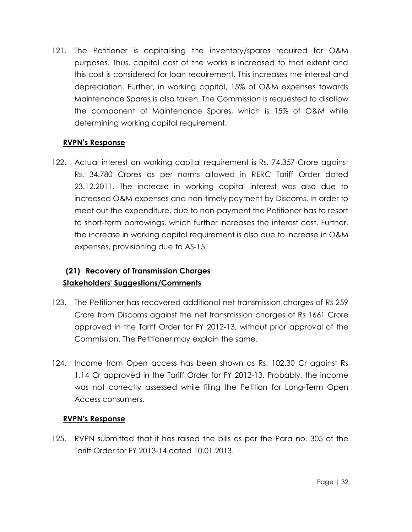121. The Petitioner is capitalising the inventory/spares required for O&M purposes. Thus, capital cost of the works is increased to that extent and this cost is considered for loan requirement. This increases the interest and depreciation. Further, in working capital, 15% of O&M expenses towards Maintenance Spares is also taken. The Commission is requested to disallow the component of Maintenance Spares, which is 15% of O&M while determining working capital requirement.

## **RVPN's Response**

122. Actual interest on working capital requirement is Rs. 74.357 Crore against Rs. 34.780 Crores as per norms allowed in RERC Tariff Order dated 23.12.2011. The increase in working capital interest was also due to increased O&M expenses and non-timely payment by Discoms. In order to meet out the expenditure, due to non-payment the Petitioner has to resort to short-term borrowings, which further increases the interest cost. Further, the increase in working capital requirement is also due to increase in O&M expenses, provisioning due to AS-15.

# **(21) Recovery of Transmission Charges Stakeholders' Suggestions/Comments**

- 123. The Petitioner has recovered additional net transmission charges of Rs 259 Crore from Discoms against the net transmission charges of Rs 1661 Crore approved in the Tariff Order for FY 2012-13, without prior approval of the Commission. The Petitioner may explain the same.
- 124. Income from Open access has been shown as Rs. 102.30 Cr against Rs 1.14 Cr approved in the Tariff Order for FY 2012-13. Probably, the income was not correctly assessed while filing the Petition for Long-Term Open Access consumers.

#### **RVPN's Response**

125. RVPN submitted that it has raised the bills as per the Para no. 305 of the Tariff Order for FY 2013-14 dated 10.01.2013.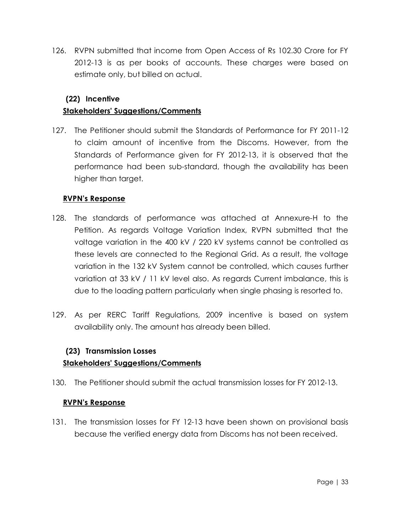126. RVPN submitted that income from Open Access of Rs 102.30 Crore for FY 2012-13 is as per books of accounts. These charges were based on estimate only, but billed on actual.

### **(22) Incentive**

### **Stakeholders' Suggestions/Comments**

127. The Petitioner should submit the Standards of Performance for FY 2011-12 to claim amount of incentive from the Discoms. However, from the Standards of Performance given for FY 2012-13, it is observed that the performance had been sub-standard, though the availability has been higher than target.

### **RVPN's Response**

- 128. The standards of performance was attached at Annexure-H to the Petition. As regards Voltage Variation Index, RVPN submitted that the voltage variation in the 400 kV / 220 kV systems cannot be controlled as these levels are connected to the Regional Grid. As a result, the voltage variation in the 132 kV System cannot be controlled, which causes further variation at 33 kV / 11 kV level also. As regards Current imbalance, this is due to the loading pattern particularly when single phasing is resorted to.
- 129. As per RERC Tariff Regulations, 2009 incentive is based on system availability only. The amount has already been billed.

### **(23) Transmission Losses Stakeholders' Suggestions/Comments**

130. The Petitioner should submit the actual transmission losses for FY 2012-13.

#### **RVPN's Response**

131. The transmission losses for FY 12-13 have been shown on provisional basis because the verified energy data from Discoms has not been received.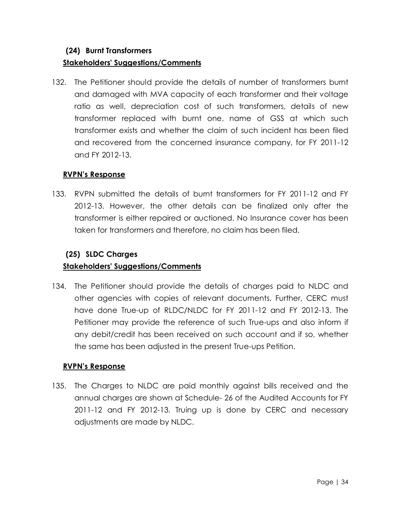# **(24) Burnt Transformers Stakeholders' Suggestions/Comments**

132. The Petitioner should provide the details of number of transformers burnt and damaged with MVA capacity of each transformer and their voltage ratio as well, depreciation cost of such transformers, details of new transformer replaced with burnt one, name of GSS at which such transformer exists and whether the claim of such incident has been filed and recovered from the concerned insurance company, for FY 2011-12 and FY 2012-13.

## **RVPN's Response**

133. RVPN submitted the details of burnt transformers for FY 2011-12 and FY 2012-13. However, the other details can be finalized only after the transformer is either repaired or auctioned. No Insurance cover has been taken for transformers and therefore, no claim has been filed.

## **(25) SLDC Charges**

## **Stakeholders' Suggestions/Comments**

134. The Petitioner should provide the details of charges paid to NLDC and other agencies with copies of relevant documents. Further, CERC must have done True-up of RLDC/NLDC for FY 2011-12 and FY 2012-13. The Petitioner may provide the reference of such True-ups and also inform if any debit/credit has been received on such account and if so, whether the same has been adjusted in the present True-ups Petition.

## **RVPN's Response**

135. The Charges to NLDC are paid monthly against bills received and the annual charges are shown at Schedule- 26 of the Audited Accounts for FY 2011-12 and FY 2012-13. Truing up is done by CERC and necessary adjustments are made by NLDC.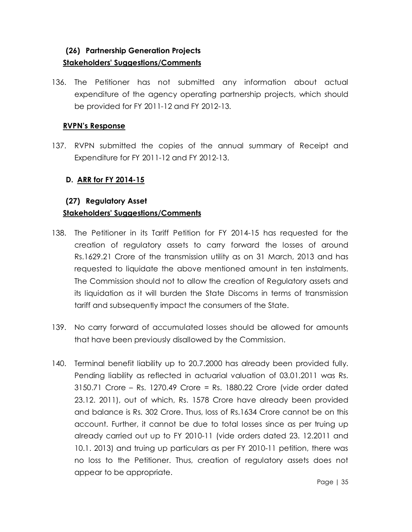# **(26) Partnership Generation Projects Stakeholders' Suggestions/Comments**

136. The Petitioner has not submitted any information about actual expenditure of the agency operating partnership projects, which should be provided for FY 2011-12 and FY 2012-13.

#### **RVPN's Response**

137. RVPN submitted the copies of the annual summary of Receipt and Expenditure for FY 2011-12 and FY 2012-13.

### **D. ARR for FY 2014-15**

## **(27) Regulatory Asset Stakeholders' Suggestions/Comments**

- 138. The Petitioner in its Tariff Petition for FY 2014-15 has requested for the creation of regulatory assets to carry forward the losses of around Rs.1629.21 Crore of the transmission utility as on 31 March, 2013 and has requested to liquidate the above mentioned amount in ten instalments. The Commission should not to allow the creation of Regulatory assets and its liquidation as it will burden the State Discoms in terms of transmission tariff and subsequently impact the consumers of the State.
- 139. No carry forward of accumulated losses should be allowed for amounts that have been previously disallowed by the Commission.
- 140. Terminal benefit liability up to 20.7.2000 has already been provided fully. Pending liability as reflected in actuarial valuation of 03.01.2011 was Rs. 3150.71 Crore – Rs. 1270.49 Crore = Rs. 1880.22 Crore (vide order dated 23.12. 2011), out of which, Rs. 1578 Crore have already been provided and balance is Rs. 302 Crore. Thus, loss of Rs.1634 Crore cannot be on this account. Further, it cannot be due to total losses since as per truing up already carried out up to FY 2010-11 (vide orders dated 23. 12.2011 and 10.1. 2013) and truing up particulars as per FY 2010-11 petition, there was no loss to the Petitioner. Thus, creation of regulatory assets does not appear to be appropriate.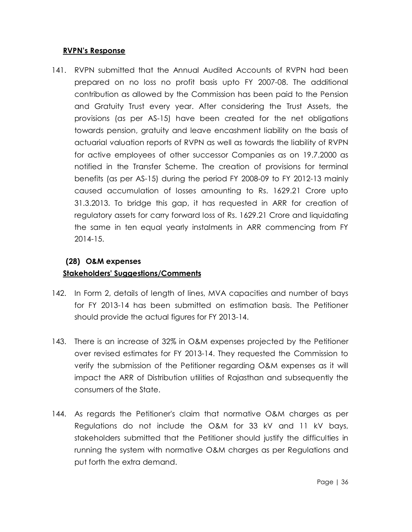#### **RVPN's Response**

141. RVPN submitted that the Annual Audited Accounts of RVPN had been prepared on no loss no profit basis upto FY 2007-08. The additional contribution as allowed by the Commission has been paid to the Pension and Gratuity Trust every year. After considering the Trust Assets, the provisions (as per AS-15) have been created for the net obligations towards pension, gratuity and leave encashment liability on the basis of actuarial valuation reports of RVPN as well as towards the liability of RVPN for active employees of other successor Companies as on 19.7.2000 as notified in the Transfer Scheme. The creation of provisions for terminal benefits (as per AS-15) during the period FY 2008-09 to FY 2012-13 mainly caused accumulation of losses amounting to Rs. 1629.21 Crore upto 31.3.2013. To bridge this gap, it has requested in ARR for creation of regulatory assets for carry forward loss of Rs. 1629.21 Crore and liquidating the same in ten equal yearly instalments in ARR commencing from FY 2014-15.

# **(28) O&M expenses Stakeholders' Suggestions/Comments**

- 142. In Form 2, details of length of lines, MVA capacities and number of bays for FY 2013-14 has been submitted on estimation basis. The Petitioner should provide the actual figures for FY 2013-14.
- 143. There is an increase of 32% in O&M expenses projected by the Petitioner over revised estimates for FY 2013-14. They requested the Commission to verify the submission of the Petitioner regarding O&M expenses as it will impact the ARR of Distribution utilities of Rajasthan and subsequently the consumers of the State.
- 144. As regards the Petitioner's claim that normative O&M charges as per Regulations do not include the O&M for 33 kV and 11 kV bays, stakeholders submitted that the Petitioner should justify the difficulties in running the system with normative O&M charges as per Regulations and put forth the extra demand.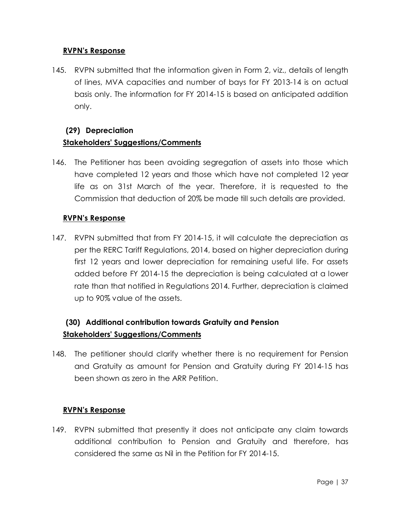#### **RVPN's Response**

145. RVPN submitted that the information given in Form 2, viz., details of length of lines, MVA capacities and number of bays for FY 2013-14 is on actual basis only. The information for FY 2014-15 is based on anticipated addition only.

# **(29) Depreciation Stakeholders' Suggestions/Comments**

146. The Petitioner has been avoiding segregation of assets into those which have completed 12 years and those which have not completed 12 year life as on 31st March of the year. Therefore, it is requested to the Commission that deduction of 20% be made till such details are provided.

## **RVPN's Response**

147. RVPN submitted that from FY 2014-15, it will calculate the depreciation as per the RERC Tariff Regulations, 2014, based on higher depreciation during first 12 years and lower depreciation for remaining useful life. For assets added before FY 2014-15 the depreciation is being calculated at a lower rate than that notified in Regulations 2014. Further, depreciation is claimed up to 90% value of the assets.

# **(30) Additional contribution towards Gratuity and Pension Stakeholders' Suggestions/Comments**

148. The petitioner should clarify whether there is no requirement for Pension and Gratuity as amount for Pension and Gratuity during FY 2014-15 has been shown as zero in the ARR Petition.

## **RVPN's Response**

149. RVPN submitted that presently it does not anticipate any claim towards additional contribution to Pension and Gratuity and therefore, has considered the same as Nil in the Petition for FY 2014-15.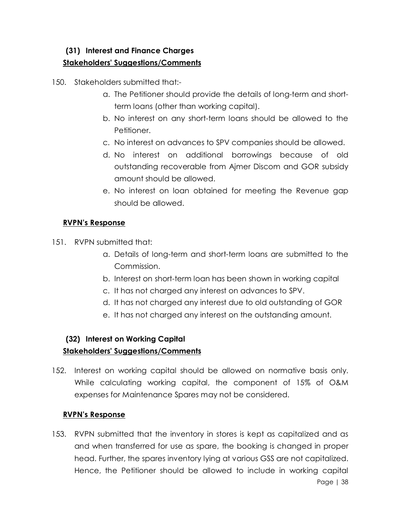# **(31) Interest and Finance Charges Stakeholders' Suggestions/Comments**

150. Stakeholders submitted that:-

- a. The Petitioner should provide the details of long-term and shortterm loans (other than working capital).
- b. No interest on any short-term loans should be allowed to the Petitioner.
- c. No interest on advances to SPV companies should be allowed.
- d. No interest on additional borrowings because of old outstanding recoverable from Ajmer Discom and GOR subsidy amount should be allowed.
- e. No interest on loan obtained for meeting the Revenue gap should be allowed.

## **RVPN's Response**

- 151. RVPN submitted that:
	- a. Details of long-term and short-term loans are submitted to the Commission.
	- b. Interest on short-term loan has been shown in working capital
	- c. It has not charged any interest on advances to SPV.
	- d. It has not charged any interest due to old outstanding of GOR
	- e. It has not charged any interest on the outstanding amount.

## **(32) Interest on Working Capital**

#### **Stakeholders' Suggestions/Comments**

152. Interest on working capital should be allowed on normative basis only. While calculating working capital, the component of 15% of O&M expenses for Maintenance Spares may not be considered.

#### **RVPN's Response**

Page | 38 153. RVPN submitted that the inventory in stores is kept as capitalized and as and when transferred for use as spare, the booking is changed in proper head. Further, the spares inventory lying at various GSS are not capitalized. Hence, the Petitioner should be allowed to include in working capital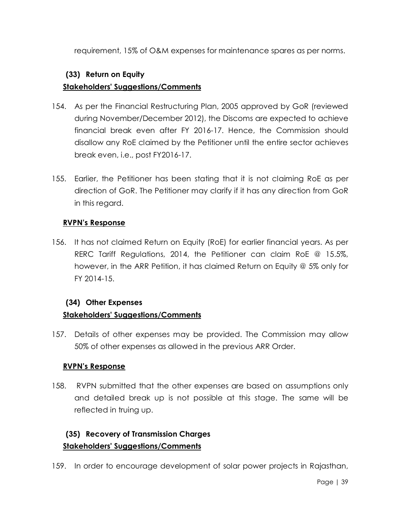requirement, 15% of O&M expenses for maintenance spares as per norms.

## **(33) Return on Equity**

## **Stakeholders' Suggestions/Comments**

- 154. As per the Financial Restructuring Plan, 2005 approved by GoR (reviewed during November/December 2012), the Discoms are expected to achieve financial break even after FY 2016-17. Hence, the Commission should disallow any RoE claimed by the Petitioner until the entire sector achieves break even, i.e., post FY2016-17.
- 155. Earlier, the Petitioner has been stating that it is not claiming RoE as per direction of GoR. The Petitioner may clarify if it has any direction from GoR in this regard.

## **RVPN's Response**

156. It has not claimed Return on Equity (RoE) for earlier financial years. As per RERC Tariff Regulations, 2014, the Petitioner can claim RoE @ 15.5%, however, in the ARR Petition, it has claimed Return on Equity @ 5% only for FY 2014-15.

## **(34) Other Expenses**

## **Stakeholders' Suggestions/Comments**

157. Details of other expenses may be provided. The Commission may allow 50% of other expenses as allowed in the previous ARR Order.

#### **RVPN's Response**

158. RVPN submitted that the other expenses are based on assumptions only and detailed break up is not possible at this stage. The same will be reflected in truing up.

## **(35) Recovery of Transmission Charges Stakeholders' Suggestions/Comments**

159. In order to encourage development of solar power projects in Rajasthan,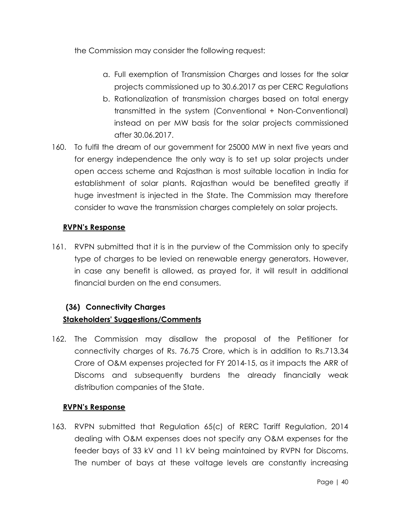the Commission may consider the following request:

- a. Full exemption of Transmission Charges and losses for the solar projects commissioned up to 30.6.2017 as per CERC Regulations
- b. Rationalization of transmission charges based on total energy transmitted in the system (Conventional + Non-Conventional) instead on per MW basis for the solar projects commissioned after 30.06.2017.
- 160. To fulfil the dream of our government for 25000 MW in next five years and for energy independence the only way is to set up solar projects under open access scheme and Rajasthan is most suitable location in India for establishment of solar plants. Rajasthan would be benefited greatly if huge investment is injected in the State. The Commission may therefore consider to wave the transmission charges completely on solar projects.

## **RVPN's Response**

161. RVPN submitted that it is in the purview of the Commission only to specify type of charges to be levied on renewable energy generators. However, in case any benefit is allowed, as prayed for, it will result in additional financial burden on the end consumers.

## **(36) Connectivity Charges**

## **Stakeholders' Suggestions/Comments**

162. The Commission may disallow the proposal of the Petitioner for connectivity charges of Rs. 76.75 Crore, which is in addition to Rs.713.34 Crore of O&M expenses projected for FY 2014-15, as it impacts the ARR of Discoms and subsequently burdens the already financially weak distribution companies of the State.

## **RVPN's Response**

163. RVPN submitted that Regulation 65(c) of RERC Tariff Regulation, 2014 dealing with O&M expenses does not specify any O&M expenses for the feeder bays of 33 kV and 11 kV being maintained by RVPN for Discoms. The number of bays at these voltage levels are constantly increasing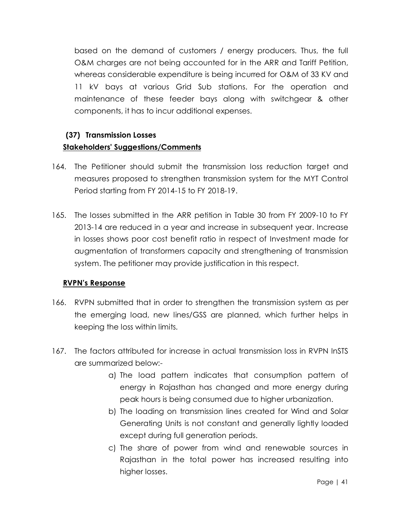based on the demand of customers / energy producers. Thus, the full O&M charges are not being accounted for in the ARR and Tariff Petition, whereas considerable expenditure is being incurred for O&M of 33 KV and 11 kV bays at various Grid Sub stations. For the operation and maintenance of these feeder bays along with switchgear & other components, it has to incur additional expenses.

# **(37) Transmission Losses Stakeholders' Suggestions/Comments**

- 164. The Petitioner should submit the transmission loss reduction target and measures proposed to strengthen transmission system for the MYT Control Period starting from FY 2014-15 to FY 2018-19.
- 165. The losses submitted in the ARR petition in Table 30 from FY 2009-10 to FY 2013-14 are reduced in a year and increase in subsequent year. Increase in losses shows poor cost benefit ratio in respect of Investment made for augmentation of transformers capacity and strengthening of transmission system. The petitioner may provide justification in this respect.

## **RVPN's Response**

- 166. RVPN submitted that in order to strengthen the transmission system as per the emerging load, new lines/GSS are planned, which further helps in keeping the loss within limits.
- 167. The factors attributed for increase in actual transmission loss in RVPN InSTS are summarized below:
	- a) The load pattern indicates that consumption pattern of energy in Rajasthan has changed and more energy during peak hours is being consumed due to higher urbanization.
	- b) The loading on transmission lines created for Wind and Solar Generating Units is not constant and generally lightly loaded except during full generation periods.
	- c) The share of power from wind and renewable sources in Rajasthan in the total power has increased resulting into higher losses.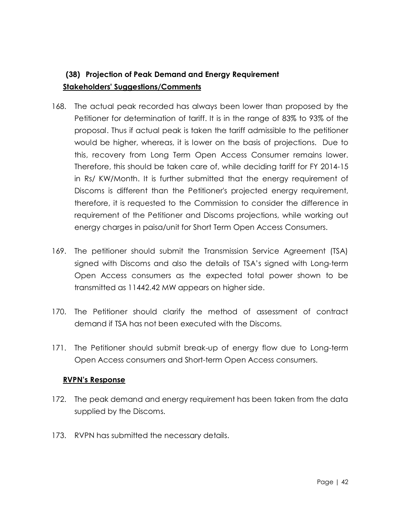# **(38) Projection of Peak Demand and Energy Requirement Stakeholders' Suggestions/Comments**

- 168. The actual peak recorded has always been lower than proposed by the Petitioner for determination of tariff. It is in the range of 83% to 93% of the proposal. Thus if actual peak is taken the tariff admissible to the petitioner would be higher, whereas, it is lower on the basis of projections. Due to this, recovery from Long Term Open Access Consumer remains lower. Therefore, this should be taken care of, while deciding tariff for FY 2014-15 in Rs/ KW/Month. It is further submitted that the energy requirement of Discoms is different than the Petitioner's projected energy requirement, therefore, it is requested to the Commission to consider the difference in requirement of the Petitioner and Discoms projections, while working out energy charges in paisa/unit for Short Term Open Access Consumers.
- 169. The petitioner should submit the Transmission Service Agreement (TSA) signed with Discoms and also the details of TSA's signed with Long-term Open Access consumers as the expected total power shown to be transmitted as 11442.42 MW appears on higher side.
- 170. The Petitioner should clarify the method of assessment of contract demand if TSA has not been executed with the Discoms.
- 171. The Petitioner should submit break-up of energy flow due to Long-term Open Access consumers and Short-term Open Access consumers.

## **RVPN's Response**

- 172. The peak demand and energy requirement has been taken from the data supplied by the Discoms.
- 173. RVPN has submitted the necessary details.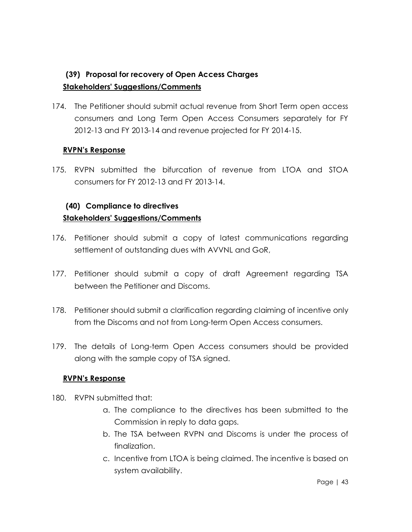# **(39) Proposal for recovery of Open Access Charges Stakeholders' Suggestions/Comments**

174. The Petitioner should submit actual revenue from Short Term open access consumers and Long Term Open Access Consumers separately for FY 2012-13 and FY 2013-14 and revenue projected for FY 2014-15.

### **RVPN's Response**

175. RVPN submitted the bifurcation of revenue from LTOA and STOA consumers for FY 2012-13 and FY 2013-14.

# **(40) Compliance to directives Stakeholders' Suggestions/Comments**

- 176. Petitioner should submit a copy of latest communications regarding settlement of outstanding dues with AVVNL and GoR,
- 177. Petitioner should submit a copy of draft Agreement regarding TSA between the Petitioner and Discoms.
- 178. Petitioner should submit a clarification regarding claiming of incentive only from the Discoms and not from Long-term Open Access consumers.
- 179. The details of Long-term Open Access consumers should be provided along with the sample copy of TSA signed.

#### **RVPN's Response**

- 180. RVPN submitted that:
	- a. The compliance to the directives has been submitted to the Commission in reply to data gaps.
	- b. The TSA between RVPN and Discoms is under the process of finalization.
	- c. Incentive from LTOA is being claimed. The incentive is based on system availability.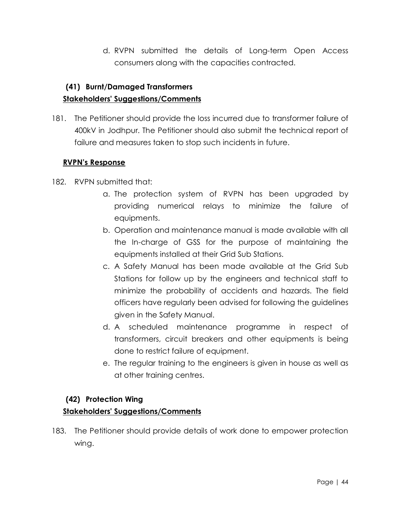d. RVPN submitted the details of Long-term Open Access consumers along with the capacities contracted.

# **(41) Burnt/Damaged Transformers Stakeholders' Suggestions/Comments**

181. The Petitioner should provide the loss incurred due to transformer failure of 400kV in Jodhpur. The Petitioner should also submit the technical report of failure and measures taken to stop such incidents in future.

## **RVPN's Response**

- 182. RVPN submitted that:
	- a. The protection system of RVPN has been upgraded by providing numerical relays to minimize the failure of equipments.
	- b. Operation and maintenance manual is made available with all the In-charge of GSS for the purpose of maintaining the equipments installed at their Grid Sub Stations.
	- c. A Safety Manual has been made available at the Grid Sub Stations for follow up by the engineers and technical staff to minimize the probability of accidents and hazards. The field officers have regularly been advised for following the guidelines given in the Safety Manual.
	- d. A scheduled maintenance programme in respect of transformers, circuit breakers and other equipments is being done to restrict failure of equipment.
	- e. The regular training to the engineers is given in house as well as at other training centres.

## **(42) Protection Wing**

## **Stakeholders' Suggestions/Comments**

183. The Petitioner should provide details of work done to empower protection wing.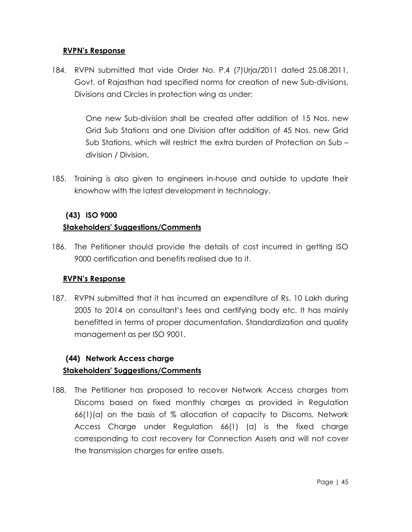#### **RVPN's Response**

184. RVPN submitted that vide Order No. P.4 (7)Urja/2011 dated 25.08.2011, Govt. of Rajasthan had specified norms for creation of new Sub-divisions, Divisions and Circles in protection wing as under:

> One new Sub-division shall be created after addition of 15 Nos. new Grid Sub Stations and one Division after addition of 45 Nos. new Grid Sub Stations, which will restrict the extra burden of Protection on Sub – division / Division.

185. Training is also given to engineers in-house and outside to update their knowhow with the latest development in technology.

### **(43) ISO 9000**

### **Stakeholders' Suggestions/Comments**

186. The Petitioner should provide the details of cost incurred in getting ISO 9000 certification and benefits realised due to it.

#### **RVPN's Response**

187. RVPN submitted that it has incurred an expenditure of Rs. 10 Lakh during 2005 to 2014 on consultant's fees and certifying body etc. It has mainly benefitted in terms of proper documentation, Standardization and quality management as per ISO 9001.

# **(44) Network Access charge Stakeholders' Suggestions/Comments**

188. The Petitioner has proposed to recover Network Access charges from Discoms based on fixed monthly charges as provided in Regulation 66(1)(a) on the basis of % allocation of capacity to Discoms. Network Access Charge under Regulation 66(1) (a) is the fixed charge corresponding to cost recovery for Connection Assets and will not cover the transmission charges for entire assets.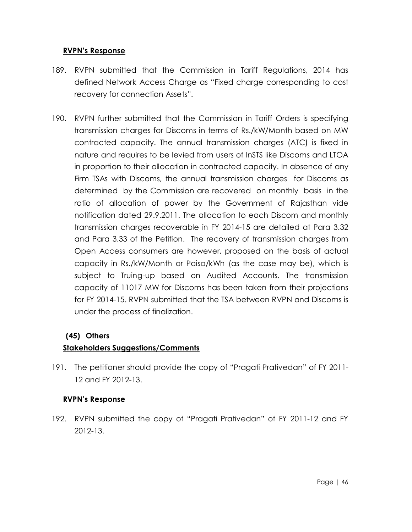#### **RVPN's Response**

- 189. RVPN submitted that the Commission in Tariff Regulations, 2014 has defined Network Access Charge as "Fixed charge corresponding to cost recovery for connection Assets".
- 190. RVPN further submitted that the Commission in Tariff Orders is specifying transmission charges for Discoms in terms of Rs./kW/Month based on MW contracted capacity. The annual transmission charges (ATC) is fixed in nature and requires to be levied from users of InSTS like Discoms and LTOA in proportion to their allocation in contracted capacity. In absence of any Firm TSAs with Discoms, the annual transmission charges for Discoms as determined by the Commission are recovered on monthly basis in the ratio of allocation of power by the Government of Rajasthan vide notification dated 29.9.2011. The allocation to each Discom and monthly transmission charges recoverable in FY 2014-15 are detailed at Para 3.32 and Para 3.33 of the Petition. The recovery of transmission charges from Open Access consumers are however, proposed on the basis of actual capacity in Rs./kW/Month or Paisa/kWh (as the case may be), which is subject to Truing-up based on Audited Accounts. The transmission capacity of 11017 MW for Discoms has been taken from their projections for FY 2014-15. RVPN submitted that the TSA between RVPN and Discoms is under the process of finalization.

## **(45) Others**

## **Stakeholders Suggestions/Comments**

191. The petitioner should provide the copy of "Pragati Prativedan" of FY 2011- 12 and FY 2012-13.

## **RVPN's Response**

192. RVPN submitted the copy of "Pragati Prativedan" of FY 2011-12 and FY 2012-13.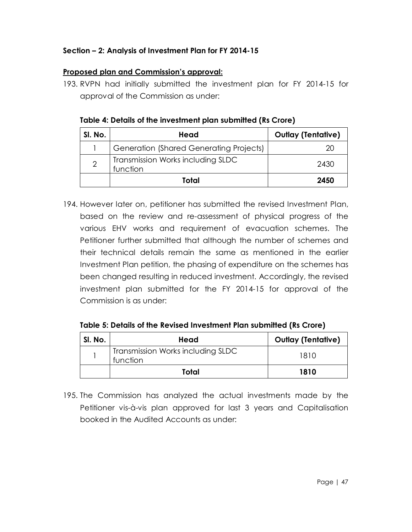### **Section – 2: Analysis of Investment Plan for FY 2014-15**

### **Proposed plan and Commission's approval:**

193. RVPN had initially submitted the investment plan for FY 2014-15 for approval of the Commission as under:

| Table 4: Details of the investment plan submitted (Rs Crore) |  |
|--------------------------------------------------------------|--|
|--------------------------------------------------------------|--|

| SI. No.        | Head                                           | <b>Outlay (Tentative)</b> |
|----------------|------------------------------------------------|---------------------------|
|                | <b>Generation (Shared Generating Projects)</b> | 20                        |
| $\overline{2}$ | Transmission Works including SLDC<br>function  | 2430                      |
|                | Total                                          | 2450                      |

194. However later on, petitioner has submitted the revised Investment Plan, based on the review and re-assessment of physical progress of the various EHV works and requirement of evacuation schemes. The Petitioner further submitted that although the number of schemes and their technical details remain the same as mentioned in the earlier Investment Plan petition, the phasing of expenditure on the schemes has been changed resulting in reduced investment. Accordingly, the revised investment plan submitted for the FY 2014-15 for approval of the Commission is as under:

**Table 5: Details of the Revised Investment Plan submitted (Rs Crore)**

| SI. No. | Head                                          | <b>Outlay (Tentative)</b> |
|---------|-----------------------------------------------|---------------------------|
|         | Transmission Works including SLDC<br>function | 1810                      |
|         | Total                                         | 1810                      |

195. The Commission has analyzed the actual investments made by the Petitioner vis-à-vis plan approved for last 3 years and Capitalisation booked in the Audited Accounts as under: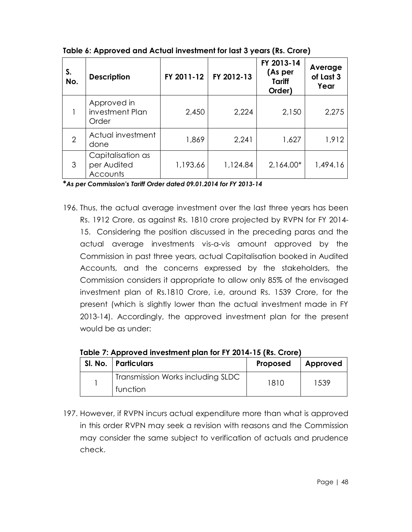| S.<br>No.      | <b>Description</b>                           | FY 2011-12 | FY 2012-13 | FY 2013-14<br>(As per<br><b>Tariff</b><br>Order) | Average<br>of Last 3<br>Year |
|----------------|----------------------------------------------|------------|------------|--------------------------------------------------|------------------------------|
|                | Approved in<br>investment Plan<br>Order      | 2,450      | 2,224      | 2,150                                            | 2,275                        |
| $\overline{2}$ | Actual investment<br>done                    | 1,869      | 2,241      | 1,627                                            | 1,912                        |
| 3              | Capitalisation as<br>per Audited<br>Accounts | 1,193.66   | 1,124.84   | 2,164.00*                                        | 1,494.16                     |

**Table 6: Approved and Actual investment for last 3 years (Rs. Crore)**

**\****As per Commission's Tariff Order dated 09.01.2014 for FY 2013-14*

196. Thus, the actual average investment over the last three years has been Rs. 1912 Crore, as against Rs. 1810 crore projected by RVPN for FY 2014- 15. Considering the position discussed in the preceding paras and the actual average investments vis-a-vis amount approved by the Commission in past three years, actual Capitalisation booked in Audited Accounts, and the concerns expressed by the stakeholders, the Commission considers it appropriate to allow only 85% of the envisaged investment plan of Rs.1810 Crore, i.e, around Rs. 1539 Crore, for the present (which is slightly lower than the actual investment made in FY 2013-14). Accordingly, the approved investment plan for the present would be as under:

| SI. No.   Particulars                         | Proposed | Approved |
|-----------------------------------------------|----------|----------|
| Transmission Works including SLDC<br>function | 1810     | 1539     |

**Table 7: Approved investment plan for FY 2014-15 (Rs. Crore)**

197. However, if RVPN incurs actual expenditure more than what is approved in this order RVPN may seek a revision with reasons and the Commission may consider the same subject to verification of actuals and prudence check.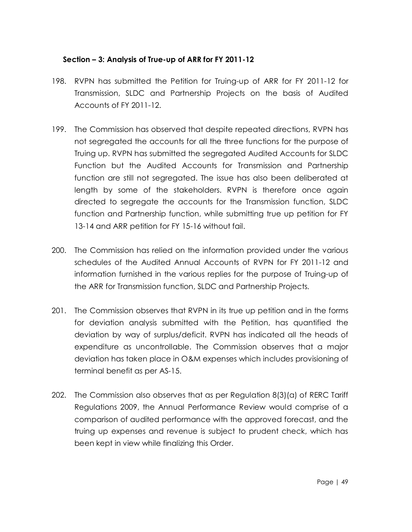#### **Section – 3: Analysis of True-up of ARR for FY 2011-12**

- 198. RVPN has submitted the Petition for Truing-up of ARR for FY 2011-12 for Transmission, SLDC and Partnership Projects on the basis of Audited Accounts of FY 2011-12.
- 199. The Commission has observed that despite repeated directions, RVPN has not segregated the accounts for all the three functions for the purpose of Truing up. RVPN has submitted the segregated Audited Accounts for SLDC Function but the Audited Accounts for Transmission and Partnership function are still not segregated. The issue has also been deliberated at length by some of the stakeholders. RVPN is therefore once again directed to segregate the accounts for the Transmission function, SLDC function and Partnership function, while submitting true up petition for FY 13-14 and ARR petition for FY 15-16 without fail.
- 200. The Commission has relied on the information provided under the various schedules of the Audited Annual Accounts of RVPN for FY 2011-12 and information furnished in the various replies for the purpose of Truing-up of the ARR for Transmission function, SLDC and Partnership Projects.
- 201. The Commission observes that RVPN in its true up petition and in the forms for deviation analysis submitted with the Petition, has quantified the deviation by way of surplus/deficit. RVPN has indicated all the heads of expenditure as uncontrollable. The Commission observes that a major deviation has taken place in O&M expenses which includes provisioning of terminal benefit as per AS-15.
- 202. The Commission also observes that as per Regulation 8(3)(a) of RERC Tariff Regulations 2009, the Annual Performance Review would comprise of a comparison of audited performance with the approved forecast, and the truing up expenses and revenue is subject to prudent check, which has been kept in view while finalizing this Order.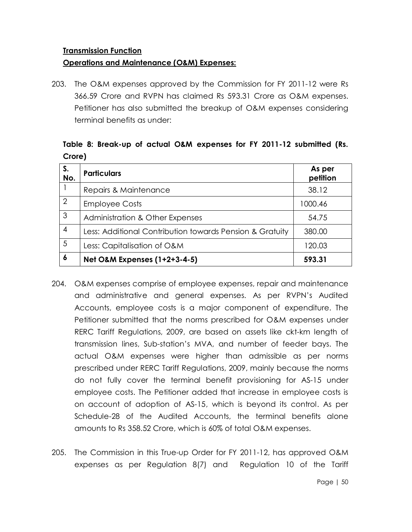#### **Transmission Function**

#### **Operations and Maintenance (O&M) Expenses:**

203. The O&M expenses approved by the Commission for FY 2011-12 were Rs 366.59 Crore and RVPN has claimed Rs 593.31 Crore as O&M expenses. Petitioner has also submitted the breakup of O&M expenses considering terminal benefits as under:

## **Table 8: Break-up of actual O&M expenses for FY 2011-12 submitted (Rs. Crore)**

| S.<br>No.      | <b>Particulars</b>                                       | As per<br>petition |
|----------------|----------------------------------------------------------|--------------------|
|                | Repairs & Maintenance                                    | 38.12              |
| $\overline{2}$ | <b>Employee Costs</b>                                    | 1000.46            |
| 3              | <b>Administration &amp; Other Expenses</b>               | 54.75              |
| 4              | Less: Additional Contribution towards Pension & Gratuity | 380.00             |
| 5              | Less: Capitalisation of O&M                              | 120.03             |
| 6              | Net O&M Expenses (1+2+3-4-5)                             | 593.31             |

- 204. O&M expenses comprise of employee expenses, repair and maintenance and administrative and general expenses. As per RVPN's Audited Accounts, employee costs is a major component of expenditure. The Petitioner submitted that the norms prescribed for O&M expenses under RERC Tariff Regulations, 2009, are based on assets like ckt-km length of transmission lines, Sub-station's MVA, and number of feeder bays. The actual O&M expenses were higher than admissible as per norms prescribed under RERC Tariff Regulations, 2009, mainly because the norms do not fully cover the terminal benefit provisioning for AS-15 under employee costs. The Petitioner added that increase in employee costs is on account of adoption of AS-15, which is beyond its control. As per Schedule-28 of the Audited Accounts, the terminal benefits alone amounts to Rs 358.52 Crore, which is 60% of total O&M expenses.
- 205. The Commission in this True-up Order for FY 2011-12, has approved O&M expenses as per Regulation 8(7) and Regulation 10 of the Tariff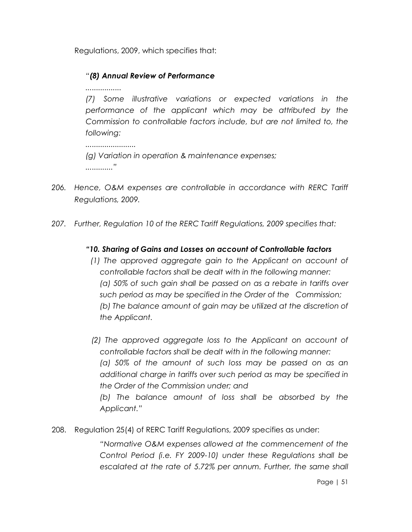Regulations, 2009, which specifies that:

## *"(8) Annual Review of Performance*

*.................*

*(7) Some illustrative variations or expected variations in the performance of the applicant which may be attributed by the Commission to controllable factors include, but are not limited to, the following:*

*........................ (g) Variation in operation & maintenance expenses; ............."*

- *206. Hence, O&M expenses are controllable in accordance with RERC Tariff Regulations, 2009.*
- *207. Further, Regulation 10 of the RERC Tariff Regulations, 2009 specifies that:*

## *"10. Sharing of Gains and Losses on account of Controllable factors*

*(1) The approved aggregate gain to the Applicant on account of controllable factors shall be dealt with in the following manner: (a) 50% of such gain shall be passed on as a rebate in tariffs over such period as may be specified in the Order of the Commission; (b) The balance amount of gain may be utilized at the discretion of the Applicant.*

*(2) The approved aggregate loss to the Applicant on account of controllable factors shall be dealt with in the following manner: (a) 50% of the amount of such loss may be passed on as an additional charge in tariffs over such period as may be specified in the Order of the Commission under; and (b) The balance amount of loss shall be absorbed by the Applicant."*

208. Regulation 25(4) of RERC Tariff Regulations, 2009 specifies as under:

*"Normative O&M expenses allowed at the commencement of the Control Period (i.e. FY 2009-10) under these Regulations shall be escalated at the rate of 5.72% per annum. Further, the same shall*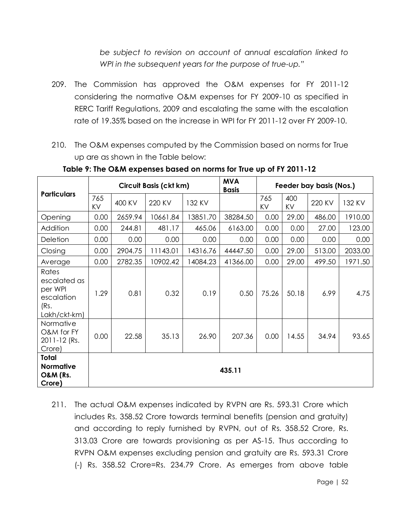*be subject to revision on account of annual escalation linked to WPI in the subsequent years for the purpose of true-up."*

- 209. The Commission has approved the O&M expenses for FY 2011-12 considering the normative O&M expenses for FY 2009-10 as specified in RERC Tariff Regulations, 2009 and escalating the same with the escalation rate of 19.35% based on the increase in WPI for FY 2011-12 over FY 2009-10.
- 210. The O&M expenses computed by the Commission based on norms for True up are as shown in the Table below:

|                                                                        |           | Circuit Basis (ckt km) |          |          |          | Feeder bay basis (Nos.) |           |        |         |
|------------------------------------------------------------------------|-----------|------------------------|----------|----------|----------|-------------------------|-----------|--------|---------|
| <b>Particulars</b>                                                     | 765<br>KV | 400 KV                 | 220 KV   | 132 KV   |          | 765<br>KV               | 400<br>KV | 220 KV | 132 KV  |
| Opening                                                                | 0.00      | 2659.94                | 10661.84 | 13851.70 | 38284.50 | 0.00                    | 29.00     | 486.00 | 1910.00 |
| Addition                                                               | 0.00      | 244.81                 | 481.17   | 465.06   | 6163.00  | 0.00                    | 0.00      | 27.00  | 123.00  |
| Deletion                                                               | 0.00      | 0.00                   | 0.00     | 0.00     | 0.00     | 0.00                    | 0.00      | 0.00   | 0.00    |
| Closing                                                                | 0.00      | 2904.75                | 11143.01 | 14316.76 | 44447.50 | 0.00                    | 29.00     | 513.00 | 2033.00 |
| Average                                                                | 0.00      | 2782.35                | 10902.42 | 14084.23 | 41366.00 | 0.00                    | 29.00     | 499.50 | 1971.50 |
| Rates<br>escalated as<br>per WPI<br>escalation<br>(Rs.<br>Lakh/ckt-km) | 1.29      | 0.81                   | 0.32     | 0.19     | 0.50     | 75.26                   | 50.18     | 6.99   | 4.75    |
| Normative<br>O&M for FY<br>2011-12 (Rs.<br>Crore)                      | 0.00      | 22.58                  | 35.13    | 26.90    | 207.36   | 0.00                    | 14.55     | 34.94  | 93.65   |
| <b>Total</b><br><b>Normative</b><br><b>O&amp;M (Rs.</b><br>Crore)      | 435.11    |                        |          |          |          |                         |           |        |         |

**Table 9: The O&M expenses based on norms for True up of FY 2011-12**

211. The actual O&M expenses indicated by RVPN are Rs. 593.31 Crore which includes Rs. 358.52 Crore towards terminal benefits (pension and gratuity) and according to reply furnished by RVPN, out of Rs. 358.52 Crore, Rs. 313.03 Crore are towards provisioning as per AS-15. Thus according to RVPN O&M expenses excluding pension and gratuity are Rs. 593.31 Crore (-) Rs. 358.52 Crore=Rs. 234.79 Crore. As emerges from above table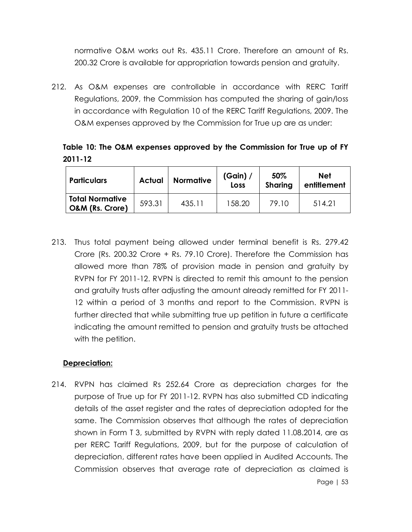normative O&M works out Rs. 435.11 Crore. Therefore an amount of Rs. 200.32 Crore is available for appropriation towards pension and gratuity.

212. As O&M expenses are controllable in accordance with RERC Tariff Regulations, 2009, the Commission has computed the sharing of gain/loss in accordance with Regulation 10 of the RERC Tariff Regulations, 2009. The O&M expenses approved by the Commission for True up are as under:

**Table 10: The O&M expenses approved by the Commission for True up of FY 2011-12**

| <b>Particulars</b>                        | <b>Actual</b> | <b>Normative</b> | (Gain) /<br>Loss | 50%<br><b>Sharing</b> | Net<br>entitlement |  |
|-------------------------------------------|---------------|------------------|------------------|-----------------------|--------------------|--|
| <b>Total Normative</b><br>O&M (Rs. Crore) | 593.31        | 435.11           | 158.20           | 79.10                 | 514.21             |  |

213. Thus total payment being allowed under terminal benefit is Rs. 279.42 Crore (Rs. 200.32 Crore + Rs. 79.10 Crore). Therefore the Commission has allowed more than 78% of provision made in pension and gratuity by RVPN for FY 2011-12. RVPN is directed to remit this amount to the pension and gratuity trusts after adjusting the amount already remitted for FY 2011- 12 within a period of 3 months and report to the Commission. RVPN is further directed that while submitting true up petition in future a certificate indicating the amount remitted to pension and gratuity trusts be attached with the petition.

#### **Depreciation:**

214. RVPN has claimed Rs 252.64 Crore as depreciation charges for the purpose of True up for FY 2011-12. RVPN has also submitted CD indicating details of the asset register and the rates of depreciation adopted for the same. The Commission observes that although the rates of depreciation shown in Form T 3, submitted by RVPN with reply dated 11.08.2014, are as per RERC Tariff Regulations, 2009, but for the purpose of calculation of depreciation, different rates have been applied in Audited Accounts. The Commission observes that average rate of depreciation as claimed is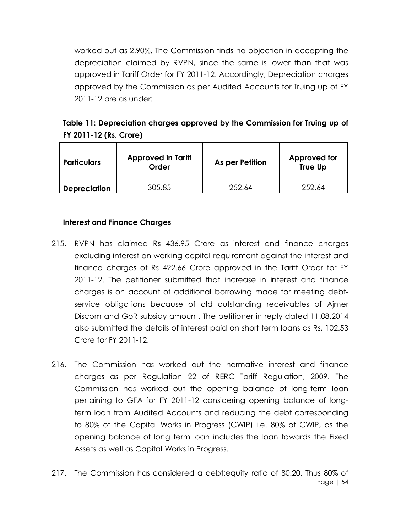worked out as 2.90%. The Commission finds no objection in accepting the depreciation claimed by RVPN, since the same is lower than that was approved in Tariff Order for FY 2011-12. Accordingly, Depreciation charges approved by the Commission as per Audited Accounts for Truing up of FY 2011-12 are as under:

| Table 11: Depreciation charges approved by the Commission for Truing up of |  |
|----------------------------------------------------------------------------|--|
| <b>FY 2011-12 (Rs. Crore)</b>                                              |  |

| <b>Particulars</b>  | <b>Approved in Tariff</b><br>Order | As per Petition | Approved for<br><b>True Up</b> |
|---------------------|------------------------------------|-----------------|--------------------------------|
| <b>Depreciation</b> | 305.85                             | 252.64          | 252.64                         |

#### **Interest and Finance Charges**

- 215. RVPN has claimed Rs 436.95 Crore as interest and finance charges excluding interest on working capital requirement against the interest and finance charges of Rs 422.66 Crore approved in the Tariff Order for FY 2011-12. The petitioner submitted that increase in interest and finance charges is on account of additional borrowing made for meeting debtservice obligations because of old outstanding receivables of Ajmer Discom and GoR subsidy amount. The petitioner in reply dated 11.08.2014 also submitted the details of interest paid on short term loans as Rs. 102.53 Crore for FY 2011-12.
- 216. The Commission has worked out the normative interest and finance charges as per Regulation 22 of RERC Tariff Regulation, 2009. The Commission has worked out the opening balance of long-term loan pertaining to GFA for FY 2011-12 considering opening balance of longterm loan from Audited Accounts and reducing the debt corresponding to 80% of the Capital Works in Progress (CWIP) i.e. 80% of CWIP, as the opening balance of long term loan includes the loan towards the Fixed Assets as well as Capital Works in Progress.
- Page | 54 217. The Commission has considered a debt:equity ratio of 80:20. Thus 80% of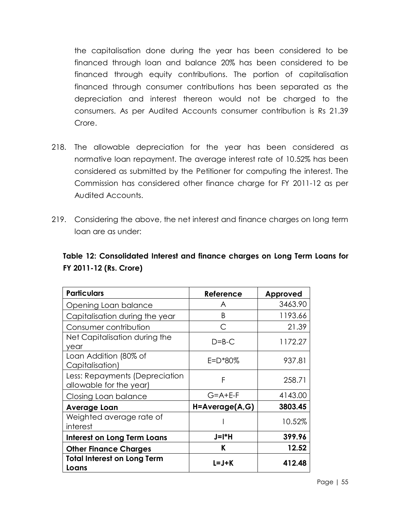the capitalisation done during the year has been considered to be financed through loan and balance 20% has been considered to be financed through equity contributions. The portion of capitalisation financed through consumer contributions has been separated as the depreciation and interest thereon would not be charged to the consumers. As per Audited Accounts consumer contribution is Rs 21.39 Crore.

- 218. The allowable depreciation for the year has been considered as normative loan repayment. The average interest rate of 10.52% has been considered as submitted by the Petitioner for computing the interest. The Commission has considered other finance charge for FY 2011-12 as per Audited Accounts.
- 219. Considering the above, the net interest and finance charges on long term loan are as under:

## **Table 12: Consolidated Interest and finance charges on Long Term Loans for FY 2011-12 (Rs. Crore)**

| <b>Particulars</b>                                        | Reference           | Approved |
|-----------------------------------------------------------|---------------------|----------|
| Opening Loan balance                                      | A                   | 3463.90  |
| Capitalisation during the year                            | B                   | 1193.66  |
| Consumer contribution                                     | С                   | 21.39    |
| Net Capitalisation during the<br>year                     | $D = B - C$         | 1172.27  |
| Loan Addition (80% of<br>Capitalisation)                  | E=D*80%             | 937.81   |
| Less: Repayments (Depreciation<br>allowable for the year) | F                   | 258.71   |
| Closing Loan balance                                      | $G = A + E - F$     | 4143.00  |
| Average Loan                                              | $H = Average(A, G)$ | 3803.45  |
| Weighted average rate of<br>interest                      |                     | 10.52%   |
| <b>Interest on Long Term Loans</b>                        | $J=I^*H$            | 399.96   |
| <b>Other Finance Charges</b>                              | ĸ                   | 12.52    |
| <b>Total Interest on Long Term</b><br>Loans               | L=J+K               | 412.48   |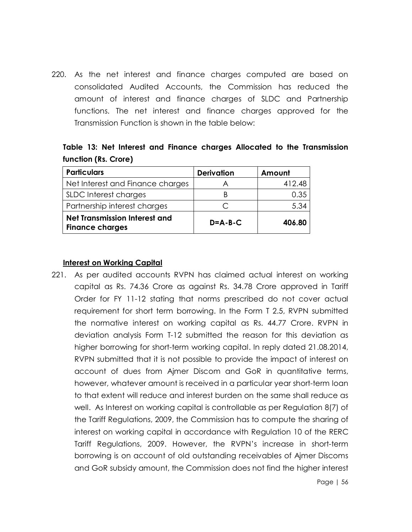220. As the net interest and finance charges computed are based on consolidated Audited Accounts, the Commission has reduced the amount of interest and finance charges of SLDC and Partnership functions. The net interest and finance charges approved for the Transmission Function is shown in the table below:

|                      |  |  |  |  | Table 13: Net Interest and Finance charges Allocated to the Transmission |
|----------------------|--|--|--|--|--------------------------------------------------------------------------|
| function (Rs. Crore) |  |  |  |  |                                                                          |

| <b>Particulars</b>                                             | <b>Derivation</b> | Amount |
|----------------------------------------------------------------|-------------------|--------|
| Net Interest and Finance charges                               |                   | 412.48 |
| SLDC Interest charges                                          |                   | 0.35   |
| Partnership interest charges                                   |                   | 5.34   |
| <b>Net Transmission Interest and</b><br><b>Finance charges</b> | $D = A - B - C$   | 406.80 |

#### **Interest on Working Capital**

221. As per audited accounts RVPN has claimed actual interest on working capital as Rs. 74.36 Crore as against Rs. 34.78 Crore approved in Tariff Order for FY 11-12 stating that norms prescribed do not cover actual requirement for short term borrowing. In the Form T 2.5, RVPN submitted the normative interest on working capital as Rs. 44.77 Crore. RVPN in deviation analysis Form T-12 submitted the reason for this deviation as higher borrowing for short-term working capital. In reply dated 21.08.2014, RVPN submitted that it is not possible to provide the impact of interest on account of dues from Ajmer Discom and GoR in quantitative terms, however, whatever amount is received in a particular year short-term loan to that extent will reduce and interest burden on the same shall reduce as well. As Interest on working capital is controllable as per Regulation 8(7) of the Tariff Regulations, 2009, the Commission has to compute the sharing of interest on working capital in accordance with Regulation 10 of the RERC Tariff Regulations, 2009. However, the RVPN's increase in short-term borrowing is on account of old outstanding receivables of Ajmer Discoms and GoR subsidy amount, the Commission does not find the higher interest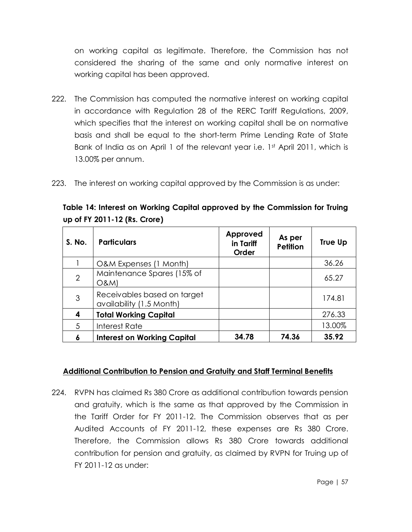on working capital as legitimate. Therefore, the Commission has not considered the sharing of the same and only normative interest on working capital has been approved.

- 222. The Commission has computed the normative interest on working capital in accordance with Regulation 28 of the RERC Tariff Regulations, 2009, which specifies that the interest on working capital shall be on normative basis and shall be equal to the short-term Prime Lending Rate of State Bank of India as on April 1 of the relevant year i.e. 1st April 2011, which is 13.00% per annum.
- 223. The interest on working capital approved by the Commission is as under:

**Table 14: Interest on Working Capital approved by the Commission for Truing up of FY 2011-12 (Rs. Crore)**

| S. No.         | <b>Particulars</b>                                      | Approved<br>in Tariff<br>Order | As per<br><b>Petition</b> | True Up |
|----------------|---------------------------------------------------------|--------------------------------|---------------------------|---------|
|                | O&M Expenses (1 Month)                                  |                                |                           | 36.26   |
| $\overline{2}$ | Maintenance Spares (15% of<br><b>O&amp;M)</b>           |                                |                           | 65.27   |
| 3              | Receivables based on target<br>availability (1.5 Month) |                                |                           | 174.81  |
| 4              | <b>Total Working Capital</b>                            |                                |                           | 276.33  |
| 5              | Interest Rate                                           |                                |                           | 13.00%  |
| 6              | <b>Interest on Working Capital</b>                      | 34.78                          | 74.36                     | 35.92   |

## **Additional Contribution to Pension and Gratuity and Staff Terminal Benefits**

224. RVPN has claimed Rs 380 Crore as additional contribution towards pension and gratuity, which is the same as that approved by the Commission in the Tariff Order for FY 2011-12. The Commission observes that as per Audited Accounts of FY 2011-12, these expenses are Rs 380 Crore. Therefore, the Commission allows Rs 380 Crore towards additional contribution for pension and gratuity, as claimed by RVPN for Truing up of FY 2011-12 as under: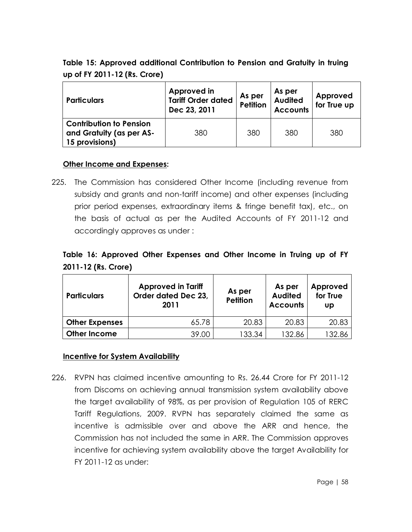# **Table 15: Approved additional Contribution to Pension and Gratuity in truing up of FY 2011-12 (Rs. Crore)**

| <b>Particulars</b>                                                           | Approved in<br><b>Tariff Order dated</b><br>Dec 23, 2011 | As per<br><b>Petition</b> | As per<br><b>Audited</b><br><b>Accounts</b> | Approved<br>for True up |
|------------------------------------------------------------------------------|----------------------------------------------------------|---------------------------|---------------------------------------------|-------------------------|
| <b>Contribution to Pension</b><br>and Gratuity (as per AS-<br>15 provisions) | 380                                                      | 380                       | 380                                         | 380                     |

### **Other Income and Expenses:**

225. The Commission has considered Other Income (including revenue from subsidy and grants and non-tariff income) and other expenses (including prior period expenses, extraordinary items & fringe benefit tax), etc., on the basis of actual as per the Audited Accounts of FY 2011-12 and accordingly approves as under :

# **Table 16: Approved Other Expenses and Other Income in Truing up of FY 2011-12 (Rs. Crore)**

| <b>Particulars</b>    | <b>Approved in Tariff</b><br>Order dated Dec 23,<br>2011 | As per<br><b>Petition</b> | As per<br><b>Audited</b><br><b>Accounts</b> | Approved<br>for True<br>UD |
|-----------------------|----------------------------------------------------------|---------------------------|---------------------------------------------|----------------------------|
| <b>Other Expenses</b> | 65.78                                                    | 20.83                     | 20.83                                       | 20.83                      |
| <b>Other Income</b>   | 39.00                                                    | 133.34                    | 132.86                                      | 132.86                     |

#### **Incentive for System Availability**

226. RVPN has claimed incentive amounting to Rs. 26.44 Crore for FY 2011-12 from Discoms on achieving annual transmission system availability above the target availability of 98%, as per provision of Regulation 105 of RERC Tariff Regulations, 2009. RVPN has separately claimed the same as incentive is admissible over and above the ARR and hence, the Commission has not included the same in ARR. The Commission approves incentive for achieving system availability above the target Availability for FY 2011-12 as under: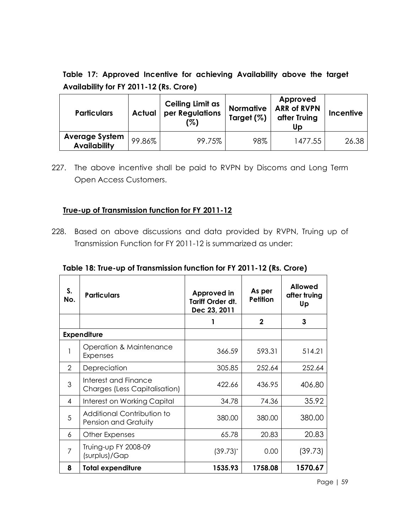**Table 17: Approved Incentive for achieving Availability above the target Availability for FY 2011-12 (Rs. Crore)**

| <b>Particulars</b><br><b>Actual</b><br>(%)   |        | <b>Ceiling Limit as</b><br>per Regulations | <b>Normative</b><br>Target (%) | Approved<br><b>ARR of RVPN</b><br>after Truing<br>Up | <b>Incentive</b> |
|----------------------------------------------|--------|--------------------------------------------|--------------------------------|------------------------------------------------------|------------------|
| <b>Average System</b><br><b>Availability</b> | 99.86% | 99.75%                                     | 98%                            | 1477.55                                              | 26.38            |

227. The above incentive shall be paid to RVPN by Discoms and Long Term Open Access Customers.

### **True-up of Transmission function for FY 2011-12**

228. Based on above discussions and data provided by RVPN, Truing up of Transmission Function for FY 2011-12 is summarized as under:

| S.<br>No.      | <b>Particulars</b>                                    | Approved in<br>Tariff Order dt.<br>Dec 23, 2011 | As per<br><b>Petition</b> | <b>Allowed</b><br>after truing<br>Up |
|----------------|-------------------------------------------------------|-------------------------------------------------|---------------------------|--------------------------------------|
|                |                                                       |                                                 | $\mathbf{2}$              | 3                                    |
|                | <b>Expenditure</b>                                    |                                                 |                           |                                      |
|                | Operation & Maintenance<br><b>Expenses</b>            | 366.59                                          | 593.31                    | 514.21                               |
| $\mathcal{P}$  | Depreciation                                          | 305.85                                          | 252.64                    | 252.64                               |
| 3              | Interest and Finance<br>Charges (Less Capitalisation) | 422.66                                          | 436.95                    | 406.80                               |
| 4              | Interest on Working Capital                           | 34.78                                           | 74.36                     | 35.92                                |
| 5              | Additional Contribution to<br>Pension and Gratuity    | 380.00                                          | 380.00                    | 380.00                               |
| 6              | Other Expenses                                        | 65.78                                           | 20.83                     | 20.83                                |
| $\overline{7}$ | Truing-up FY 2008-09<br>(surplus)/Gap                 | $(39.73)^{*}$                                   | 0.00                      | (39.73)                              |
| 8              | <b>Total expenditure</b>                              | 1535.93                                         | 1758.08                   | 1570.67                              |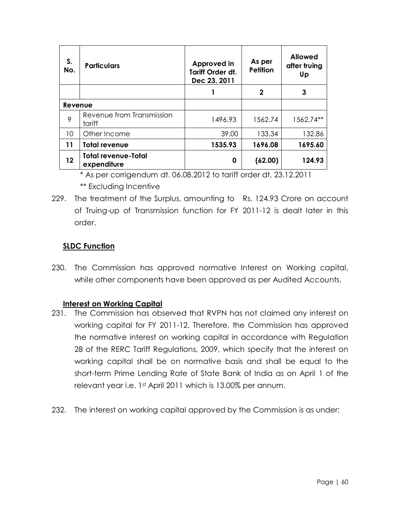| S.<br>No. | <b>Particulars</b>                        | Approved in<br><b>Tariff Order dt.</b><br>Dec 23, 2011 | As per<br><b>Petition</b> | <b>Allowed</b><br>after truing<br>Up |
|-----------|-------------------------------------------|--------------------------------------------------------|---------------------------|--------------------------------------|
|           |                                           |                                                        | 2                         | 3                                    |
| Revenue   |                                           |                                                        |                           |                                      |
| 9         | Revenue from Transmission<br>tariff       | 1496.93                                                | 1562.74                   | 1562.74**                            |
| 10        | Other Income                              | 39.00                                                  | 133.34                    | 132.86                               |
| 11        | <b>Total revenue</b>                      | 1535.93                                                | 1696.08                   | 1695.60                              |
| 12        | <b>Total revenue-Total</b><br>expenditure | 0                                                      | (62.00)                   | 124.93                               |

<sup>\*</sup> As per corrigendum dt. 06.08.2012 to tariff order dt. 23.12.2011

\*\* Excluding Incentive

229. The treatment of the Surplus, amounting to Rs. 124.93 Crore on account of Truing-up of Transmission function for FY 2011-12 is dealt later in this order.

## **SLDC Function**

230. The Commission has approved normative Interest on Working capital, while other components have been approved as per Audited Accounts.

## **Interest on Working Capital**

- 231. The Commission has observed that RVPN has not claimed any interest on working capital for FY 2011-12. Therefore, the Commission has approved the normative interest on working capital in accordance with Regulation 28 of the RERC Tariff Regulations, 2009, which specify that the interest on working capital shall be on normative basis and shall be equal to the short-term Prime Lending Rate of State Bank of India as on April 1 of the relevant year i.e. 1st April 2011 which is 13.00% per annum.
- 232. The interest on working capital approved by the Commission is as under: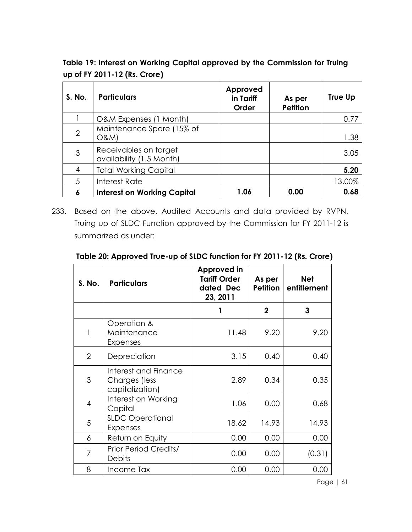**Table 19: Interest on Working Capital approved by the Commission for Truing up of FY 2011-12 (Rs. Crore)**

| S. No.         | <b>Particulars</b>                                | Approved<br>in Tariff<br>Order | As per<br><b>Petition</b> | True Up |
|----------------|---------------------------------------------------|--------------------------------|---------------------------|---------|
|                | O&M Expenses (1 Month)                            |                                |                           | 0.77    |
| $\overline{2}$ | Maintenance Spare (15% of<br>O&M                  |                                |                           | 1.38    |
| 3              | Receivables on target<br>availability (1.5 Month) |                                |                           | 3.05    |
| 4              | <b>Total Working Capital</b>                      |                                |                           | 5.20    |
| 5              | Interest Rate                                     |                                |                           | 13.00%  |
| 6              | <b>Interest on Working Capital</b>                | 1.06                           | 0.00                      | 0.68    |

233. Based on the above, Audited Accounts and data provided by RVPN, Truing up of SLDC Function approved by the Commission for FY 2011-12 is summarized as under:

| Table 20: Approved True-up of SLDC function for FY 2011-12 (Rs. Crore) |  |  |  |
|------------------------------------------------------------------------|--|--|--|
|                                                                        |  |  |  |

| S. No.         | <b>Particulars</b>                                       | <b>Approved in</b><br><b>Tariff Order</b><br>dated Dec<br>23, 2011 | As per<br><b>Petition</b> | <b>Net</b><br>entitlement |
|----------------|----------------------------------------------------------|--------------------------------------------------------------------|---------------------------|---------------------------|
|                |                                                          |                                                                    | $\mathbf{2}$              | 3                         |
| 1              | Operation &<br>Maintenance<br>Expenses                   | 11.48                                                              | 9.20                      | 9.20                      |
| $\overline{2}$ | Depreciation                                             | 3.15                                                               | 0.40                      | 0.40                      |
| 3              | Interest and Finance<br>Charges (less<br>capitalization) | 2.89                                                               | 0.34                      | 0.35                      |
| 4              | Interest on Working<br>Capital                           | 1.06                                                               | 0.00                      | 0.68                      |
| 5              | <b>SLDC Operational</b><br>Expenses                      | 18.62                                                              | 14.93                     | 14.93                     |
| 6              | Return on Equity                                         | 0.00                                                               | 0.00                      | 0.00                      |
| 7              | <b>Prior Period Credits/</b><br><b>Debits</b>            | 0.00                                                               | 0.00                      | (0.31)                    |
| 8              | Income Tax                                               | 0.00                                                               | 0.00                      | 0.00                      |

Page | 61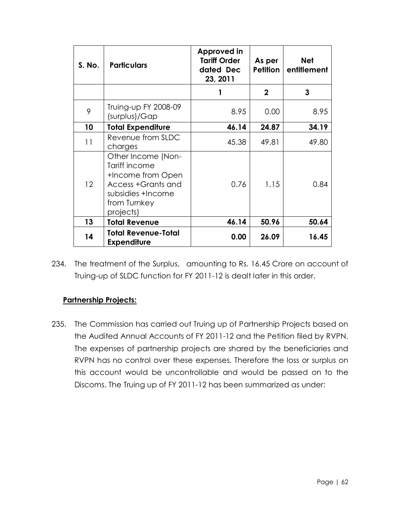| S. No. | <b>Particulars</b>                                                                                                               | Approved in<br><b>Tariff Order</b><br>dated Dec<br>23, 2011 | As per<br><b>Petition</b> | <b>Net</b><br>entitlement |
|--------|----------------------------------------------------------------------------------------------------------------------------------|-------------------------------------------------------------|---------------------------|---------------------------|
|        |                                                                                                                                  |                                                             | $\mathbf 2$               | 3                         |
| 9      | Truing-up FY 2008-09<br>(surplus)/Gap                                                                                            | 8.95                                                        | 0.00                      | 8.95                      |
| 10     | <b>Total Expenditure</b>                                                                                                         | 46.14                                                       | 24.87                     | 34.19                     |
| 11     | Revenue from SLDC<br>charges                                                                                                     | 45.38                                                       | 49.81                     | 49.80                     |
| 12     | Other Income (Non-<br>Tariff income<br>+Income from Open<br>Access +Grants and<br>subsidies +Income<br>from Turnkey<br>projects) | 0.76                                                        | 1.15                      | 0.84                      |
| 13     | <b>Total Revenue</b>                                                                                                             | 46.14                                                       | 50.96                     | 50.64                     |
| 14     | <b>Total Revenue-Total</b><br><b>Expenditure</b>                                                                                 | 0.00                                                        | 26.09                     | 16.45                     |

234. The treatment of the Surplus, amounting to Rs. 16.45 Crore on account of Truing-up of SLDC function for FY 2011-12 is dealt later in this order.

## **Partnership Projects:**

235. The Commission has carried out Truing up of Partnership Projects based on the Audited Annual Accounts of FY 2011-12 and the Petition filed by RVPN. The expenses of partnership projects are shared by the beneficiaries and RVPN has no control over these expenses. Therefore the loss or surplus on this account would be uncontrollable and would be passed on to the Discoms. The Truing up of FY 2011-12 has been summarized as under: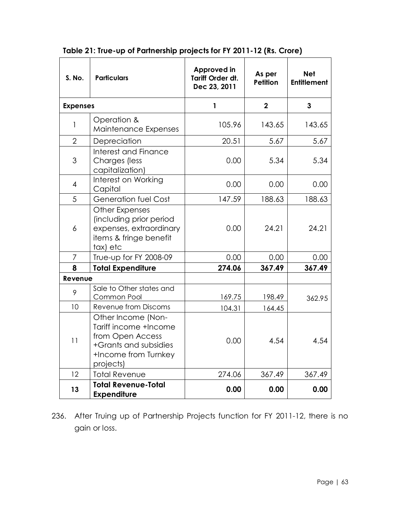| S. No.          | <b>Particulars</b>                                                                                                            | Approved in<br><b>Tariff Order dt.</b><br>Dec 23, 2011 | As per<br><b>Petition</b> | <b>Net</b><br><b>Entitlement</b> |
|-----------------|-------------------------------------------------------------------------------------------------------------------------------|--------------------------------------------------------|---------------------------|----------------------------------|
| <b>Expenses</b> |                                                                                                                               | 1                                                      | $\mathbf 2$               | $\mathbf{3}$                     |
| 1               | Operation &<br>Maintenance Expenses                                                                                           | 105.96                                                 | 143.65                    | 143.65                           |
| $\overline{2}$  | Depreciation                                                                                                                  | 20.51                                                  | 5.67                      | 5.67                             |
| 3               | Interest and Finance<br>Charges (less<br>capitalization)                                                                      | 0.00                                                   | 5.34                      | 5.34                             |
| $\overline{4}$  | Interest on Working<br>Capital                                                                                                | 0.00                                                   | 0.00                      | 0.00                             |
| 5               | <b>Generation fuel Cost</b>                                                                                                   | 147.59                                                 | 188.63                    | 188.63                           |
| 6               | Other Expenses<br>(including prior period<br>expenses, extraordinary<br>items & fringe benefit<br>tax) etc                    | 0.00                                                   | 24.21                     | 24.21                            |
| 7               | True-up for FY 2008-09                                                                                                        | 0.00                                                   | 0.00                      | 0.00                             |
| 8               | <b>Total Expenditure</b>                                                                                                      | 274.06                                                 | 367.49                    | 367.49                           |
| Revenue         |                                                                                                                               |                                                        |                           |                                  |
| 9               | Sale to Other states and<br>Common Pool                                                                                       | 169.75                                                 | 198.49                    | 362.95                           |
| 10              | Revenue from Discoms                                                                                                          | 104.31                                                 | 164.45                    |                                  |
| 11              | Other Income (Non-<br>Tariff income +Income<br>from Open Access<br>+Grants and subsidies<br>+Income from Turnkey<br>projects) | 0.00                                                   | 4.54                      | 4.54                             |
| 12              | <b>Total Revenue</b>                                                                                                          | 274.06                                                 | 367.49                    | 367.49                           |
| 13              | <b>Total Revenue-Total</b><br><b>Expenditure</b>                                                                              | 0.00                                                   | 0.00                      | 0.00                             |

**Table 21: True-up of Partnership projects for FY 2011-12 (Rs. Crore)**

236. After Truing up of Partnership Projects function for FY 2011-12, there is no gain or loss.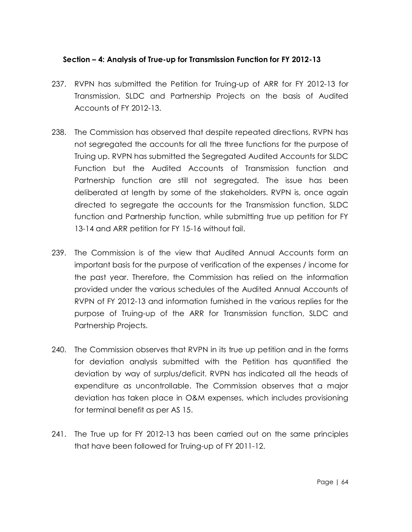#### **Section – 4: Analysis of True-up for Transmission Function for FY 2012-13**

- 237. RVPN has submitted the Petition for Truing-up of ARR for FY 2012-13 for Transmission, SLDC and Partnership Projects on the basis of Audited Accounts of FY 2012-13.
- 238. The Commission has observed that despite repeated directions, RVPN has not segregated the accounts for all the three functions for the purpose of Truing up. RVPN has submitted the Segregated Audited Accounts for SLDC Function but the Audited Accounts of Transmission function and Partnership function are still not segregated. The issue has been deliberated at length by some of the stakeholders. RVPN is, once again directed to segregate the accounts for the Transmission function, SLDC function and Partnership function, while submitting true up petition for FY 13-14 and ARR petition for FY 15-16 without fail.
- 239. The Commission is of the view that Audited Annual Accounts form an important basis for the purpose of verification of the expenses / income for the past year. Therefore, the Commission has relied on the information provided under the various schedules of the Audited Annual Accounts of RVPN of FY 2012-13 and information furnished in the various replies for the purpose of Truing-up of the ARR for Transmission function, SLDC and Partnership Projects.
- 240. The Commission observes that RVPN in its true up petition and in the forms for deviation analysis submitted with the Petition has quantified the deviation by way of surplus/deficit. RVPN has indicated all the heads of expenditure as uncontrollable. The Commission observes that a major deviation has taken place in O&M expenses, which includes provisioning for terminal benefit as per AS 15.
- 241. The True up for FY 2012-13 has been carried out on the same principles that have been followed for Truing-up of FY 2011-12.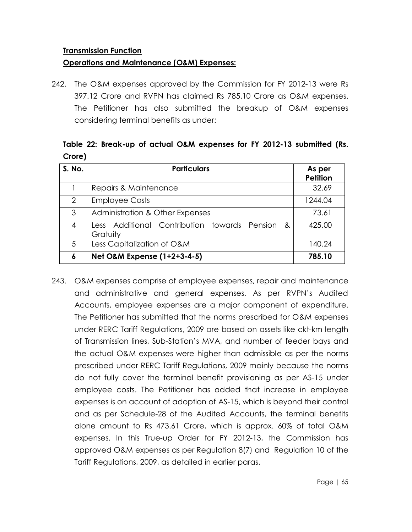#### **Transmission Function**

### **Operations and Maintenance (O&M) Expenses:**

242. The O&M expenses approved by the Commission for FY 2012-13 were Rs 397.12 Crore and RVPN has claimed Rs 785.10 Crore as O&M expenses. The Petitioner has also submitted the breakup of O&M expenses considering terminal benefits as under:

# **Table 22: Break-up of actual O&M expenses for FY 2012-13 submitted (Rs. Crore)**

| S. No.         | <b>Particulars</b>                                         | As per<br><b>Petition</b> |
|----------------|------------------------------------------------------------|---------------------------|
|                | Repairs & Maintenance                                      | 32.69                     |
| $\overline{2}$ | <b>Employee Costs</b>                                      | 1244.04                   |
| 3              | <b>Administration &amp; Other Expenses</b>                 | 73.61                     |
| 4              | Less Additional Contribution towards Pension &<br>Gratuity | 425.00                    |
| 5              | Less Capitalization of O&M                                 | 140.24                    |
| 6              | Net O&M Expense (1+2+3-4-5)                                | 785.10                    |

243. O&M expenses comprise of employee expenses, repair and maintenance and administrative and general expenses. As per RVPN's Audited Accounts, employee expenses are a major component of expenditure. The Petitioner has submitted that the norms prescribed for O&M expenses under RERC Tariff Regulations, 2009 are based on assets like ckt-km length of Transmission lines, Sub-Station's MVA, and number of feeder bays and the actual O&M expenses were higher than admissible as per the norms prescribed under RERC Tariff Regulations, 2009 mainly because the norms do not fully cover the terminal benefit provisioning as per AS-15 under employee costs. The Petitioner has added that increase in employee expenses is on account of adoption of AS-15, which is beyond their control and as per Schedule-28 of the Audited Accounts, the terminal benefits alone amount to Rs 473.61 Crore, which is approx. 60% of total O&M expenses. In this True-up Order for FY 2012-13, the Commission has approved O&M expenses as per Regulation 8(7) and Regulation 10 of the Tariff Regulations, 2009, as detailed in earlier paras.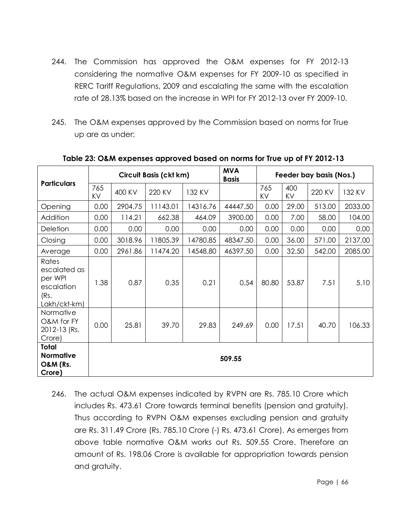- 244. The Commission has approved the O&M expenses for FY 2012-13 considering the normative O&M expenses for FY 2009-10 as specified in RERC Tariff Regulations, 2009 and escalating the same with the escalation rate of 28.13% based on the increase in WPI for FY 2012-13 over FY 2009-10.
- 245. The O&M expenses approved by the Commission based on norms for True up are as under:

|                                                                        |           | <b>MVA</b><br><b>Circuit Basis (ckt km)</b><br>Feeder bay basis (Nos.)<br><b>Basis</b> |          |          |          |           |           |        |         |
|------------------------------------------------------------------------|-----------|----------------------------------------------------------------------------------------|----------|----------|----------|-----------|-----------|--------|---------|
| <b>Particulars</b>                                                     | 765<br>KV | 400 KV                                                                                 | 220 KV   | 132 KV   |          | 765<br>KV | 400<br>KV | 220 KV | 132 KV  |
| Opening                                                                | 0.00      | 2904.75                                                                                | 11143.01 | 14316.76 | 44447.50 | 0.00      | 29.00     | 513.00 | 2033.00 |
| Addition                                                               | 0.00      | 114.21                                                                                 | 662.38   | 464.09   | 3900.00  | 0.00      | 7.00      | 58.00  | 104.00  |
| Deletion                                                               | 0.00      | 0.00                                                                                   | 0.00     | 0.00     | 0.00     | 0.00      | 0.00      | 0.00   | 0.00    |
| Closing                                                                | 0.00      | 3018.96                                                                                | 11805.39 | 14780.85 | 48347.50 | 0.00      | 36.00     | 571.00 | 2137.00 |
| Average                                                                | 0.00      | 2961.86                                                                                | 11474.20 | 14548.80 | 46397.50 | 0.00      | 32.50     | 542.00 | 2085.00 |
| Rates<br>escalated as<br>per WPI<br>escalation<br>(Rs.<br>Lakh/ckt-km) | 1.38      | 0.87                                                                                   | 0.35     | 0.21     | 0.54     | 80.80     | 53.87     | 7.51   | 5.10    |
| Normative<br>O&M for FY<br>2012-13 (Rs.<br>Crore)                      | 0.00      | 25.81                                                                                  | 39.70    | 29.83    | 249.69   | 0.00      | 17.51     | 40.70  | 106.33  |
| <b>Total</b><br><b>Normative</b><br><b>O&amp;M (Rs.</b><br>Crore)      | 509.55    |                                                                                        |          |          |          |           |           |        |         |

**Table 23: O&M expenses approved based on norms for True up of FY 2012-13**

246. The actual O&M expenses indicated by RVPN are Rs. 785.10 Crore which includes Rs. 473.61 Crore towards terminal benefits (pension and gratuity). Thus according to RVPN O&M expenses excluding pension and gratuity are Rs. 311.49 Crore (Rs. 785.10 Crore (-) Rs. 473.61 Crore). As emerges from above table normative O&M works out Rs. 509.55 Crore. Therefore an amount of Rs. 198.06 Crore is available for appropriation towards pension and gratuity.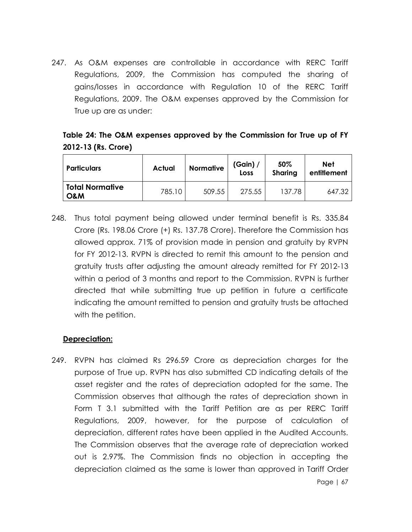247. As O&M expenses are controllable in accordance with RERC Tariff Regulations, 2009, the Commission has computed the sharing of gains/losses in accordance with Regulation 10 of the RERC Tariff Regulations, 2009. The O&M expenses approved by the Commission for True up are as under:

# **Table 24: The O&M expenses approved by the Commission for True up of FY 2012-13 (Rs. Crore)**

| <b>Particulars</b>                       | Actual | <b>Normative</b> | (Gain) $/$<br>Loss | 50%<br>Sharing | <b>Net</b><br>entitlement |
|------------------------------------------|--------|------------------|--------------------|----------------|---------------------------|
| <b>Total Normative</b><br><b>O&amp;M</b> | 785.10 | 509.55           | 275.55             | 137.78         | 647.32                    |

248. Thus total payment being allowed under terminal benefit is Rs. 335.84 Crore (Rs. 198.06 Crore (+) Rs. 137.78 Crore). Therefore the Commission has allowed approx. 71% of provision made in pension and gratuity by RVPN for FY 2012-13. RVPN is directed to remit this amount to the pension and gratuity trusts after adjusting the amount already remitted for FY 2012-13 within a period of 3 months and report to the Commission. RVPN is further directed that while submitting true up petition in future a certificate indicating the amount remitted to pension and gratuity trusts be attached with the petition.

#### **Depreciation:**

249. RVPN has claimed Rs 296.59 Crore as depreciation charges for the purpose of True up. RVPN has also submitted CD indicating details of the asset register and the rates of depreciation adopted for the same. The Commission observes that although the rates of depreciation shown in Form T 3.1 submitted with the Tariff Petition are as per RERC Tariff Regulations, 2009, however, for the purpose of calculation of depreciation, different rates have been applied in the Audited Accounts. The Commission observes that the average rate of depreciation worked out is 2.97%. The Commission finds no objection in accepting the depreciation claimed as the same is lower than approved in Tariff Order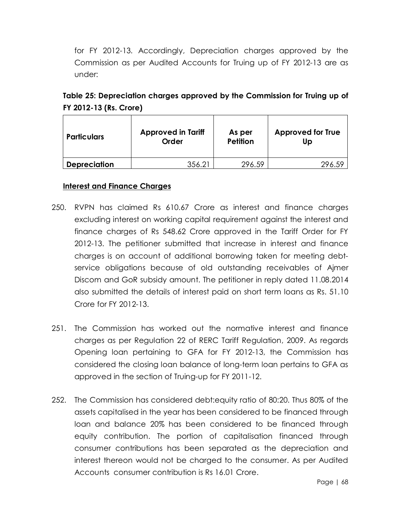for FY 2012-13. Accordingly, Depreciation charges approved by the Commission as per Audited Accounts for Truing up of FY 2012-13 are as under:

| <b>Particulars</b>  | <b>Approved in Tariff</b><br><b>Order</b> | As per<br><b>Petition</b> | <b>Approved for True</b><br>Up |
|---------------------|-------------------------------------------|---------------------------|--------------------------------|
| <b>Depreciation</b> | 356.21                                    | 296.59                    |                                |

| Table 25: Depreciation charges approved by the Commission for Truing up of |  |
|----------------------------------------------------------------------------|--|
| FY 2012-13 (Rs. Crore)                                                     |  |

#### **Interest and Finance Charges**

- 250. RVPN has claimed Rs 610.67 Crore as interest and finance charges excluding interest on working capital requirement against the interest and finance charges of Rs 548.62 Crore approved in the Tariff Order for FY 2012-13. The petitioner submitted that increase in interest and finance charges is on account of additional borrowing taken for meeting debtservice obligations because of old outstanding receivables of Ajmer Discom and GoR subsidy amount. The petitioner in reply dated 11.08.2014 also submitted the details of interest paid on short term loans as Rs. 51.10 Crore for FY 2012-13.
- 251. The Commission has worked out the normative interest and finance charges as per Regulation 22 of RERC Tariff Regulation, 2009. As regards Opening loan pertaining to GFA for FY 2012-13, the Commission has considered the closing loan balance of long-term loan pertains to GFA as approved in the section of Truing-up for FY 2011-12.
- 252. The Commission has considered debt:equity ratio of 80:20. Thus 80% of the assets capitalised in the year has been considered to be financed through loan and balance 20% has been considered to be financed through equity contribution. The portion of capitalisation financed through consumer contributions has been separated as the depreciation and interest thereon would not be charged to the consumer. As per Audited Accounts consumer contribution is Rs 16.01 Crore.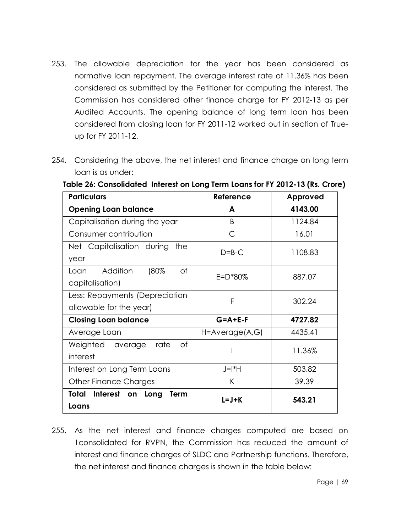- 253. The allowable depreciation for the year has been considered as normative loan repayment. The average interest rate of 11.36% has been considered as submitted by the Petitioner for computing the interest. The Commission has considered other finance charge for FY 2012-13 as per Audited Accounts. The opening balance of long term loan has been considered from closing loan for FY 2011-12 worked out in section of Trueup for FY 2011-12.
- 254. Considering the above, the net interest and finance charge on long term loan is as under:

| <b>Particulars</b>                                        | Reference               | Approved |  |  |
|-----------------------------------------------------------|-------------------------|----------|--|--|
| <b>Opening Loan balance</b>                               | A                       | 4143.00  |  |  |
| Capitalisation during the year                            | <sub>B</sub>            | 1124.84  |  |  |
| Consumer contribution                                     | C                       | 16.01    |  |  |
| Net Capitalisation during<br>the.<br>year                 | $D=B-C$                 | 1108.83  |  |  |
| (80%<br>Addition<br>оf<br>Loan<br>capitalisation)         | $E = D*80%$             | 887.07   |  |  |
| Less: Repayments (Depreciation<br>allowable for the year) | F                       | 302.24   |  |  |
| <b>Closing Loan balance</b>                               | $G = A + E - F$         | 4727.82  |  |  |
| Average Loan                                              | $H = A$ verage $(A, G)$ | 4435.41  |  |  |
| Weighted average<br>Оf<br>rate<br>interest                |                         | 11.36%   |  |  |
| Interest on Long Term Loans                               | $J=I^*H$                | 503.82   |  |  |
| Other Finance Charges                                     | K                       | 39.39    |  |  |
| Total Interest on Long<br><b>Term</b><br>Loans            | $L = J + K$             | 543.21   |  |  |

**Table 26: Consolidated Interest on Long Term Loans for FY 2012-13 (Rs. Crore)**

255. As the net interest and finance charges computed are based on 1consolidated for RVPN, the Commission has reduced the amount of interest and finance charges of SLDC and Partnership functions. Therefore, the net interest and finance charges is shown in the table below: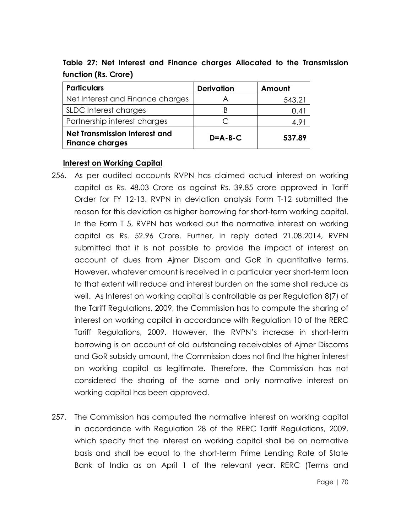| <b>Particulars</b>                                             | <b>Derivation</b> | Amount |
|----------------------------------------------------------------|-------------------|--------|
| Net Interest and Finance charges                               |                   | 543.21 |
| SLDC Interest charges                                          |                   | 0.4    |
| Partnership interest charges                                   |                   | 4.91   |
| <b>Net Transmission Interest and</b><br><b>Finance charges</b> | $D = A - B - C$   | 537.89 |

**Table 27: Net Interest and Finance charges Allocated to the Transmission function (Rs. Crore)**

#### **Interest on Working Capital**

- 256. As per audited accounts RVPN has claimed actual interest on working capital as Rs. 48.03 Crore as against Rs. 39.85 crore approved in Tariff Order for FY 12-13. RVPN in deviation analysis Form T-12 submitted the reason for this deviation as higher borrowing for short-term working capital. In the Form T 5, RVPN has worked out the normative interest on working capital as Rs. 52.96 Crore. Further, in reply dated 21.08.2014, RVPN submitted that it is not possible to provide the impact of interest on account of dues from Ajmer Discom and GoR in quantitative terms. However, whatever amount is received in a particular year short-term loan to that extent will reduce and interest burden on the same shall reduce as well. As Interest on working capital is controllable as per Regulation 8(7) of the Tariff Regulations, 2009, the Commission has to compute the sharing of interest on working capital in accordance with Regulation 10 of the RERC Tariff Regulations, 2009. However, the RVPN's increase in short-term borrowing is on account of old outstanding receivables of Ajmer Discoms and GoR subsidy amount, the Commission does not find the higher interest on working capital as legitimate. Therefore, the Commission has not considered the sharing of the same and only normative interest on working capital has been approved.
- 257. The Commission has computed the normative interest on working capital in accordance with Regulation 28 of the RERC Tariff Regulations, 2009, which specify that the interest on working capital shall be on normative basis and shall be equal to the short-term Prime Lending Rate of State Bank of India as on April 1 of the relevant year. RERC (Terms and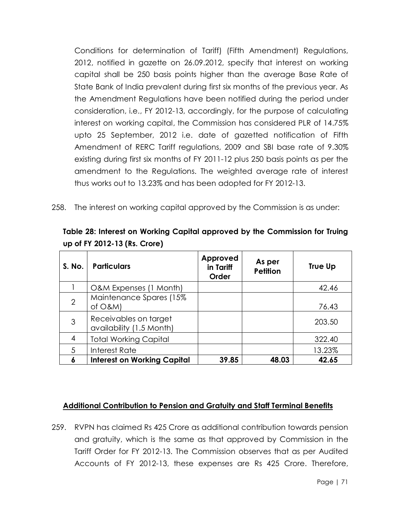Conditions for determination of Tariff) (Fifth Amendment) Regulations, 2012, notified in gazette on 26.09.2012, specify that interest on working capital shall be 250 basis points higher than the average Base Rate of State Bank of India prevalent during first six months of the previous year. As the Amendment Regulations have been notified during the period under consideration, i.e., FY 2012-13, accordingly, for the purpose of calculating interest on working capital, the Commission has considered PLR of 14.75% upto 25 September, 2012 i.e. date of gazetted notification of Fifth Amendment of RERC Tariff regulations, 2009 and SBI base rate of 9.30% existing during first six months of FY 2011-12 plus 250 basis points as per the amendment to the Regulations. The weighted average rate of interest thus works out to 13.23% and has been adopted for FY 2012-13.

258. The interest on working capital approved by the Commission is as under:

| S. No.         | <b>Particulars</b>                                | Approved<br>in Tariff<br>Order | As per<br><b>Petition</b> | <b>True Up</b> |
|----------------|---------------------------------------------------|--------------------------------|---------------------------|----------------|
|                | O&M Expenses (1 Month)                            |                                |                           | 42.46          |
| $\overline{2}$ | Maintenance Spares (15%<br>of $O$ &M)             |                                |                           | 76.43          |
| 3              | Receivables on target<br>availability (1.5 Month) |                                |                           | 203.50         |
| 4              | <b>Total Working Capital</b>                      |                                |                           | 322.40         |
| 5              | Interest Rate                                     |                                |                           | 13.23%         |
| 6              | <b>Interest on Working Capital</b>                | 39.85                          | 48.03                     | 42.65          |

**Table 28: Interest on Working Capital approved by the Commission for Truing up of FY 2012-13 (Rs. Crore)**

## **Additional Contribution to Pension and Gratuity and Staff Terminal Benefits**

259. RVPN has claimed Rs 425 Crore as additional contribution towards pension and gratuity, which is the same as that approved by Commission in the Tariff Order for FY 2012-13. The Commission observes that as per Audited Accounts of FY 2012-13, these expenses are Rs 425 Crore. Therefore,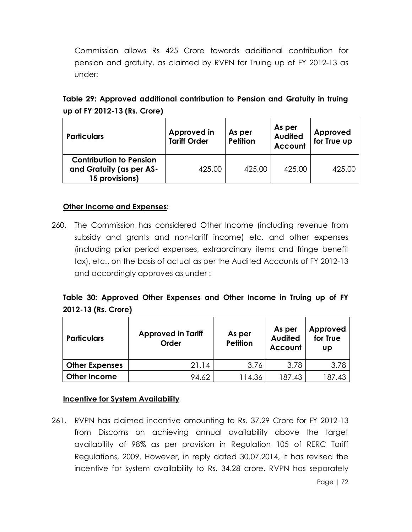Commission allows Rs 425 Crore towards additional contribution for pension and gratuity, as claimed by RVPN for Truing up of FY 2012-13 as under:

| Table 29: Approved additional contribution to Pension and Gratuity in truing |  |  |  |  |
|------------------------------------------------------------------------------|--|--|--|--|
| up of FY 2012-13 (Rs. Crore)                                                 |  |  |  |  |

| <b>Particulars</b>                                                           | Approved in<br><b>Tariff Order</b> | As per<br><b>Petition</b> | As per<br><b>Audited</b><br><b>Account</b> | Approved<br>for True up |
|------------------------------------------------------------------------------|------------------------------------|---------------------------|--------------------------------------------|-------------------------|
| <b>Contribution to Pension</b><br>and Gratuity (as per AS-<br>15 provisions) | 425.00                             | 425.00                    | 425.00                                     | 425.00                  |

### **Other Income and Expenses:**

260. The Commission has considered Other Income (including revenue from subsidy and grants and non-tariff income) etc. and other expenses (including prior period expenses, extraordinary items and fringe benefit tax), etc., on the basis of actual as per the Audited Accounts of FY 2012-13 and accordingly approves as under :

## **Table 30: Approved Other Expenses and Other Income in Truing up of FY 2012-13 (Rs. Crore)**

| <b>Particulars</b>    | <b>Approved in Tariff</b><br><b>Order</b> | As per<br><b>Petition</b> | As per<br><b>Audited</b><br>Account | Approved<br>for True<br>UD |  |
|-----------------------|-------------------------------------------|---------------------------|-------------------------------------|----------------------------|--|
| <b>Other Expenses</b> | 21.14                                     | 3.76                      | 3.78                                | 3.78                       |  |
| <b>Other Income</b>   | 94.62                                     | 114.36                    | 187.43                              | 187.43                     |  |

#### **Incentive for System Availability**

261. RVPN has claimed incentive amounting to Rs. 37.29 Crore for FY 2012-13 from Discoms on achieving annual availability above the target availability of 98% as per provision in Regulation 105 of RERC Tariff Regulations, 2009. However, in reply dated 30.07.2014, it has revised the incentive for system availability to Rs. 34.28 crore. RVPN has separately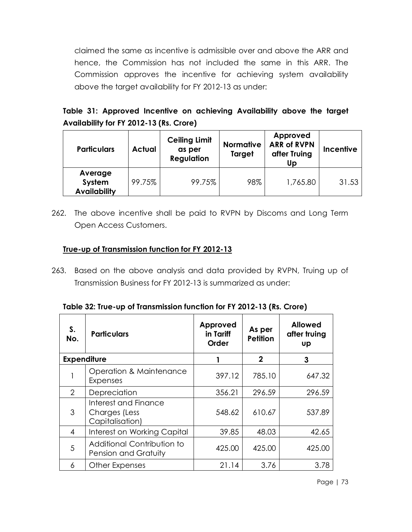claimed the same as incentive is admissible over and above the ARR and hence, the Commission has not included the same in this ARR. The Commission approves the incentive for achieving system availability above the target availability for FY 2012-13 as under:

# **Table 31: Approved Incentive on achieving Availability above the target Availability for FY 2012-13 (Rs. Crore)**

| <b>Particulars</b>                       | Actual | <b>Ceiling Limit</b><br>as per<br><b>Regulation</b> | <b>Normative</b><br>Target | Approved<br><b>ARR of RVPN</b><br>after Truing<br>Up. | <b>Incentive</b> |
|------------------------------------------|--------|-----------------------------------------------------|----------------------------|-------------------------------------------------------|------------------|
| Average<br>System<br><b>Availability</b> | 99.75% | 99.75%                                              | 98%                        | 1,765.80                                              | 31.53            |

262. The above incentive shall be paid to RVPN by Discoms and Long Term Open Access Customers.

# **True-up of Transmission function for FY 2012-13**

263. Based on the above analysis and data provided by RVPN, Truing up of Transmission Business for FY 2012-13 is summarized as under:

|  | Table 32: True-up of Transmission function for FY 2012-13 (Rs. Crore) |  |  |
|--|-----------------------------------------------------------------------|--|--|
|  |                                                                       |  |  |

| S.<br>No.          | <b>Particulars</b>                                       | Approved<br>in Tariff<br><b>Order</b> | As per<br><b>Petition</b> | <b>Allowed</b><br>after truing<br>Up |
|--------------------|----------------------------------------------------------|---------------------------------------|---------------------------|--------------------------------------|
| <b>Expenditure</b> |                                                          |                                       | $\mathbf 2$               | 3                                    |
|                    | Operation & Maintenance<br><b>Expenses</b>               | 397.12                                | 785.10                    | 647.32                               |
| 2                  | Depreciation                                             | 356.21                                | 296.59                    | 296.59                               |
| 3                  | Interest and Finance<br>Charges (Less<br>Capitalisation) | 548.62                                | 610.67                    | 537.89                               |
| 4                  | Interest on Working Capital                              | 39.85                                 | 48.03                     | 42.65                                |
| 5                  | Additional Contribution to<br>Pension and Gratuity       | 425.00                                | 425.00                    | 425.00                               |
| 6                  | Other Expenses                                           | 21.14                                 | 3.76                      | 3.78                                 |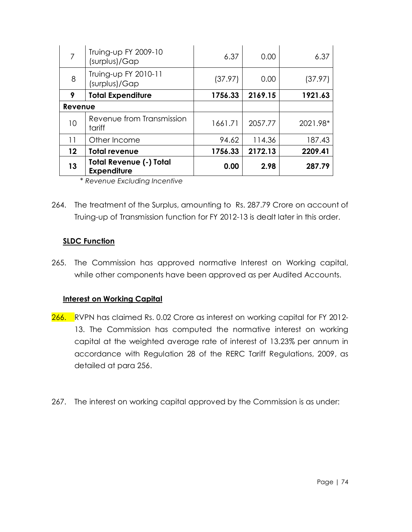|         | Truing-up FY 2009-10<br>(surplus)/Gap                | 6.37    | 0.00    | 6.37     |
|---------|------------------------------------------------------|---------|---------|----------|
| 8       | Truing-up FY 2010-11<br>(surplus)/Gap                | (37.97) | 0.00    | (37.97)  |
| 9       | <b>Total Expenditure</b>                             | 1756.33 | 2169.15 | 1921.63  |
| Revenue |                                                      |         |         |          |
| 10      | Revenue from Transmission<br>tariff                  | 1661.71 | 2057.77 | 2021.98* |
| 11      | Other Income                                         | 94.62   | 114.36  | 187.43   |
| 12      | <b>Total revenue</b>                                 | 1756.33 | 2172.13 | 2209.41  |
| 13      | <b>Total Revenue (-) Total</b><br><b>Expenditure</b> | 0.00    | 2.98    | 287.79   |

\* *Revenue Excluding Incentive*

264. The treatment of the Surplus, amounting to Rs. 287.79 Crore on account of Truing-up of Transmission function for FY 2012-13 is dealt later in this order.

## **SLDC Function**

265. The Commission has approved normative Interest on Working capital, while other components have been approved as per Audited Accounts.

#### **Interest on Working Capital**

- 266. RVPN has claimed Rs. 0.02 Crore as interest on working capital for FY 2012-13. The Commission has computed the normative interest on working capital at the weighted average rate of interest of 13.23% per annum in accordance with Regulation 28 of the RERC Tariff Regulations, 2009, as detailed at para 256.
- 267. The interest on working capital approved by the Commission is as under: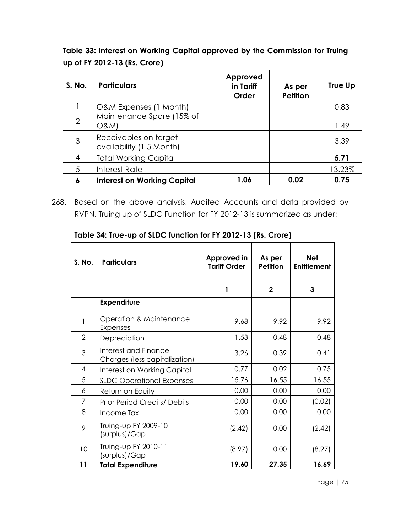**Table 33: Interest on Working Capital approved by the Commission for Truing up of FY 2012-13 (Rs. Crore)**

| S. No.         | <b>Particulars</b>                                | <b>Approved</b><br>in Tariff<br>Order | As per<br><b>Petition</b> | <b>True Up</b> |
|----------------|---------------------------------------------------|---------------------------------------|---------------------------|----------------|
|                | O&M Expenses (1 Month)                            |                                       |                           | 0.83           |
| $\overline{2}$ | Maintenance Spare (15% of<br>O&M                  |                                       |                           | 1.49           |
| 3              | Receivables on target<br>availability (1.5 Month) |                                       |                           | 3.39           |
| 4              | <b>Total Working Capital</b>                      |                                       |                           | 5.71           |
| 5              | Interest Rate                                     |                                       |                           | 13.23%         |
| 6              | <b>Interest on Working Capital</b>                | 1.06                                  | 0.02                      | 0.75           |

268. Based on the above analysis, Audited Accounts and data provided by RVPN, Truing up of SLDC Function for FY 2012-13 is summarized as under:

| S. No.         | <b>Particulars</b>                                    | Approved in<br><b>Tariff Order</b> | As per<br><b>Petition</b> | <b>Net</b><br><b>Entitlement</b> |
|----------------|-------------------------------------------------------|------------------------------------|---------------------------|----------------------------------|
|                |                                                       | 1                                  | $\mathbf{2}$              | 3                                |
|                | <b>Expenditure</b>                                    |                                    |                           |                                  |
| 1              | Operation & Maintenance<br>Expenses                   | 9.68                               | 9.92                      | 9.92                             |
| $\overline{2}$ | Depreciation                                          | 1.53                               | 0.48                      | 0.48                             |
| 3              | Interest and Finance<br>Charges (less capitalization) | 3.26                               | 0.39                      | 0.41                             |
| $\overline{4}$ | Interest on Working Capital                           | 0.77                               | 0.02                      | 0.75                             |
| 5              | <b>SLDC Operational Expenses</b>                      | 15.76                              | 16.55                     | 16.55                            |
| 6              | Return on Equity                                      | 0.00                               | 0.00                      | 0.00                             |
| 7              | Prior Period Credits/ Debits                          | 0.00                               | 0.00                      | (0.02)                           |
| 8              | Income Tax                                            | 0.00                               | 0.00                      | 0.00                             |
| 9              | Truing-up FY 2009-10<br>(surplus)/Gap                 | (2.42)                             | 0.00                      | (2.42)                           |
| 10             | Truing-up FY 2010-11<br>(surplus)/Gap                 | (8.97)                             | 0.00                      | (8.97)                           |
| 11             | <b>Total Expenditure</b>                              | 19.60                              | 27.35                     | 16.69                            |

**Table 34: True-up of SLDC function for FY 2012-13 (Rs. Crore)**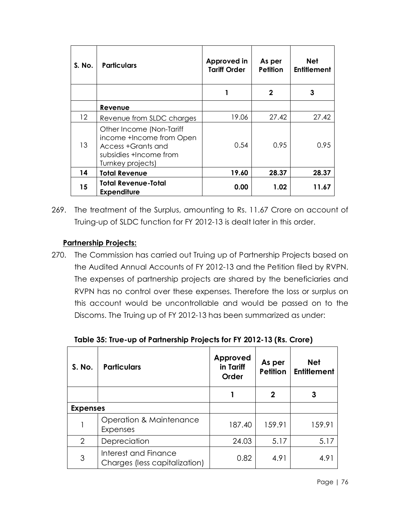| S. No.            | <b>Particulars</b>                                                                                                        | Approved in<br><b>Tariff Order</b> | As per<br><b>Petition</b> | <b>Net</b><br><b>Entitlement</b> |
|-------------------|---------------------------------------------------------------------------------------------------------------------------|------------------------------------|---------------------------|----------------------------------|
|                   |                                                                                                                           |                                    | 2                         | 3                                |
|                   | Revenue                                                                                                                   |                                    |                           |                                  |
| $12 \overline{ }$ | Revenue from SLDC charges                                                                                                 | 19.06                              | 27.42                     | 27.42                            |
| 13                | Other Income (Non-Tariff<br>income +Income from Open<br>Access +Grants and<br>subsidies +Income from<br>Turnkey projects) | 0.54                               | 0.95                      | 0.95                             |
| 14                | <b>Total Revenue</b>                                                                                                      | 19.60                              | 28.37                     | 28.37                            |
| 15                | <b>Total Revenue-Total</b><br><b>Expenditure</b>                                                                          | 0.00                               | 1.02                      | 11.67                            |

269. The treatment of the Surplus, amounting to Rs. 11.67 Crore on account of Truing-up of SLDC function for FY 2012-13 is dealt later in this order.

# **Partnership Projects:**

270. The Commission has carried out Truing up of Partnership Projects based on the Audited Annual Accounts of FY 2012-13 and the Petition filed by RVPN. The expenses of partnership projects are shared by the beneficiaries and RVPN has no control over these expenses. Therefore the loss or surplus on this account would be uncontrollable and would be passed on to the Discoms. The Truing up of FY 2012-13 has been summarized as under:

| S. No.          | <b>Particulars</b>                                    | Approved<br>in Tariff<br>Order | As per<br><b>Petition</b> | <b>Net</b><br><b>Entitlement</b> |
|-----------------|-------------------------------------------------------|--------------------------------|---------------------------|----------------------------------|
|                 |                                                       |                                | 2                         | 3                                |
| <b>Expenses</b> |                                                       |                                |                           |                                  |
|                 | Operation & Maintenance<br>Expenses                   | 187.40                         | 159.91                    | 159.91                           |
| 2               | Depreciation                                          | 24.03                          | 5.17                      | 5.17                             |
| 3               | Interest and Finance<br>Charges (less capitalization) | 0.82                           | 4.91                      | 4.91                             |

**Table 35: True-up of Partnership Projects for FY 2012-13 (Rs. Crore)**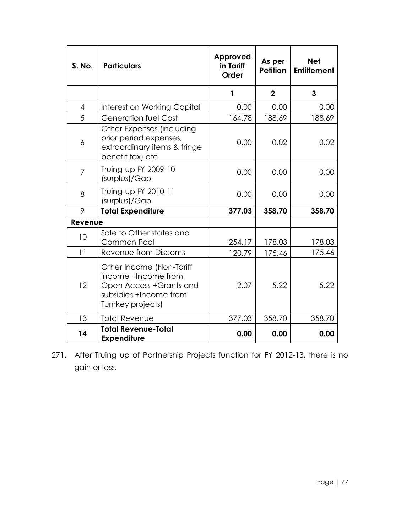| <b>S. No.</b>  | <b>Particulars</b>                                                                                                        | Approved<br>in Tariff<br><b>Order</b> | As per<br><b>Petition</b> | <b>Net</b><br><b>Entitlement</b> |
|----------------|---------------------------------------------------------------------------------------------------------------------------|---------------------------------------|---------------------------|----------------------------------|
|                |                                                                                                                           | 1                                     | $\overline{2}$            | 3                                |
| 4              | Interest on Working Capital                                                                                               | 0.00                                  | 0.00                      | 0.00                             |
| 5              | Generation fuel Cost                                                                                                      | 164.78                                | 188.69                    | 188.69                           |
| 6              | Other Expenses (including<br>prior period expenses,<br>extraordinary items & fringe<br>benefit tax) etc                   | 0.00                                  | 0.02                      | 0.02                             |
| $\overline{7}$ | Truing-up FY 2009-10<br>(surplus)/Gap                                                                                     | 0.00                                  | 0.00                      | 0.00                             |
| 8              | Truing-up FY 2010-11<br>(surplus)/Gap                                                                                     | 0.00                                  | 0.00                      | 0.00                             |
| 9              | <b>Total Expenditure</b>                                                                                                  | 377.03                                | 358.70                    | 358.70                           |
| Revenue        |                                                                                                                           |                                       |                           |                                  |
| 10             | Sale to Other states and<br>Common Pool                                                                                   | 254.17                                | 178.03                    | 178.03                           |
| 11             | Revenue from Discoms                                                                                                      | 120.79                                | 175.46                    | 175.46                           |
| 12             | Other Income (Non-Tariff<br>income +Income from<br>Open Access +Grants and<br>subsidies +Income from<br>Turnkey projects) | 2.07                                  | 5.22                      | 5.22                             |
| 13             | <b>Total Revenue</b>                                                                                                      | 377.03                                | 358.70                    | 358.70                           |
| 14             | <b>Total Revenue-Total</b><br><b>Expenditure</b>                                                                          | 0.00                                  | 0.00                      | 0.00                             |

271. After Truing up of Partnership Projects function for FY 2012-13, there is no gain or loss.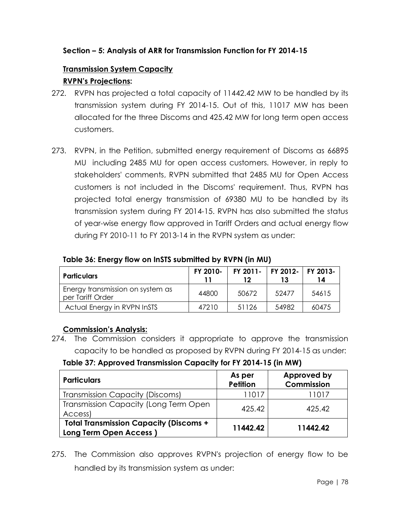# **Section – 5: Analysis of ARR for Transmission Function for FY 2014-15**

# **Transmission System Capacity**

# **RVPN's Projections:**

- 272. RVPN has projected a total capacity of 11442.42 MW to be handled by its transmission system during FY 2014-15. Out of this, 11017 MW has been allocated for the three Discoms and 425.42 MW for long term open access customers.
- 273. RVPN, in the Petition, submitted energy requirement of Discoms as 66895 MU including 2485 MU for open access customers. However, in reply to stakeholders' comments, RVPN submitted that 2485 MU for Open Access customers is not included in the Discoms' requirement. Thus, RVPN has projected total energy transmission of 69380 MU to be handled by its transmission system during FY 2014-15. RVPN has also submitted the status of year-wise energy flow approved in Tariff Orders and actual energy flow during FY 2010-11 to FY 2013-14 in the RVPN system as under:

|  |  |  | Table 36: Energy flow on InSTS submitted by RVPN (in MU) |  |  |
|--|--|--|----------------------------------------------------------|--|--|
|  |  |  |                                                          |  |  |

| <b>Particulars</b>                                   | FY 2010- | FY 2011- | FY 2012-   FY 2013- | 14    |
|------------------------------------------------------|----------|----------|---------------------|-------|
| Energy transmission on system as<br>per Tariff Order | 44800    | 50672    | 52477               | 54615 |
| Actual Energy in RVPN InSTS                          | 47210    | 51126    | 54982               | 60475 |

# **Commission's Analysis:**

274. The Commission considers it appropriate to approve the transmission capacity to be handled as proposed by RVPN during FY 2014-15 as under:

**Table 37: Approved Transmission Capacity for FY 2014-15 (in MW)**

| <b>Particulars</b>                                                             | As per<br><b>Petition</b> | Approved by<br>Commission |
|--------------------------------------------------------------------------------|---------------------------|---------------------------|
| <b>Transmission Capacity (Discoms)</b>                                         | 11017                     | 11017                     |
| Transmission Capacity (Long Term Open<br>Access)                               | 425.42                    | 425.42                    |
| <b>Total Transmission Capacity (Discoms +</b><br><b>Long Term Open Access)</b> | 11442.42                  | 11442.42                  |

275. The Commission also approves RVPN's projection of energy flow to be handled by its transmission system as under: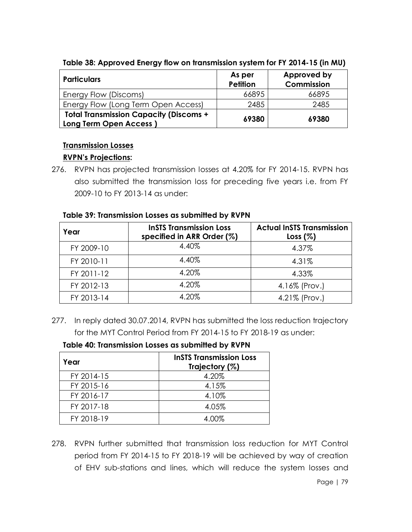| <b>Particulars</b>                                                             | As per<br><b>Petition</b> | Approved by<br>Commission |
|--------------------------------------------------------------------------------|---------------------------|---------------------------|
| Energy Flow (Discoms)                                                          | 66895                     | 66895                     |
| Energy Flow (Long Term Open Access)                                            | 2485                      | 2485                      |
| <b>Total Transmission Capacity (Discoms +</b><br><b>Long Term Open Access)</b> | 69380                     | 69380                     |

### **Table 38: Approved Energy flow on transmission system for FY 2014-15 (in MU)**

# **Transmission Losses**

## **RVPN's Projections:**

276. RVPN has projected transmission losses at 4.20% for FY 2014-15. RVPN has also submitted the transmission loss for preceding five years i.e. from FY 2009-10 to FY 2013-14 as under:

| Year       | <b>InSTS Transmission Loss</b><br>specified in ARR Order (%) | <b>Actual InSTS Transmission</b><br>Loss (%) |
|------------|--------------------------------------------------------------|----------------------------------------------|
| FY 2009-10 | 4.40%                                                        | 4.37%                                        |
| FY 2010-11 | 4.40%                                                        | 4.31%                                        |
| FY 2011-12 | 4.20%                                                        | 4.33%                                        |
| FY 2012-13 | 4.20%                                                        | 4.16% (Prov.)                                |
| FY 2013-14 | 4.20%                                                        | 4.21% (Prov.)                                |

#### **Table 39: Transmission Losses as submitted by RVPN**

277. In reply dated 30.07.2014, RVPN has submitted the loss reduction trajectory for the MYT Control Period from FY 2014-15 to FY 2018-19 as under:

#### **Table 40: Transmission Losses as submitted by RVPN**

| Year       | <b>InSTS Transmission Loss</b><br>Trajectory (%) |
|------------|--------------------------------------------------|
| FY 2014-15 | 4.20%                                            |
| FY 2015-16 | 4.15%                                            |
| FY 2016-17 | 4.10%                                            |
| FY 2017-18 | 4.05%                                            |
| FY 2018-19 | 4.00%                                            |

278. RVPN further submitted that transmission loss reduction for MYT Control period from FY 2014-15 to FY 2018-19 will be achieved by way of creation of EHV sub-stations and lines, which will reduce the system losses and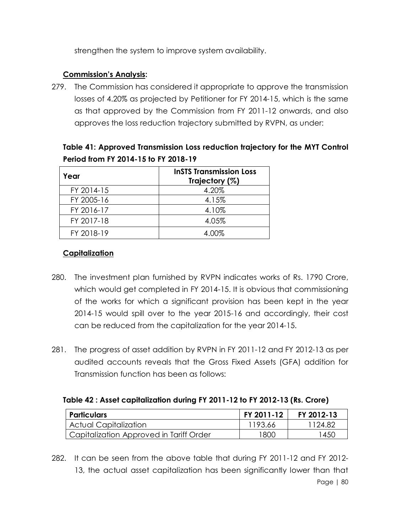strengthen the system to improve system availability.

## **Commission's Analysis:**

279. The Commission has considered it appropriate to approve the transmission losses of 4.20% as projected by Petitioner for FY 2014-15, which is the same as that approved by the Commission from FY 2011-12 onwards, and also approves the loss reduction trajectory submitted by RVPN, as under:

| Table 41: Approved Transmission Loss reduction trajectory for the MYT Control |
|-------------------------------------------------------------------------------|
| Period from FY 2014-15 to FY 2018-19                                          |

| Year       | <b>InSTS Transmission Loss</b><br>Trajectory (%) |
|------------|--------------------------------------------------|
| FY 2014-15 | 4.20%                                            |
| FY 2005-16 | 4.15%                                            |
| FY 2016-17 | 4.10%                                            |
| FY 2017-18 | 4.05%                                            |
| FY 2018-19 | 4.00%                                            |

## **Capitalization**

- 280. The investment plan furnished by RVPN indicates works of Rs. 1790 Crore, which would get completed in FY 2014-15. It is obvious that commissioning of the works for which a significant provision has been kept in the year 2014-15 would spill over to the year 2015-16 and accordingly, their cost can be reduced from the capitalization for the year 2014-15.
- 281. The progress of asset addition by RVPN in FY 2011-12 and FY 2012-13 as per audited accounts reveals that the Gross Fixed Assets (GFA) addition for Transmission function has been as follows:

#### **Table 42 : Asset capitalization during FY 2011-12 to FY 2012-13 (Rs. Crore)**

| <b>Particulars</b>                      | FY 2011-12 | FY 2012-13 |
|-----------------------------------------|------------|------------|
| Actual Capitalization                   | 1193.66    | 124.82     |
| Capitalization Approved in Tariff Order | 1800       | 450        |

Page | 80 282. It can be seen from the above table that during FY 2011-12 and FY 2012- 13, the actual asset capitalization has been significantly lower than that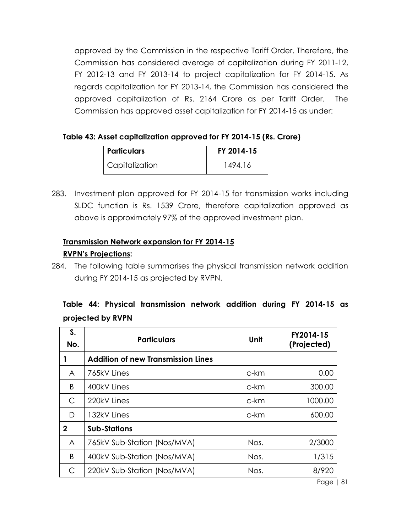approved by the Commission in the respective Tariff Order. Therefore, the Commission has considered average of capitalization during FY 2011-12, FY 2012-13 and FY 2013-14 to project capitalization for FY 2014-15. As regards capitalization for FY 2013-14, the Commission has considered the approved capitalization of Rs. 2164 Crore as per Tariff Order. The Commission has approved asset capitalization for FY 2014-15 as under:

## **Table 43: Asset capitalization approved for FY 2014-15 (Rs. Crore)**

| <i><b>Particulars</b></i> | FY 2014-15 |
|---------------------------|------------|
| Capitalization            | 1494.16    |

283. Investment plan approved for FY 2014-15 for transmission works including SLDC function is Rs. 1539 Crore, therefore capitalization approved as above is approximately 97% of the approved investment plan.

# **Transmission Network expansion for FY 2014-15**

## **RVPN's Projections:**

284. The following table summarises the physical transmission network addition during FY 2014-15 as projected by RVPN.

|  |                   | Table 44: Physical transmission network addition during FY 2014-15 as |  |  |  |
|--|-------------------|-----------------------------------------------------------------------|--|--|--|
|  | projected by RVPN |                                                                       |  |  |  |

| S.<br>No.    | <b>Particulars</b>                        | Unit | FY2014-15<br>(Projected) |
|--------------|-------------------------------------------|------|--------------------------|
|              | <b>Addition of new Transmission Lines</b> |      |                          |
| A            | 765kV Lines                               | c-km | 0.00                     |
| B            | 400kV Lines                               | c-km | 300.00                   |
| C            | 220kV Lines                               | c-km | 1000.00                  |
| D            | 132kV Lines                               | c-km | 600.00                   |
| $\mathbf{2}$ | <b>Sub-Stations</b>                       |      |                          |
| A            | 765kV Sub-Station (Nos/MVA)               | Nos. | 2/3000                   |
| B            | 400kV Sub-Station (Nos/MVA)               | Nos. | 1/315                    |
| С            | 220kV Sub-Station (Nos/MVA)               | Nos. | 8/920                    |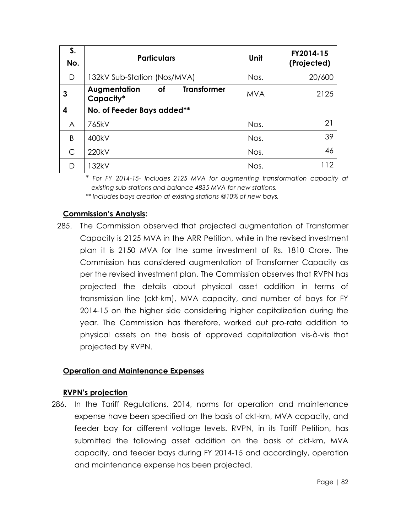| S.<br>No. | <b>Particulars</b>                                    | Unit       | FY2014-15<br>(Projected) |
|-----------|-------------------------------------------------------|------------|--------------------------|
| D         | 132kV Sub-Station (Nos/MVA)                           | Nos.       | 20/600                   |
| 3         | <b>Transformer</b><br>Augmentation<br>of<br>Capacity* | <b>MVA</b> | 2125                     |
| 4         | No. of Feeder Bays added**                            |            |                          |
| A         | 765kV                                                 | Nos.       | 21                       |
| B         | 400kV                                                 | Nos.       | 39                       |
| C         | 220kV                                                 | Nos.       | 46                       |
| D         | 132kV                                                 | Nos.       | 112                      |

\* *For FY 2014-15- Includes 2125 MVA for augmenting transformation capacity at existing sub-stations and balance 4835 MVA for new stations.*

*\*\* Includes bays creation at existing stations @10% of new bays.*

## **Commission's Analysis:**

285. The Commission observed that projected augmentation of Transformer Capacity is 2125 MVA in the ARR Petition, while in the revised investment plan it is 2150 MVA for the same investment of Rs. 1810 Crore. The Commission has considered augmentation of Transformer Capacity as per the revised investment plan. The Commission observes that RVPN has projected the details about physical asset addition in terms of transmission line (ckt-km), MVA capacity, and number of bays for FY 2014-15 on the higher side considering higher capitalization during the year. The Commission has therefore, worked out pro-rata addition to physical assets on the basis of approved capitalization vis-à-vis that projected by RVPN.

# **Operation and Maintenance Expenses**

#### **RVPN's projection**

286. In the Tariff Regulations, 2014, norms for operation and maintenance expense have been specified on the basis of ckt-km, MVA capacity, and feeder bay for different voltage levels. RVPN, in its Tariff Petition, has submitted the following asset addition on the basis of ckt-km, MVA capacity, and feeder bays during FY 2014-15 and accordingly, operation and maintenance expense has been projected.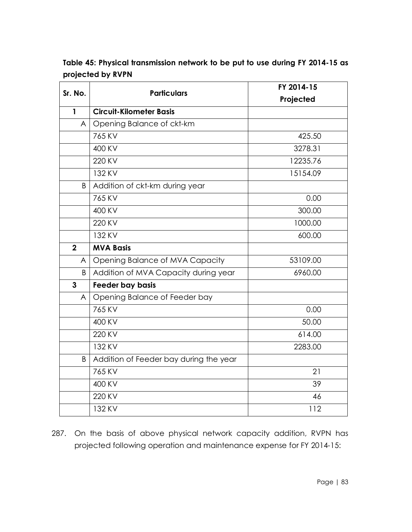| Sr. No.      | <b>Particulars</b>                     | FY 2014-15 |  |  |
|--------------|----------------------------------------|------------|--|--|
|              |                                        | Projected  |  |  |
| $\mathbf{1}$ | <b>Circuit-Kilometer Basis</b>         |            |  |  |
| A            | Opening Balance of ckt-km              |            |  |  |
|              | 765 KV                                 | 425.50     |  |  |
|              | 400 KV                                 | 3278.31    |  |  |
|              | 220 KV                                 | 12235.76   |  |  |
|              | 132 KV                                 | 15154.09   |  |  |
| B            | Addition of ckt-km during year         |            |  |  |
|              | 765 KV                                 | 0.00       |  |  |
|              | 400 KV                                 | 300.00     |  |  |
|              | 220 KV                                 | 1000.00    |  |  |
|              | 132 KV                                 | 600.00     |  |  |
| $\mathbf 2$  | <b>MVA Basis</b>                       |            |  |  |
| A            | Opening Balance of MVA Capacity        | 53109.00   |  |  |
| B            | Addition of MVA Capacity during year   | 6960.00    |  |  |
| 3            | Feeder bay basis                       |            |  |  |
| A            | Opening Balance of Feeder bay          |            |  |  |
|              | 765 KV                                 | 0.00       |  |  |
|              | 400 KV                                 | 50.00      |  |  |
|              | 220 KV                                 | 614.00     |  |  |
|              | 132 KV                                 | 2283.00    |  |  |
| B            | Addition of Feeder bay during the year |            |  |  |
|              | 765 KV                                 | 21         |  |  |
|              | 400 KV                                 | 39         |  |  |
|              | 220 KV                                 | 46         |  |  |
|              | 132 KV                                 | 112        |  |  |

**Table 45: Physical transmission network to be put to use during FY 2014-15 as projected by RVPN**

287. On the basis of above physical network capacity addition, RVPN has projected following operation and maintenance expense for FY 2014-15: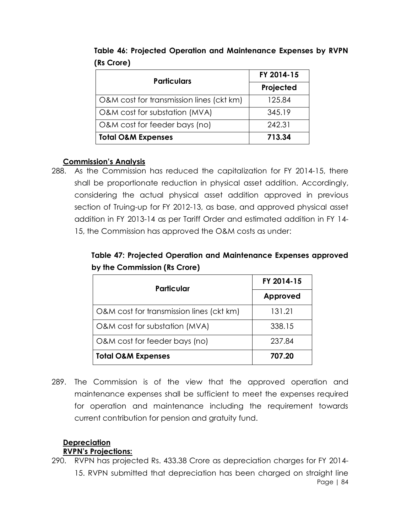| <b>Particulars</b>                       | FY 2014-15 |  |
|------------------------------------------|------------|--|
|                                          | Projected  |  |
| O&M cost for transmission lines (ckt km) | 125.84     |  |
| O&M cost for substation (MVA)            | 345.19     |  |
| O&M cost for feeder bays (no)            | 242.31     |  |
| <b>Total O&amp;M Expenses</b>            | 713.34     |  |

**Table 46: Projected Operation and Maintenance Expenses by RVPN (Rs Crore)**

#### **Commission's Analysis**

288. As the Commission has reduced the capitalization for FY 2014-15, there shall be proportionate reduction in physical asset addition. Accordingly, considering the actual physical asset addition approved in previous section of Truing-up for FY 2012-13, as base, and approved physical asset addition in FY 2013-14 as per Tariff Order and estimated addition in FY 14- 15, the Commission has approved the O&M costs as under:

**Table 47: Projected Operation and Maintenance Expenses approved by the Commission (Rs Crore)**

| <b>Particular</b>                        | FY 2014-15 |  |
|------------------------------------------|------------|--|
|                                          | Approved   |  |
| O&M cost for transmission lines (ckt km) | 131.21     |  |
| O&M cost for substation (MVA)            | 338.15     |  |
| O&M cost for feeder bays (no)            | 237.84     |  |
| <b>Total O&amp;M Expenses</b>            | 707.20     |  |

289. The Commission is of the view that the approved operation and maintenance expenses shall be sufficient to meet the expenses required for operation and maintenance including the requirement towards current contribution for pension and gratuity fund.

#### **Depreciation RVPN's Projections:**

Page | 84 290. RVPN has projected Rs. 433.38 Crore as depreciation charges for FY 2014- 15. RVPN submitted that depreciation has been charged on straight line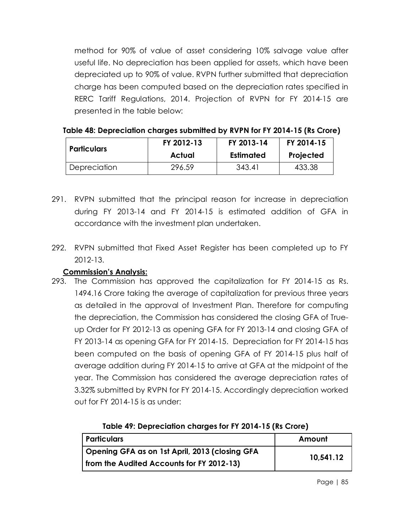method for 90% of value of asset considering 10% salvage value after useful life. No depreciation has been applied for assets, which have been depreciated up to 90% of value. RVPN further submitted that depreciation charge has been computed based on the depreciation rates specified in RERC Tariff Regulations, 2014. Projection of RVPN for FY 2014-15 are presented in the table below:

| Particulars  | FY 2012-13 | FY 2013-14 | FY 2014-15 |
|--------------|------------|------------|------------|
|              | Actual     | Estimated  | Projected  |
| Depreciation | 296.59     | 343.41     | 433.38     |

| Table 48: Depreciation charges submitted by RVPN for FY 2014-15 (Rs Crore) |  |  |
|----------------------------------------------------------------------------|--|--|
|----------------------------------------------------------------------------|--|--|

- 291. RVPN submitted that the principal reason for increase in depreciation during FY 2013-14 and FY 2014-15 is estimated addition of GFA in accordance with the investment plan undertaken.
- 292. RVPN submitted that Fixed Asset Register has been completed up to FY 2012-13.

# **Commission's Analysis:**

293. The Commission has approved the capitalization for FY 2014-15 as Rs. 1494.16 Crore taking the average of capitalization for previous three years as detailed in the approval of Investment Plan. Therefore for computing the depreciation, the Commission has considered the closing GFA of Trueup Order for FY 2012-13 as opening GFA for FY 2013-14 and closing GFA of FY 2013-14 as opening GFA for FY 2014-15. Depreciation for FY 2014-15 has been computed on the basis of opening GFA of FY 2014-15 plus half of average addition during FY 2014-15 to arrive at GFA at the midpoint of the year. The Commission has considered the average depreciation rates of 3.32% submitted by RVPN for FY 2014-15. Accordingly depreciation worked out for FY 2014-15 is as under:

| Particulars                                    | Amount    |  |
|------------------------------------------------|-----------|--|
| Opening GFA as on 1st April, 2013 (closing GFA | 10,541.12 |  |
| from the Audited Accounts for FY 2012-13)      |           |  |

**Table 49: Depreciation charges for FY 2014-15 (Rs Crore)**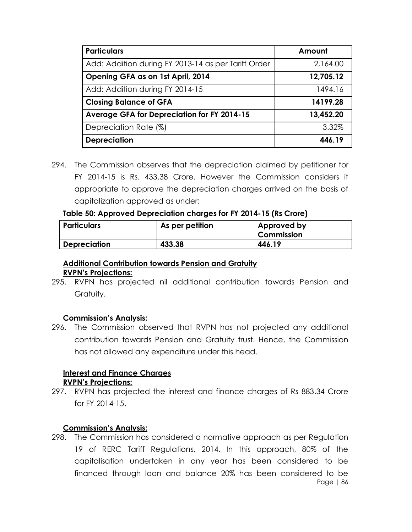| <b>Particulars</b>                                  | Amount    |
|-----------------------------------------------------|-----------|
| Add: Addition during FY 2013-14 as per Tariff Order | 2,164.00  |
| Opening GFA as on 1st April, 2014                   | 12,705.12 |
| Add: Addition during FY 2014-15                     | 1494.16   |
| <b>Closing Balance of GFA</b>                       | 14199.28  |
| Average GFA for Depreciation for FY 2014-15         | 13,452.20 |
| Depreciation Rate (%)                               | 3.32%     |
| <b>Depreciation</b>                                 | 446.19    |

294. The Commission observes that the depreciation claimed by petitioner for FY 2014-15 is Rs. 433.38 Crore. However the Commission considers it appropriate to approve the depreciation charges arrived on the basis of capitalization approved as under:

#### **Table 50: Approved Depreciation charges for FY 2014-15 (Rs Crore)**

| <b>Particulars</b>  | As per petition | Approved by<br><b>Commission</b> |
|---------------------|-----------------|----------------------------------|
| <b>Depreciation</b> | 433.38          | 446.19                           |

#### **Additional Contribution towards Pension and Gratuity RVPN's Projections:**

295. RVPN has projected nil additional contribution towards Pension and Gratuity.

#### **Commission's Analysis:**

296. The Commission observed that RVPN has not projected any additional contribution towards Pension and Gratuity trust. Hence, the Commission has not allowed any expenditure under this head.

#### **Interest and Finance Charges RVPN's Projections:**

297. RVPN has projected the interest and finance charges of Rs 883.34 Crore for FY 2014-15.

#### **Commission's Analysis:**

Page | 86 298. The Commission has considered a normative approach as per Regulation 19 of RERC Tariff Regulations, 2014. In this approach, 80% of the capitalisation undertaken in any year has been considered to be financed through loan and balance 20% has been considered to be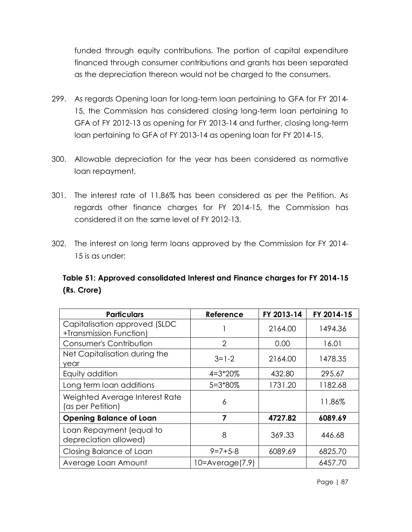funded through equity contributions. The portion of capital expenditure financed through consumer contributions and grants has been separated as the depreciation thereon would not be charged to the consumers.

- 299. As regards Opening loan for long-term loan pertaining to GFA for FY 2014- 15, the Commission has considered closing long-term loan pertaining to GFA of FY 2012-13 as opening for FY 2013-14 and further, closing long-term loan pertaining to GFA of FY 2013-14 as opening loan for FY 2014-15.
- 300. Allowable depreciation for the year has been considered as normative loan repayment.
- 301. The interest rate of 11.86% has been considered as per the Petition. As regards other finance charges for FY 2014-15, the Commission has considered it on the same level of FY 2012-13.
- 302. The interest on long term loans approved by the Commission for FY 2014- 15 is as under:

# **Table 51: Approved consolidated Interest and Finance charges for FY 2014-15 (Rs. Crore)**

| <b>Particulars</b>                                       | Reference            | FY 2013-14 | FY 2014-15 |
|----------------------------------------------------------|----------------------|------------|------------|
| Capitalisation approved (SLDC<br>+Transmission Function) |                      | 2164.00    | 1494.36    |
| Consumer's Contribution                                  | $\overline{2}$       | 0.00       | 16.01      |
| Net Capitalisation during the<br>year                    | $3=1-2$              | 2164.00    | 1478.35    |
| Equity addition                                          | $4 = 3*20%$          | 432.80     | 295.67     |
| Long term loan additions                                 | $5 = 3*80%$          | 1731.20    | 1182.68    |
| Weighted Average Interest Rate<br>(as per Petition)      | 6                    |            | 11.86%     |
| <b>Opening Balance of Loan</b>                           | 7                    | 4727.82    | 6089.69    |
| Loan Repayment (equal to<br>depreciation allowed)        | 8                    | 369.33     | 446.68     |
| Closing Balance of Loan                                  | $9 = 7 + 5 - 8$      | 6089.69    | 6825.70    |
| Average Loan Amount                                      | $10 = Average(7, 9)$ |            | 6457.70    |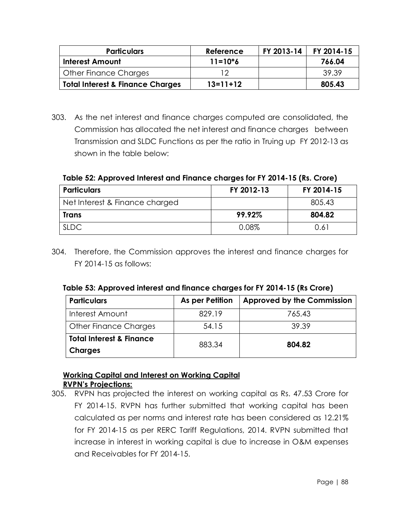| <b>Particulars</b>                          | Reference   | FY 2013-14 | FY 2014-15 |
|---------------------------------------------|-------------|------------|------------|
| <b>Interest Amount</b>                      | $11 = 10*6$ |            | 766.04     |
| Other Finance Charges                       | ר ו         |            | -39.39     |
| <b>Total Interest &amp; Finance Charges</b> | $13=11+12$  |            | 805.43     |

303. As the net interest and finance charges computed are consolidated, the Commission has allocated the net interest and finance charges between Transmission and SLDC Functions as per the ratio in Truing up FY 2012-13 as shown in the table below:

**Table 52: Approved Interest and Finance charges for FY 2014-15 (Rs. Crore)**

| <b>Particulars</b>             | FY 2012-13 | FY 2014-15 |
|--------------------------------|------------|------------|
| Net Interest & Finance charged |            | 805.43     |
| Trans                          | 99.92%     | 804.82     |
| <b>SLDC</b>                    | 0.08%      | 0.61       |

304. Therefore, the Commission approves the interest and finance charges for FY 2014-15 as follows:

| Table 53: Approved interest and finance charges for FY 2014-15 (Rs Crore) |  |
|---------------------------------------------------------------------------|--|
|---------------------------------------------------------------------------|--|

| <b>Particulars</b>                  | As per Petition | <b>Approved by the Commission</b> |
|-------------------------------------|-----------------|-----------------------------------|
| Interest Amount                     | 829.19          | 765.43                            |
| <b>Other Finance Charges</b>        | 54.15           | 39.39                             |
| <b>Total Interest &amp; Finance</b> | 883.34          | 804.82                            |
| <b>Charges</b>                      |                 |                                   |

# **Working Capital and Interest on Working Capital RVPN's Projections:**

305. RVPN has projected the interest on working capital as Rs. 47.53 Crore for FY 2014-15. RVPN has further submitted that working capital has been calculated as per norms and interest rate has been considered as 12.21% for FY 2014-15 as per RERC Tariff Regulations, 2014. RVPN submitted that increase in interest in working capital is due to increase in O&M expenses and Receivables for FY 2014-15.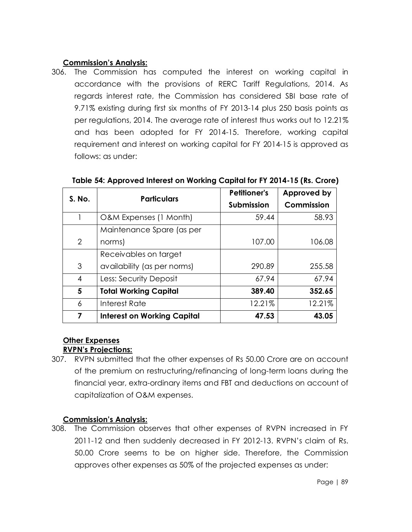# **Commission's Analysis:**

306. The Commission has computed the interest on working capital in accordance with the provisions of RERC Tariff Regulations, 2014. As regards interest rate, the Commission has considered SBI base rate of 9.71% existing during first six months of FY 2013-14 plus 250 basis points as per regulations, 2014. The average rate of interest thus works out to 12.21% and has been adopted for FY 2014-15. Therefore, working capital requirement and interest on working capital for FY 2014-15 is approved as follows: as under:

| S. No. | <b>Particulars</b>                 | <b>Petitioner's</b> | Approved by |
|--------|------------------------------------|---------------------|-------------|
|        |                                    | <b>Submission</b>   | Commission  |
|        | O&M Expenses (1 Month)             | 59.44               | 58.93       |
|        | Maintenance Spare (as per          |                     |             |
| 2      | norms)                             | 107.00              | 106.08      |
|        | Receivables on target              |                     |             |
| 3      | availability (as per norms)        | 290.89              | 255.58      |
| 4      | Less: Security Deposit             | 67.94               | 67.94       |
| 5      | <b>Total Working Capital</b>       | 389.40              | 352.65      |
| 6      | Interest Rate                      | 12.21%              | 12.21%      |
| 7      | <b>Interest on Working Capital</b> | 47.53               | 43.05       |

**Table 54: Approved Interest on Working Capital for FY 2014-15 (Rs. Crore)**

#### **Other Expenses RVPN's Projections:**

307. RVPN submitted that the other expenses of Rs 50.00 Crore are on account of the premium on restructuring/refinancing of long-term loans during the financial year, extra-ordinary items and FBT and deductions on account of capitalization of O&M expenses.

# **Commission's Analysis:**

308. The Commission observes that other expenses of RVPN increased in FY 2011-12 and then suddenly decreased in FY 2012-13. RVPN's claim of Rs. 50.00 Crore seems to be on higher side. Therefore, the Commission approves other expenses as 50% of the projected expenses as under: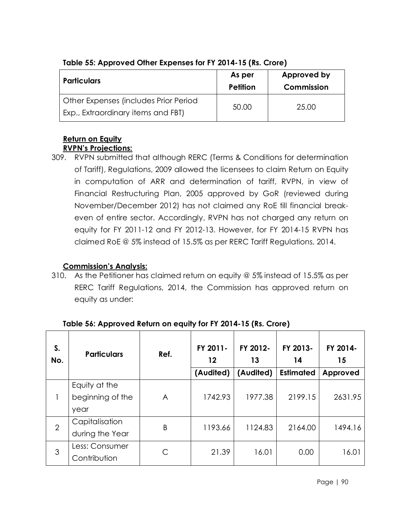| <b>Particulars</b>                    | As per<br>Petition | Approved by<br>Commission |
|---------------------------------------|--------------------|---------------------------|
| Other Expenses (includes Prior Period | 50.00              | 25.00                     |
| Exp., Extraordinary items and FBT)    |                    |                           |

# **Table 55: Approved Other Expenses for FY 2014-15 (Rs. Crore)**

#### **Return on Equity RVPN's Projections:**

309. RVPN submitted that although RERC (Terms & Conditions for determination of Tariff), Regulations, 2009 allowed the licensees to claim Return on Equity in computation of ARR and determination of tariff, RVPN, in view of Financial Restructuring Plan, 2005 approved by GoR (reviewed during November/December 2012) has not claimed any RoE till financial breakeven of entire sector. Accordingly, RVPN has not charged any return on equity for FY 2011-12 and FY 2012-13. However, for FY 2014-15 RVPN has claimed RoE @ 5% instead of 15.5% as per RERC Tariff Regulations, 2014.

# **Commission's Analysis:**

310. As the Petitioner has claimed return on equity @ 5% instead of 15.5% as per RERC Tariff Regulations, 2014, the Commission has approved return on equity as under:

| S.<br>No.      | <b>Particulars</b>                        | Ref. | FY 2011-<br>12<br>(Audited) | FY 2012-<br>13<br>(Audited) | FY 2013-<br>14<br><b>Estimated</b> | FY 2014-<br>15<br>Approved |
|----------------|-------------------------------------------|------|-----------------------------|-----------------------------|------------------------------------|----------------------------|
|                | Equity at the<br>beginning of the<br>year | A    | 1742.93                     | 1977.38                     | 2199.15                            | 2631.95                    |
| $\overline{2}$ | Capitalisation<br>during the Year         | B    | 1193.66                     | 1124.83                     | 2164.00                            | 1494.16                    |
| 3              | Less: Consumer<br>Contribution            | С    | 21.39                       | 16.01                       | 0.00                               | 16.01                      |

**Table 56: Approved Return on equity for FY 2014-15 (Rs. Crore)**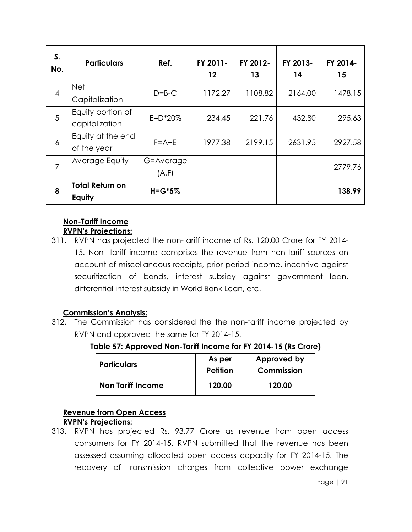| S.<br>No.      | <b>Particulars</b>                  | Ref.               | FY 2011-<br>$12 \,$ | FY 2012-<br>13 | FY 2013-<br>14 | FY 2014-<br>15 |
|----------------|-------------------------------------|--------------------|---------------------|----------------|----------------|----------------|
| $\overline{4}$ | <b>Net</b><br>Capitalization        | $D=B-C$            | 1172.27             | 1108.82        | 2164.00        | 1478.15        |
| 5              | Equity portion of<br>capitalization | $E = D^*20%$       | 234.45              | 221.76         | 432.80         | 295.63         |
| 6              | Equity at the end<br>of the year    | $F = A + E$        | 1977.38             | 2199.15        | 2631.95        | 2927.58        |
| 7              | Average Equity                      | G=Average<br>(A,F) |                     |                |                | 2779.76        |
| 8              | <b>Total Return on</b><br>Equity    | $H = G*5%$         |                     |                |                | 138.99         |

#### **Non-Tariff Income RVPN's Projections:**

311. RVPN has projected the non-tariff income of Rs. 120.00 Crore for FY 2014- 15. Non -tariff income comprises the revenue from non-tariff sources on account of miscellaneous receipts, prior period income, incentive against securitization of bonds, interest subsidy against government loan, differential interest subsidy in World Bank Loan, etc.

# **Commission's Analysis:**

312. The Commission has considered the the non-tariff income projected by RVPN and approved the same for FY 2014-15.

**Table 57: Approved Non-Tariff Income for FY 2014-15 (Rs Crore)**

| <b>Particulars</b>       | As per<br>Petition | Approved by<br>Commission |
|--------------------------|--------------------|---------------------------|
| <b>Non Tariff Income</b> | 120.00             | 120.00                    |

# **Revenue from Open Access**

# **RVPN's Projections:**

313. RVPN has projected Rs. 93.77 Crore as revenue from open access consumers for FY 2014-15. RVPN submitted that the revenue has been assessed assuming allocated open access capacity for FY 2014-15. The recovery of transmission charges from collective power exchange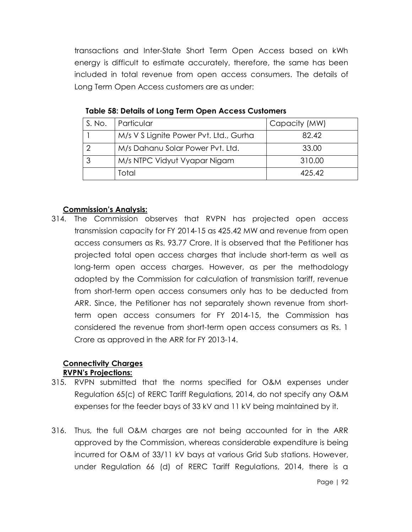transactions and Inter-State Short Term Open Access based on kWh energy is difficult to estimate accurately, therefore, the same has been included in total revenue from open access consumers. The details of Long Term Open Access customers are as under:

| S. No. | Particular                             | Capacity (MW) |
|--------|----------------------------------------|---------------|
|        | M/s V S Lignite Power Pvt. Ltd., Gurha | 82.42         |
|        | M/s Dahanu Solar Power Pvt. Ltd.       | 33.00         |
|        | M/s NTPC Vidyut Vyapar Nigam           | 310.00        |
|        | Total                                  | 425.42        |

**Table 58: Details of Long Term Open Access Customers**

#### **Commission's Analysis:**

314. The Commission observes that RVPN has projected open access transmission capacity for FY 2014-15 as 425.42 MW and revenue from open access consumers as Rs. 93.77 Crore. It is observed that the Petitioner has projected total open access charges that include short-term as well as long-term open access charges. However, as per the methodology adopted by the Commission for calculation of transmission tariff, revenue from short-term open access consumers only has to be deducted from ARR. Since, the Petitioner has not separately shown revenue from shortterm open access consumers for FY 2014-15, the Commission has considered the revenue from short-term open access consumers as Rs. 1 Crore as approved in the ARR for FY 2013-14.

#### **Connectivity Charges RVPN's Projections:**

- 315. RVPN submitted that the norms specified for O&M expenses under Regulation 65(c) of RERC Tariff Regulations, 2014, do not specify any O&M expenses for the feeder bays of 33 kV and 11 kV being maintained by it.
- 316. Thus, the full O&M charges are not being accounted for in the ARR approved by the Commission, whereas considerable expenditure is being incurred for O&M of 33/11 kV bays at various Grid Sub stations. However, under Regulation 66 (d) of RERC Tariff Regulations, 2014, there is a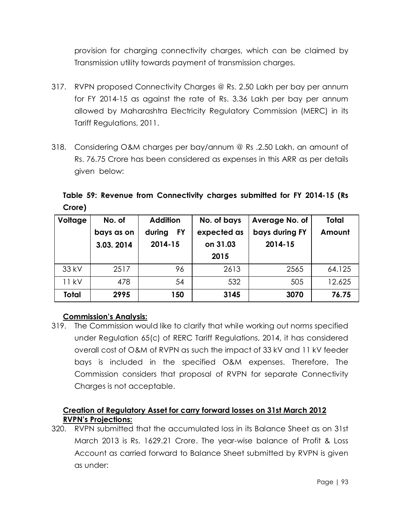provision for charging connectivity charges, which can be claimed by Transmission utility towards payment of transmission charges.

- 317. RVPN proposed Connectivity Charges @ Rs. 2.50 Lakh per bay per annum for FY 2014-15 as against the rate of Rs. 3.36 Lakh per bay per annum allowed by Maharashtra Electricity Regulatory Commission (MERC) in its Tariff Regulations, 2011.
- 318. Considering O&M charges per bay/annum @ Rs .2.50 Lakh, an amount of Rs. 76.75 Crore has been considered as expenses in this ARR as per details given below:

**Table 59: Revenue from Connectivity charges submitted for FY 2014-15 (Rs Crore)**

| Voltage      | No. of     | <b>Addition</b>     | No. of bays | Average No. of | <b>Total</b> |
|--------------|------------|---------------------|-------------|----------------|--------------|
|              | bays as on | <b>FY</b><br>during | expected as | bays during FY | Amount       |
|              | 3.03.2014  | 2014-15             | on 31.03    | 2014-15        |              |
|              |            |                     | 2015        |                |              |
| 33 kV        | 2517       | 96                  | 2613        | 2565           | 64.125       |
| 11 kV        | 478        | 54                  | 532         | 505            | 12.625       |
| <b>Total</b> | 2995       | 150                 | 3145        | 3070           | 76.75        |

# **Commission's Analysis:**

319. The Commission would like to clarify that while working out norms specified under Regulation 65(c) of RERC Tariff Regulations, 2014, it has considered overall cost of O&M of RVPN as such the impact of 33 kV and 11 kV feeder bays is included in the specified O&M expenses. Therefore, The Commission considers that proposal of RVPN for separate Connectivity Charges is not acceptable.

# **Creation of Regulatory Asset for carry forward losses on 31st March 2012 RVPN's Projections:**

320. RVPN submitted that the accumulated loss in its Balance Sheet as on 31st March 2013 is Rs. 1629.21 Crore. The year-wise balance of Profit & Loss Account as carried forward to Balance Sheet submitted by RVPN is given as under: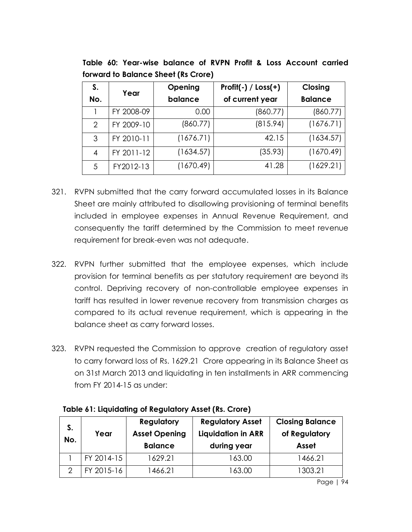| S.  | Year       | Opening   | Profit(-) / $Loss(+)$ | Closing        |
|-----|------------|-----------|-----------------------|----------------|
| No. |            | balance   | of current year       | <b>Balance</b> |
|     | FY 2008-09 | 0.00      | (860.77)              | (860.77)       |
| 2   | FY 2009-10 | (860.77)  | (815.94)              | (1676.71)      |
| 3   | FY 2010-11 | (1676.71) | 42.15                 | (1634.57)      |
| 4   | FY 2011-12 | (1634.57) | (35.93)               | (1670.49)      |
| 5   | FY2012-13  | (1670.49) | 41.28                 | (1629.21)      |

**Table 60: Year-wise balance of RVPN Profit & Loss Account carried forward to Balance Sheet (Rs Crore)**

- 321. RVPN submitted that the carry forward accumulated losses in its Balance Sheet are mainly attributed to disallowing provisioning of terminal benefits included in employee expenses in Annual Revenue Requirement, and consequently the tariff determined by the Commission to meet revenue requirement for break-even was not adequate.
- 322. RVPN further submitted that the employee expenses, which include provision for terminal benefits as per statutory requirement are beyond its control. Depriving recovery of non-controllable employee expenses in tariff has resulted in lower revenue recovery from transmission charges as compared to its actual revenue requirement, which is appearing in the balance sheet as carry forward losses.
- 323. RVPN requested the Commission to approve creation of regulatory asset to carry forward loss of Rs. 1629.21 Crore appearing in its Balance Sheet as on 31st March 2013 and liquidating in ten installments in ARR commencing from FY 2014-15 as under:

| S.  |            | Regulatory           | <b>Regulatory Asset</b>   | <b>Closing Balance</b> |
|-----|------------|----------------------|---------------------------|------------------------|
| No. | Year       | <b>Asset Opening</b> | <b>Liquidation in ARR</b> | of Regulatory          |
|     |            | <b>Balance</b>       | during year               | <b>Asset</b>           |
|     | FY 2014-15 | 1629.21              | 163.00                    | 1466.21                |
| റ   | FY 2015-16 | 1466.21              | 163.00                    | 1303.21                |

**Table 61: Liquidating of Regulatory Asset (Rs. Crore)**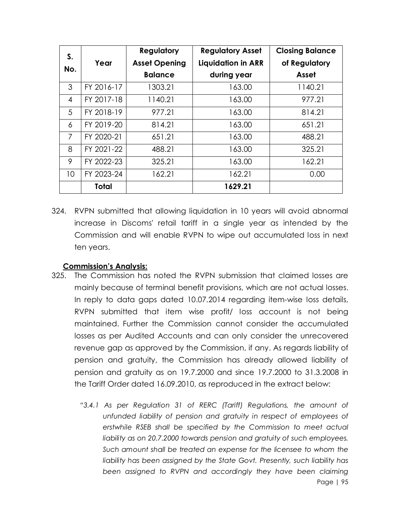| S.             |            | Regulatory           | <b>Regulatory Asset</b>   | <b>Closing Balance</b> |
|----------------|------------|----------------------|---------------------------|------------------------|
|                | Year       | <b>Asset Opening</b> | <b>Liquidation in ARR</b> | of Regulatory          |
| No.            |            | <b>Balance</b>       | during year               | Asset                  |
| 3              | FY 2016-17 | 1303.21              | 163.00                    | 1140.21                |
| $\overline{4}$ | FY 2017-18 | 1140.21              | 163.00                    | 977.21                 |
| 5              | FY 2018-19 | 977.21               | 163.00                    | 814.21                 |
| 6              | FY 2019-20 | 814.21               | 163.00                    | 651.21                 |
| $\overline{7}$ | FY 2020-21 | 651.21               | 163.00                    | 488.21                 |
| 8              | FY 2021-22 | 488.21               | 163.00                    | 325.21                 |
| 9              | FY 2022-23 | 325.21               | 163.00                    | 162.21                 |
| 10             | FY 2023-24 | 162.21               | 162.21                    | 0.00                   |
|                | Total      |                      | 1629.21                   |                        |

324. RVPN submitted that allowing liquidation in 10 years will avoid abnormal increase in Discoms' retail tariff in a single year as intended by the Commission and will enable RVPN to wipe out accumulated loss in next ten years.

#### **Commission's Analysis:**

- 325. The Commission has noted the RVPN submission that claimed losses are mainly because of terminal benefit provisions, which are not actual losses. In reply to data gaps dated 10.07.2014 regarding item-wise loss details, RVPN submitted that item wise profit/ loss account is not being maintained. Further the Commission cannot consider the accumulated losses as per Audited Accounts and can only consider the unrecovered revenue gap as approved by the Commission, if any. As regards liability of pension and gratuity, the Commission has already allowed liability of pension and gratuity as on 19.7.2000 and since 19.7.2000 to 31.3.2008 in the Tariff Order dated 16.09.2010, as reproduced in the extract below:
	- Page | 95 "3.4.1 As per Regulation 31 of RERC (Tariff) Regulations, the amount of *unfunded liability of pension and gratuity in respect of employees of erstwhile RSEB shall be specified by the Commission to meet actual liability as on 20.7.2000 towards pension and gratuity of such employees. Such amount shall be treated an expense for the licensee to whom the liability has been assigned by the State Govt. Presently, such liability has been assigned to RVPN and accordingly they have been claiming*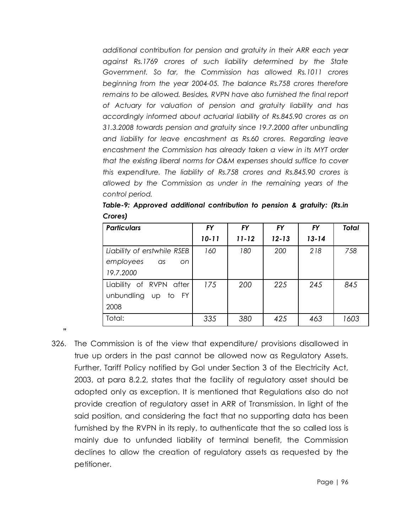*additional contribution for pension and gratuity in their ARR each year against Rs.1769 crores of such liability determined by the State Government. So far, the Commission has allowed Rs.1011 crores beginning from the year 2004-05. The balance Rs.758 crores therefore remains to be allowed. Besides, RVPN have also furnished the final report of Actuary for valuation of pension and gratuity liability and has accordingly informed about actuarial liability of Rs.845.90 crores as on 31.3.2008 towards pension and gratuity since 19.7.2000 after unbundling and liability for leave encashment as Rs.60 crores. Regarding leave encashment the Commission has already taken a view in its MYT order that the existing liberal norms for O&M expenses should suffice to cover this expenditure. The liability of Rs.758 crores and Rs.845.90 crores is allowed by the Commission as under in the remaining years of the control period.*

| <b>Particulars</b>          | <b>FY</b> | <b>FY</b> | <b>FY</b> | <b>FY</b> | <b>Total</b> |
|-----------------------------|-----------|-----------|-----------|-----------|--------------|
|                             | $10 - 11$ | $11 - 12$ | $12 - 13$ | $13 - 14$ |              |
| Liability of erstwhile RSEB | 160       | 180       | 200       | 218       | 758          |
| employees as<br>on.         |           |           |           |           |              |
| 19.7.2000                   |           |           |           |           |              |
| Liability of RVPN after     | 175       | 200       | 225       | 245       | 845          |
| unbundling up to FY         |           |           |           |           |              |
| 2008                        |           |           |           |           |              |
| Total:                      | 335       | 380       | 425       | 463       | 1603         |

*Table-9: Approved additional contribution to pension & gratuity: (Rs.in Crores)* 

326. The Commission is of the view that expenditure/ provisions disallowed in true up orders in the past cannot be allowed now as Regulatory Assets. Further, Tariff Policy notified by GoI under Section 3 of the Electricity Act, 2003, at para 8.2.2, states that the facility of regulatory asset should be adopted only as exception. It is mentioned that Regulations also do not provide creation of regulatory asset in ARR of Transmission. In light of the said position, and considering the fact that no supporting data has been furnished by the RVPN in its reply, to authenticate that the so called loss is mainly due to unfunded liability of terminal benefit, the Commission declines to allow the creation of regulatory assets as requested by the petitioner.

**"**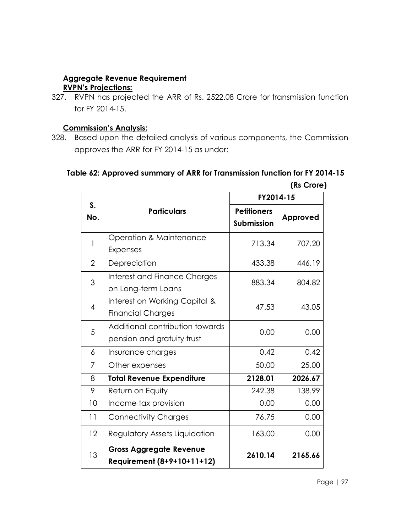# **Aggregate Revenue Requirement**

# **RVPN's Projections:**

327. RVPN has projected the ARR of Rs. 2522.08 Crore for transmission function for FY 2014-15.

#### **Commission's Analysis:**

328. Based upon the detailed analysis of various components, the Commission approves the ARR for FY 2014-15 as under:

# **Table 62: Approved summary of ARR for Transmission function for FY 2014-15**

|                |                                                               |                                         | (Rs Crore) |
|----------------|---------------------------------------------------------------|-----------------------------------------|------------|
|                |                                                               | FY2014-15                               |            |
| S.<br>No.      | <b>Particulars</b>                                            | <b>Petitioners</b><br><b>Submission</b> | Approved   |
| 1              | <b>Operation &amp; Maintenance</b><br><b>Expenses</b>         | 713.34                                  | 707.20     |
| $\overline{2}$ | Depreciation                                                  | 433.38                                  | 446.19     |
| 3              | Interest and Finance Charges<br>on Long-term Loans            | 883.34                                  | 804.82     |
| $\overline{4}$ | Interest on Working Capital &<br><b>Financial Charges</b>     | 47.53                                   | 43.05      |
| 5              | Additional contribution towards<br>pension and gratuity trust | 0.00                                    | 0.00       |
| 6              | Insurance charges                                             | 0.42                                    | 0.42       |
| 7              | Other expenses                                                | 50.00                                   | 25.00      |
| 8              | <b>Total Revenue Expenditure</b>                              | 2128.01                                 | 2026.67    |
| 9              | Return on Equity                                              | 242.38                                  | 138.99     |
| 10             | Income tax provision                                          | 0.00                                    | 0.00       |
| 11             | <b>Connectivity Charges</b>                                   | 76.75                                   | 0.00       |
| 12             | Regulatory Assets Liquidation                                 | 163.00                                  | 0.00       |
| 13             | <b>Gross Aggregate Revenue</b><br>Requirement (8+9+10+11+12)  | 2610.14                                 | 2165.66    |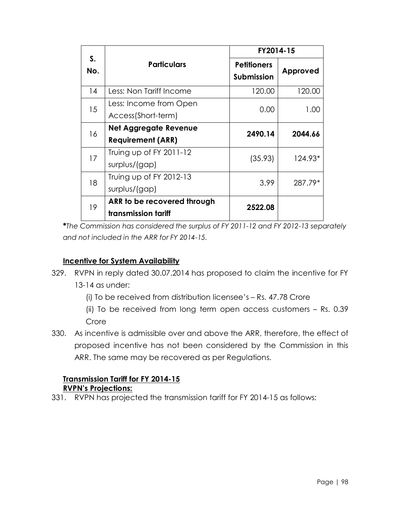|           |                                                          | FY2014-15                               |          |
|-----------|----------------------------------------------------------|-----------------------------------------|----------|
| S.<br>No. | <b>Particulars</b>                                       | <b>Petitioners</b><br><b>Submission</b> | Approved |
| 14        | Less: Non Tariff Income                                  | 120.00                                  | 120.00   |
| 15        | Less: Income from Open<br>Access(Short-term)             | 0.00                                    | 1.00     |
| 16        | <b>Net Aggregate Revenue</b><br><b>Requirement (ARR)</b> | 2490.14                                 | 2044.66  |
| 17        | Truing up of FY 2011-12<br>surplus/(gap)                 | (35.93)                                 | 124.93*  |
| 18        | Truing up of FY 2012-13<br>surplus/(gap)                 | 3.99                                    | 287.79*  |
| 19        | ARR to be recovered through<br>transmission tariff       | 2522.08                                 |          |

**\****The Commission has considered the surplus of FY 2011-12 and FY 2012-13 separately and not included in the ARR for FY 2014-15.*

# **Incentive for System Availability**

| 329. RVPN in reply dated 30.07.2014 has proposed to claim the incentive for FY |
|--------------------------------------------------------------------------------|
| 13-14 as under:                                                                |

(i) To be received from distribution licensee's – Rs. 47.78 Crore

(ii) To be received from long term open access customers – Rs. 0.39 Crore

330. As incentive is admissible over and above the ARR, therefore, the effect of proposed incentive has not been considered by the Commission in this ARR. The same may be recovered as per Regulations.

#### **Transmission Tariff for FY 2014-15 RVPN's Projections:**

331. RVPN has projected the transmission tariff for FY 2014-15 as follows: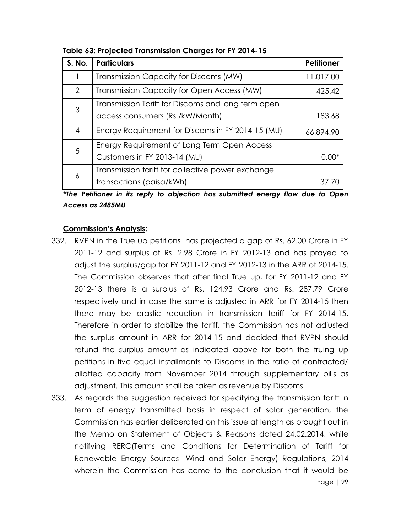| <b>S. No.</b>                                                                      | <b>Particulars</b>                                 | Petitioner |
|------------------------------------------------------------------------------------|----------------------------------------------------|------------|
|                                                                                    | Transmission Capacity for Discoms (MW)             | 11,017.00  |
| $\overline{2}$                                                                     | Transmission Capacity for Open Access (MW)         | 425.42     |
| 3                                                                                  | Transmission Tariff for Discoms and long term open |            |
|                                                                                    | access consumers (Rs./kW/Month)                    | 183.68     |
| 4                                                                                  | Energy Requirement for Discoms in FY 2014-15 (MU)  | 66,894.90  |
| 5                                                                                  | Energy Requirement of Long Term Open Access        |            |
| Customers in FY 2013-14 (MU)                                                       |                                                    | $0.00*$    |
| Transmission tariff for collective power exchange<br>6<br>transactions (paisa/kWh) |                                                    |            |
|                                                                                    |                                                    |            |

**Table 63: Projected Transmission Charges for FY 2014-15**

*\*The Petitioner in its reply to objection has submitted energy flow due to Open Access as 2485MU*

#### **Commission's Analysis:**

- 332. RVPN in the True up petitions has projected a gap of Rs. 62.00 Crore in FY 2011-12 and surplus of Rs. 2.98 Crore in FY 2012-13 and has prayed to adjust the surplus/gap for FY 2011-12 and FY 2012-13 in the ARR of 2014-15. The Commission observes that after final True up, for FY 2011-12 and FY 2012-13 there is a surplus of Rs. 124.93 Crore and Rs. 287.79 Crore respectively and in case the same is adjusted in ARR for FY 2014-15 then there may be drastic reduction in transmission tariff for FY 2014-15. Therefore in order to stabilize the tariff, the Commission has not adjusted the surplus amount in ARR for 2014-15 and decided that RVPN should refund the surplus amount as indicated above for both the truing up petitions in five equal installments to Discoms in the ratio of contracted/ allotted capacity from November 2014 through supplementary bills as adjustment. This amount shall be taken as revenue by Discoms.
- Page | 99 333. As regards the suggestion received for specifying the transmission tariff in term of energy transmitted basis in respect of solar generation, the Commission has earlier deliberated on this issue at length as brought out in the Memo on Statement of Objects & Reasons dated 24.02.2014, while notifying RERC(Terms and Conditions for Determination of Tariff for Renewable Energy Sources- Wind and Solar Energy) Regulations, 2014 wherein the Commission has come to the conclusion that it would be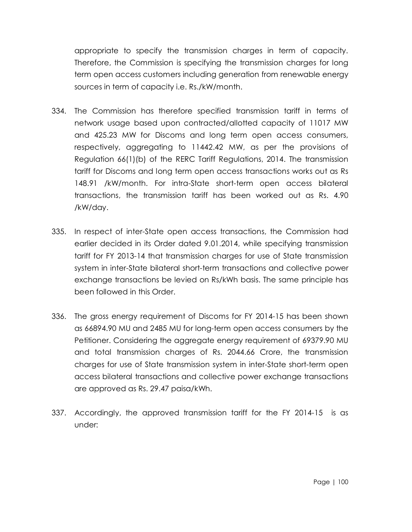appropriate to specify the transmission charges in term of capacity. Therefore, the Commission is specifying the transmission charges for long term open access customers including generation from renewable energy sources in term of capacity i.e. Rs./kW/month.

- 334. The Commission has therefore specified transmission tariff in terms of network usage based upon contracted/allotted capacity of 11017 MW and 425.23 MW for Discoms and long term open access consumers, respectively, aggregating to 11442.42 MW, as per the provisions of Regulation 66(1)(b) of the RERC Tariff Regulations, 2014. The transmission tariff for Discoms and long term open access transactions works out as Rs 148.91 /kW/month. For intra-State short-term open access bilateral transactions, the transmission tariff has been worked out as Rs. 4.90 /kW/day.
- 335. In respect of inter-State open access transactions, the Commission had earlier decided in its Order dated 9.01.2014, while specifying transmission tariff for FY 2013-14 that transmission charges for use of State transmission system in inter-State bilateral short-term transactions and collective power exchange transactions be levied on Rs/kWh basis. The same principle has been followed in this Order.
- 336. The gross energy requirement of Discoms for FY 2014-15 has been shown as 66894.90 MU and 2485 MU for long-term open access consumers by the Petitioner. Considering the aggregate energy requirement of 69379.90 MU and total transmission charges of Rs. 2044.66 Crore, the transmission charges for use of State transmission system in inter-State short-term open access bilateral transactions and collective power exchange transactions are approved as Rs. 29.47 paisa/kWh.
- 337. Accordingly, the approved transmission tariff for the FY 2014-15 is as under: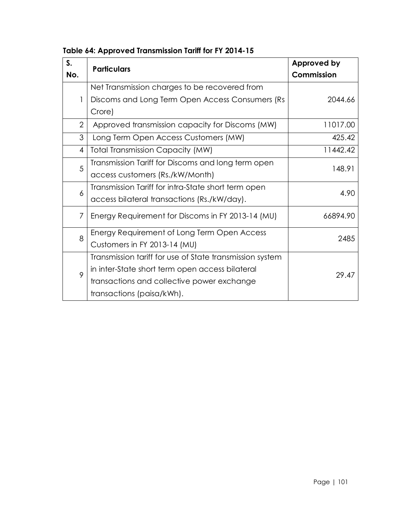| S.             | <b>Particulars</b>                                       | Approved by |
|----------------|----------------------------------------------------------|-------------|
| No.            |                                                          | Commission  |
|                | Net Transmission charges to be recovered from            |             |
| 1              | Discoms and Long Term Open Access Consumers (Rs          | 2044.66     |
|                | Crore)                                                   |             |
| $\overline{2}$ | Approved transmission capacity for Discoms (MW)          | 11017.00    |
| 3              | Long Term Open Access Customers (MW)                     | 425.42      |
| 4              | <b>Total Transmission Capacity (MW)</b>                  | 11442.42    |
| 5              | Transmission Tariff for Discoms and long term open       | 148.91      |
|                | access customers (Rs./kW/Month)                          |             |
| 6              | Transmission Tariff for intra-State short term open      | 4.90        |
|                | access bilateral transactions (Rs./kW/day).              |             |
| 7              | Energy Requirement for Discoms in FY 2013-14 (MU)        | 66894.90    |
| 8              | Energy Requirement of Long Term Open Access              | 2485        |
|                | Customers in FY 2013-14 (MU)                             |             |
|                | Transmission tariff for use of State transmission system |             |
| 9              | in inter-State short term open access bilateral          | 29.47       |
|                | transactions and collective power exchange               |             |
|                | transactions (paisa/kWh).                                |             |

**Table 64: Approved Transmission Tariff for FY 2014-15**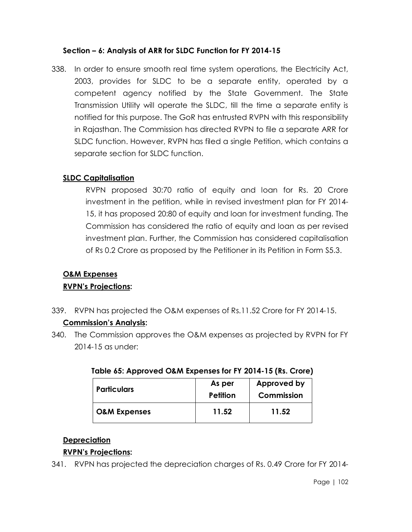## **Section – 6: Analysis of ARR for SLDC Function for FY 2014-15**

338. In order to ensure smooth real time system operations, the Electricity Act, 2003, provides for SLDC to be a separate entity, operated by a competent agency notified by the State Government. The State Transmission Utility will operate the SLDC, till the time a separate entity is notified for this purpose. The GoR has entrusted RVPN with this responsibility in Rajasthan. The Commission has directed RVPN to file a separate ARR for SLDC function. However, RVPN has filed a single Petition, which contains a separate section for SLDC function.

## **SLDC Capitalisation**

RVPN proposed 30:70 ratio of equity and loan for Rs. 20 Crore investment in the petition, while in revised investment plan for FY 2014- 15, it has proposed 20:80 of equity and loan for investment funding. The Commission has considered the ratio of equity and loan as per revised investment plan. Further, the Commission has considered capitalisation of Rs 0.2 Crore as proposed by the Petitioner in its Petition in Form S5.3.

# **O&M Expenses**

# **RVPN's Projections:**

339. RVPN has projected the O&M expenses of Rs.11.52 Crore for FY 2014-15.

#### **Commission's Analysis:**

340. The Commission approves the O&M expenses as projected by RVPN for FY 2014-15 as under:

| <b>Particulars</b>      | As per<br>Petition | Approved by<br>Commission |
|-------------------------|--------------------|---------------------------|
| <b>O&amp;M Expenses</b> | 11.52              | 11.52                     |

# **Table 65: Approved O&M Expenses for FY 2014-15 (Rs. Crore)**

#### **Depreciation**

#### **RVPN's Projections:**

341. RVPN has projected the depreciation charges of Rs. 0.49 Crore for FY 2014-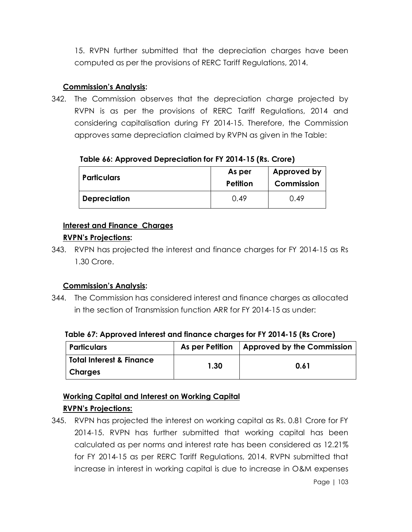15. RVPN further submitted that the depreciation charges have been computed as per the provisions of RERC Tariff Regulations, 2014.

# **Commission's Analysis:**

342. The Commission observes that the depreciation charge projected by RVPN is as per the provisions of RERC Tariff Regulations, 2014 and considering capitalisation during FY 2014-15. Therefore, the Commission approves same depreciation claimed by RVPN as given in the Table:

## **Table 66: Approved Depreciation for FY 2014-15 (Rs. Crore)**

| <b>Particulars</b> | As per<br><b>Petition</b> | Approved by<br>Commission |
|--------------------|---------------------------|---------------------------|
| Depreciation       | O 49                      | 0.49                      |

# **Interest and Finance Charges**

## **RVPN's Projections:**

343. RVPN has projected the interest and finance charges for FY 2014-15 as Rs 1.30 Crore.

# **Commission's Analysis:**

344. The Commission has considered interest and finance charges as allocated in the section of Transmission function ARR for FY 2014-15 as under:

#### **Table 67: Approved interest and finance charges for FY 2014-15 (Rs Crore)**

| <b>Particulars</b>                  |      | As per Petition   Approved by the Commission |
|-------------------------------------|------|----------------------------------------------|
| <b>Total Interest &amp; Finance</b> | 1.30 | 0.61                                         |
| Charges                             |      |                                              |

# **Working Capital and Interest on Working Capital**

# **RVPN's Projections:**

345. RVPN has projected the interest on working capital as Rs. 0.81 Crore for FY 2014-15. RVPN has further submitted that working capital has been calculated as per norms and interest rate has been considered as 12.21% for FY 2014-15 as per RERC Tariff Regulations, 2014. RVPN submitted that increase in interest in working capital is due to increase in O&M expenses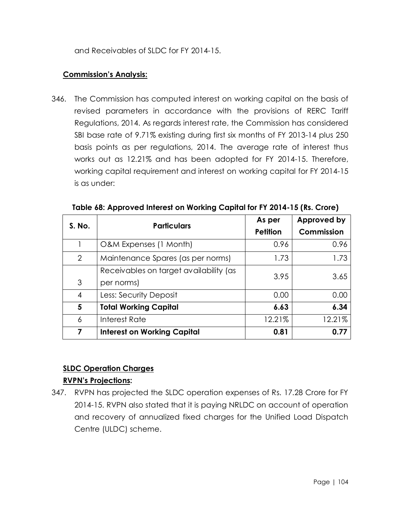# **Commission's Analysis:**

346. The Commission has computed interest on working capital on the basis of revised parameters in accordance with the provisions of RERC Tariff Regulations, 2014. As regards interest rate, the Commission has considered SBI base rate of 9.71% existing during first six months of FY 2013-14 plus 250 basis points as per regulations, 2014. The average rate of interest thus works out as 12.21% and has been adopted for FY 2014-15. Therefore, working capital requirement and interest on working capital for FY 2014-15 is as under:

| S. No.         | <b>Particulars</b>                                   | As per<br><b>Petition</b> | Approved by<br>Commission |
|----------------|------------------------------------------------------|---------------------------|---------------------------|
|                | O&M Expenses (1 Month)                               | 0.96                      | 0.96                      |
| $\overline{2}$ | Maintenance Spares (as per norms)                    | 1.73                      | 1.73                      |
| 3              | Receivables on target availability (as<br>per norms) | 3.95                      | 3.65                      |
| 4              | Less: Security Deposit                               | 0.00                      | 0.00                      |
| 5              | <b>Total Working Capital</b>                         | 6.63                      | 6.34                      |
| 6              | Interest Rate                                        | 12.21%                    | 12.21%                    |
| 7              | <b>Interest on Working Capital</b>                   | 0.81                      | 0.77                      |

**Table 68: Approved Interest on Working Capital for FY 2014-15 (Rs. Crore)**

# **SLDC Operation Charges**

# **RVPN's Projections:**

347. RVPN has projected the SLDC operation expenses of Rs. 17.28 Crore for FY 2014-15. RVPN also stated that it is paying NRLDC on account of operation and recovery of annualized fixed charges for the Unified Load Dispatch Centre (ULDC) scheme.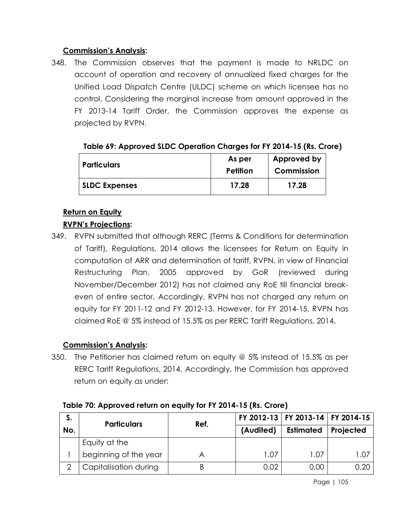## **Commission's Analysis:**

348. The Commission observes that the payment is made to NRLDC on account of operation and recovery of annualized fixed charges for the Unified Load Dispatch Centre (ULDC) scheme on which licensee has no control. Considering the marginal increase from amount approved in the FY 2013-14 Tariff Order, the Commission approves the expense as projected by RVPN.

| <b>Particulars</b>   | As per<br>Petition | Approved by<br>Commission |
|----------------------|--------------------|---------------------------|
| <b>SLDC Expenses</b> | 17.28              | 17.28                     |

|  | Table 69: Approved SLDC Operation Charges for FY 2014-15 (Rs. Crore) |  |
|--|----------------------------------------------------------------------|--|
|  |                                                                      |  |

## **Return on Equity**

# **RVPN's Projections:**

349. RVPN submitted that although RERC (Terms & Conditions for determination of Tariff), Regulations, 2014 allows the licensees for Return on Equity in computation of ARR and determination of tariff, RVPN, in view of Financial Restructuring Plan, 2005 approved by GoR (reviewed during November/December 2012) has not claimed any RoE till financial breakeven of entire sector. Accordingly, RVPN has not charged any return on equity for FY 2011-12 and FY 2012-13. However, for FY 2014-15, RVPN has claimed RoE @ 5% instead of 15.5% as per RERC Tariff Regulations, 2014.

#### **Commission's Analysis:**

350. The Petitioner has claimed return on equity @ 5% instead of 15.5% as per RERC Tariff Regulations, 2014. Accordingly, the Commission has approved return on equity as under:

| S.  | <b>Particulars</b>    | Ref. |           | FY 2012-13   FY 2013-14   FY 2014-15 |           |
|-----|-----------------------|------|-----------|--------------------------------------|-----------|
| No. |                       |      | (Audited) | <b>Estimated</b>                     | Projected |
|     | Equity at the         |      |           |                                      |           |
|     | beginning of the year |      | 1.07      | 1.07                                 | 1.07      |
|     | Capitalisation during |      | 0.02      | 0.00                                 | 0.20      |

#### **Table 70: Approved return on equity for FY 2014-15 (Rs. Crore)**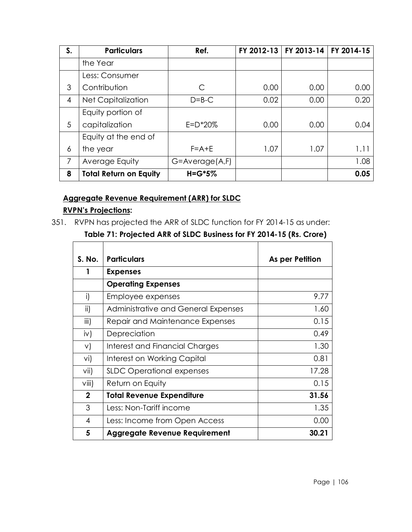| S.             | <b>Particulars</b>            | Ref.                | FY 2012-13 | FY 2013-14 | FY 2014-15 |
|----------------|-------------------------------|---------------------|------------|------------|------------|
|                | the Year                      |                     |            |            |            |
|                | Less: Consumer                |                     |            |            |            |
| 3              | Contribution                  | C                   | 0.00       | 0.00       | 0.00       |
| $\overline{4}$ | <b>Net Capitalization</b>     | $D = B - C$         | 0.02       | 0.00       | 0.20       |
|                | Equity portion of             |                     |            |            |            |
| 5              | capitalization                | $E = D^*20%$        | 0.00       | 0.00       | 0.04       |
|                | Equity at the end of          |                     |            |            |            |
| 6              | the year                      | $F = A + E$         | 1.07       | 1.07       | 1.11       |
| $\overline{7}$ | Average Equity                | $G = Average(A, F)$ |            |            | 1.08       |
| 8              | <b>Total Return on Equity</b> | $H = G*5%$          |            |            | 0.05       |

# **Aggregate Revenue Requirement (ARR) for SLDC**

## **RVPN's Projections:**

351. RVPN has projected the ARR of SLDC function for FY 2014-15 as under:

**Table 71: Projected ARR of SLDC Business for FY 2014-15 (Rs. Crore)**

| <b>S. No.</b> | <b>Particulars</b>                   | As per Petition |
|---------------|--------------------------------------|-----------------|
| 1             | <b>Expenses</b>                      |                 |
|               | <b>Operating Expenses</b>            |                 |
| i)            | Employee expenses                    | 9.77            |
| ii)           | Administrative and General Expenses  | 1.60            |
| iii)          | Repair and Maintenance Expenses      | 0.15            |
| iv)           | Depreciation                         | 0.49            |
| V)            | Interest and Financial Charges       | 1.30            |
| vi)           | Interest on Working Capital          | 0.81            |
| vii)          | <b>SLDC Operational expenses</b>     | 17.28           |
| $\vee$ iii)   | Return on Equity                     | 0.15            |
| $\mathbf{2}$  | <b>Total Revenue Expenditure</b>     | 31.56           |
| 3             | Less: Non-Tariff income              | 1.35            |
| 4             | Less: Income from Open Access        | 0.00            |
| 5             | <b>Aggregate Revenue Requirement</b> | 30.21           |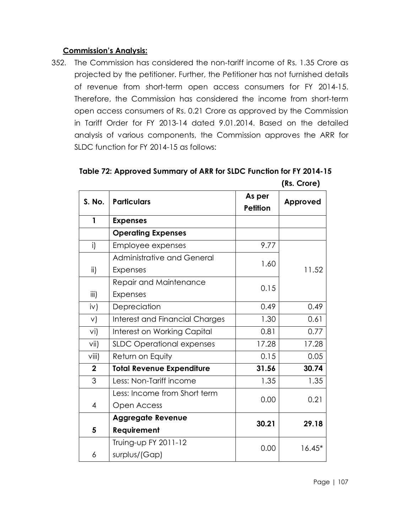## **Commission's Analysis:**

352. The Commission has considered the non-tariff income of Rs. 1.35 Crore as projected by the petitioner. Further, the Petitioner has not furnished details of revenue from short-term open access consumers for FY 2014-15. Therefore, the Commission has considered the income from short-term open access consumers of Rs. 0.21 Crore as approved by the Commission in Tariff Order for FY 2013-14 dated 9.01.2014. Based on the detailed analysis of various components, the Commission approves the ARR for SLDC function for FY 2014-15 as follows:

| S. No.         | <b>Particulars</b>                    | As per<br><b>Petition</b> | Approved |
|----------------|---------------------------------------|---------------------------|----------|
| $\mathbf{1}$   | <b>Expenses</b>                       |                           |          |
|                | <b>Operating Expenses</b>             |                           |          |
| i)             | Employee expenses                     | 9.77                      |          |
|                | Administrative and General            | 1.60                      |          |
| ii)            | <b>Expenses</b>                       |                           | 11.52    |
|                | Repair and Maintenance                | 0.15                      |          |
| iii)           | <b>Expenses</b>                       |                           |          |
| iv)            | Depreciation                          | 0.49                      | 0.49     |
| $\vee$         | <b>Interest and Financial Charges</b> | 1.30                      | 0.61     |
| vi)            | Interest on Working Capital           | 0.81                      | 0.77     |
| vii)           | <b>SLDC Operational expenses</b>      | 17.28                     | 17.28    |
| viii)          | Return on Equity                      | 0.15                      | 0.05     |
| $\overline{2}$ | <b>Total Revenue Expenditure</b>      | 31.56                     | 30.74    |
| 3              | Less: Non-Tariff income               | 1.35                      | 1.35     |
|                | Less: Income from Short term          |                           | 0.21     |
| $\overline{4}$ | Open Access                           | 0.00                      |          |
|                | <b>Aggregate Revenue</b>              | 30.21                     | 29.18    |
| 5              | <b>Requirement</b>                    |                           |          |
|                | Truing-up FY 2011-12                  | 0.00                      | $16.45*$ |
| 6              | surplus/(Gap)                         |                           |          |

**Table 72: Approved Summary of ARR for SLDC Function for FY 2014-15 (Rs. Crore)**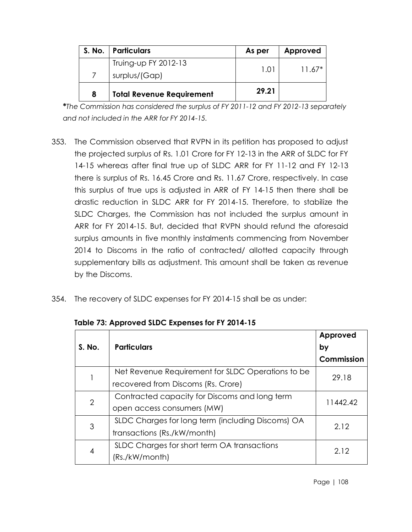| <b>S. No.</b> | <b>Particulars</b>               | As per | Approved |
|---------------|----------------------------------|--------|----------|
|               | Truing-up FY 2012-13             | 1.01   | $11.67*$ |
|               | surplus/(Gap)                    |        |          |
| 8             | <b>Total Revenue Requirement</b> | 29.21  |          |

**\****The Commission has considered the surplus of FY 2011-12 and FY 2012-13 separately and not included in the ARR for FY 2014-15.*

- 353. The Commission observed that RVPN in its petition has proposed to adjust the projected surplus of Rs. 1.01 Crore for FY 12-13 in the ARR of SLDC for FY 14-15 whereas after final true up of SLDC ARR for FY 11-12 and FY 12-13 there is surplus of Rs. 16.45 Crore and Rs. 11.67 Crore, respectively. In case this surplus of true ups is adjusted in ARR of FY 14-15 then there shall be drastic reduction in SLDC ARR for FY 2014-15. Therefore, to stabilize the SLDC Charges, the Commission has not included the surplus amount in ARR for FY 2014-15. But, decided that RVPN should refund the aforesaid surplus amounts in five monthly instalments commencing from November 2014 to Discoms in the ratio of contracted/ allotted capacity through supplementary bills as adjustment. This amount shall be taken as revenue by the Discoms.
- 354. The recovery of SLDC expenses for FY 2014-15 shall be as under:

| S. No. | <b>Particulars</b>                                | Approved<br>by |  |
|--------|---------------------------------------------------|----------------|--|
|        |                                                   | Commission     |  |
|        | Net Revenue Requirement for SLDC Operations to be | 29.18          |  |
|        | recovered from Discoms (Rs. Crore)                |                |  |
| 2      | Contracted capacity for Discoms and long term     | 11442.42       |  |
|        | open access consumers (MW)                        |                |  |
| 3      | SLDC Charges for long term (including Discoms) OA | 2.12           |  |
|        | transactions (Rs./kW/month)                       |                |  |
| 4      | SLDC Charges for short term OA transactions       | 2.12           |  |
|        | (Rs./kW/month)                                    |                |  |

**Table 73: Approved SLDC Expenses for FY 2014-15**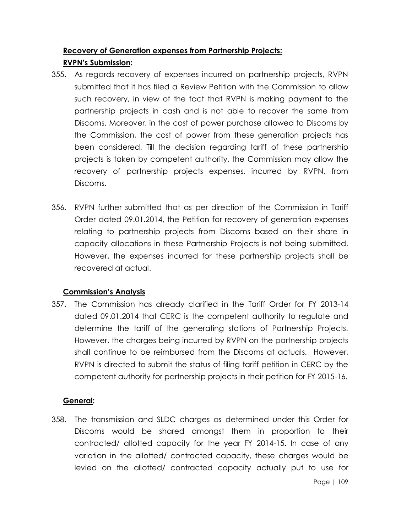# **Recovery of Generation expenses from Partnership Projects: RVPN's Submission:**

- 355. As regards recovery of expenses incurred on partnership projects, RVPN submitted that it has filed a Review Petition with the Commission to allow such recovery, in view of the fact that RVPN is making payment to the partnership projects in cash and is not able to recover the same from Discoms. Moreover, in the cost of power purchase allowed to Discoms by the Commission, the cost of power from these generation projects has been considered. Till the decision regarding tariff of these partnership projects is taken by competent authority, the Commission may allow the recovery of partnership projects expenses, incurred by RVPN, from Discoms.
- 356. RVPN further submitted that as per direction of the Commission in Tariff Order dated 09.01.2014, the Petition for recovery of generation expenses relating to partnership projects from Discoms based on their share in capacity allocations in these Partnership Projects is not being submitted. However, the expenses incurred for these partnership projects shall be recovered at actual.

## **Commission's Analysis**

357. The Commission has already clarified in the Tariff Order for FY 2013-14 dated 09.01.2014 that CERC is the competent authority to regulate and determine the tariff of the generating stations of Partnership Projects. However, the charges being incurred by RVPN on the partnership projects shall continue to be reimbursed from the Discoms at actuals. However, RVPN is directed to submit the status of filing tariff petition in CERC by the competent authority for partnership projects in their petition for FY 2015-16.

## **General:**

358. The transmission and SLDC charges as determined under this Order for Discoms would be shared amongst them in proportion to their contracted/ allotted capacity for the year FY 2014-15. In case of any variation in the allotted/ contracted capacity, these charges would be levied on the allotted/ contracted capacity actually put to use for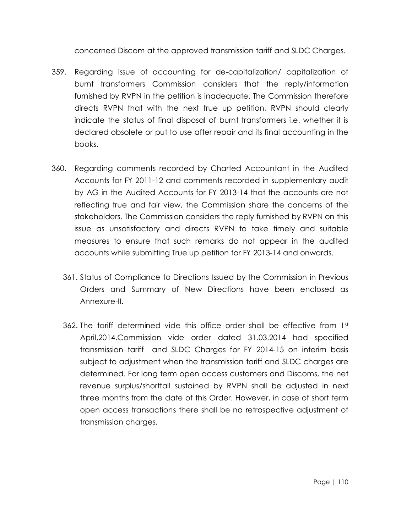concerned Discom at the approved transmission tariff and SLDC Charges.

- 359. Regarding issue of accounting for de-capitalization/ capitalization of burnt transformers Commission considers that the reply/information furnished by RVPN in the petition is inadequate. The Commission therefore directs RVPN that with the next true up petition, RVPN should clearly indicate the status of final disposal of burnt transformers i.e. whether it is declared obsolete or put to use after repair and its final accounting in the books.
- 360. Regarding comments recorded by Charted Accountant in the Audited Accounts for FY 2011-12 and comments recorded in supplementary audit by AG in the Audited Accounts for FY 2013-14 that the accounts are not reflecting true and fair view, the Commission share the concerns of the stakeholders. The Commission considers the reply furnished by RVPN on this issue as unsatisfactory and directs RVPN to take timely and suitable measures to ensure that such remarks do not appear in the audited accounts while submitting True up petition for FY 2013-14 and onwards.
	- 361. Status of Compliance to Directions Issued by the Commission in Previous Orders and Summary of New Directions have been enclosed as Annexure-II.
	- 362. The tariff determined vide this office order shall be effective from  $1<sup>st</sup>$ April,2014.Commission vide order dated 31.03.2014 had specified transmission tariff and SLDC Charges for FY 2014-15 on interim basis subject to adjustment when the transmission tariff and SLDC charges are determined. For long term open access customers and Discoms, the net revenue surplus/shortfall sustained by RVPN shall be adjusted in next three months from the date of this Order. However, in case of short term open access transactions there shall be no retrospective adjustment of transmission charges.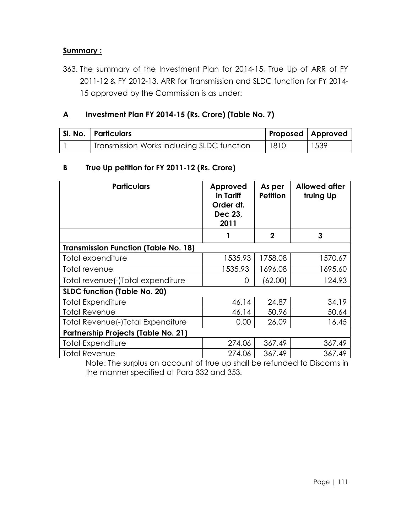### **Summary :**

363. The summary of the Investment Plan for 2014-15, True Up of ARR of FY 2011-12 & FY 2012-13, ARR for Transmission and SLDC function for FY 2014- 15 approved by the Commission is as under:

### **A Investment Plan FY 2014-15 (Rs. Crore) (Table No. 7)**

| SI. No.   Particulars                      |      | Proposed   Approved |
|--------------------------------------------|------|---------------------|
| Transmission Works including SLDC function | 1810 | 1539                |

### **B True Up petition for FY 2011-12 (Rs. Crore)**

| <b>Particulars</b>                          | Approved<br>in Tariff<br>Order dt.<br>Dec 23,<br>2011 | As per<br><b>Petition</b> | <b>Allowed after</b><br>truing Up |
|---------------------------------------------|-------------------------------------------------------|---------------------------|-----------------------------------|
|                                             |                                                       | $\mathbf 2$               | 3                                 |
| <b>Transmission Function (Table No. 18)</b> |                                                       |                           |                                   |
| Total expenditure                           | 1535.93                                               | 1758.08                   | 1570.67                           |
| Total revenue                               | 1535.93                                               | 1696.08                   | 1695.60                           |
| Total revenue(-)Total expenditure           | 0                                                     | (62.00)                   | 124.93                            |
| <b>SLDC function (Table No. 20)</b>         |                                                       |                           |                                   |
| <b>Total Expenditure</b>                    | 46.14                                                 | 24.87                     | 34.19                             |
| <b>Total Revenue</b>                        | 46.14                                                 | 50.96                     | 50.64                             |
| Total Revenue (-)Total Expenditure          | 0.00                                                  | 26.09                     | 16.45                             |
| <b>Partnership Projects (Table No. 21)</b>  |                                                       |                           |                                   |
| <b>Total Expenditure</b>                    | 274.06                                                | 367.49                    | 367.49                            |
| <b>Total Revenue</b>                        | 274.06                                                | 367.49                    | 367.49                            |

Note: The surplus on account of true up shall be refunded to Discoms in the manner specified at Para 332 and 353.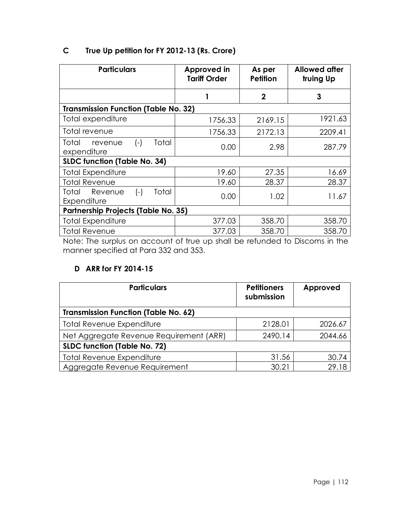| <b>Particulars</b>                                | Approved in<br><b>Tariff Order</b> | As per<br><b>Petition</b> | <b>Allowed after</b><br>truing Up |
|---------------------------------------------------|------------------------------------|---------------------------|-----------------------------------|
|                                                   |                                    | $\mathbf 2$               | 3                                 |
| <b>Transmission Function (Table No. 32)</b>       |                                    |                           |                                   |
| Total expenditure                                 | 1756.33                            | 2169.15                   | 1921.63                           |
| Total revenue                                     | 1756.33                            | 2172.13                   | 2209.41                           |
| Total<br>Total<br>$(-)$<br>revenue<br>expenditure | 0.00                               | 2.98                      | 287.79                            |
| <b>SLDC function (Table No. 34)</b>               |                                    |                           |                                   |
| <b>Total Expenditure</b>                          | 19.60                              | 27.35                     | 16.69                             |
| <b>Total Revenue</b>                              | 19.60                              | 28.37                     | 28.37                             |
| Revenue<br>$(-)$<br>Total<br>Total<br>Expenditure | 0.00                               | 1.02                      | 11.67                             |
| <b>Partnership Projects (Table No. 35)</b>        |                                    |                           |                                   |
| <b>Total Expenditure</b>                          | 377.03                             | 358.70                    | 358.70                            |
| <b>Total Revenue</b>                              | 377.03                             | 358.70                    | 358.70                            |

# **C True Up petition for FY 2012-13 (Rs. Crore)**

Note: The surplus on account of true up shall be refunded to Discoms in the manner specified at Para 332 and 353.

### **D ARR for FY 2014-15**

| <b>Particulars</b>                          | <b>Petitioners</b><br>submission | Approved |
|---------------------------------------------|----------------------------------|----------|
| <b>Transmission Function (Table No. 62)</b> |                                  |          |
| Total Revenue Expenditure                   | 2128.01                          | 2026.67  |
| Net Aggregate Revenue Requirement (ARR)     | 2490.14                          | 2044.66  |
| <b>SLDC function (Table No. 72)</b>         |                                  |          |
| <b>Total Revenue Expenditure</b>            | 31.56                            | 30.74    |
| Aggregate Revenue Requirement               | 30.21                            | 29.18    |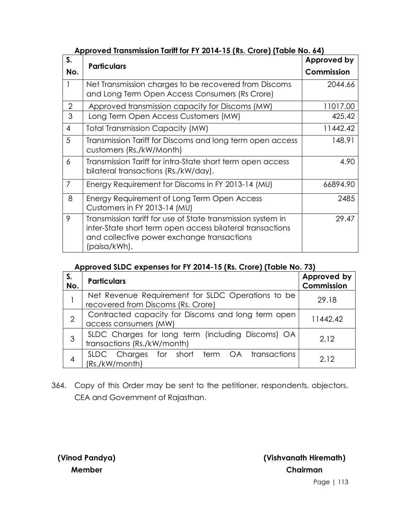| S.             | <b>Particulars</b>                                                                                                                                                                     | <b>Approved by</b> |
|----------------|----------------------------------------------------------------------------------------------------------------------------------------------------------------------------------------|--------------------|
| No.            |                                                                                                                                                                                        | Commission         |
|                | Net Transmission charges to be recovered from Discoms<br>and Long Term Open Access Consumers (Rs Crore)                                                                                | 2044.66            |
| $\overline{2}$ | Approved transmission capacity for Discoms (MW)                                                                                                                                        | 11017.00           |
| 3              | Long Term Open Access Customers (MW)                                                                                                                                                   | 425.42             |
| $\overline{4}$ | <b>Total Transmission Capacity (MW)</b>                                                                                                                                                | 11442.42           |
| 5              | Transmission Tariff for Discoms and long term open access<br>customers (Rs./kW/Month)                                                                                                  | 148.91             |
| 6              | Transmission Tariff for intra-State short term open access<br>bilateral transactions (Rs./kW/day).                                                                                     | 4.90               |
| $\overline{7}$ | Energy Requirement for Discoms in FY 2013-14 (MU)                                                                                                                                      | 66894.90           |
| 8              | Energy Requirement of Long Term Open Access<br>Customers in FY 2013-14 (MU)                                                                                                            | 2485               |
| 9              | Transmission tariff for use of State transmission system in<br>inter-State short term open access bilateral transactions<br>and collective power exchange transactions<br>(paisa/kWh). | 29.47              |

#### **Approved Transmission Tariff for FY 2014-15 (Rs. Crore) (Table No. 64)**

#### **Approved SLDC expenses for FY 2014-15 (Rs. Crore) (Table No. 73)**

| S.<br>No.      | <b>Particulars</b>                                                                      | Approved by<br>Commission |
|----------------|-----------------------------------------------------------------------------------------|---------------------------|
|                | Net Revenue Requirement for SLDC Operations to be<br>recovered from Discoms (Rs. Crore) | 29.18                     |
| $\overline{2}$ | Contracted capacity for Discoms and long term open<br>access consumers (MW)             | 11442.42                  |
| 3              | SLDC Charges for long term (including Discoms) OA<br>transactions (Rs./kW/month)        | 2.12                      |
| 4              | SLDC Charges<br>for short term OA transactions<br>(Rs./kW/month)                        | 2.12                      |

364. Copy of this Order may be sent to the petitioner, respondents, objectors, CEA and Government of Rajasthan.

**(Vinod Pandya) Member**

**(Vishvanath Hiremath) Chairman**

Page | 113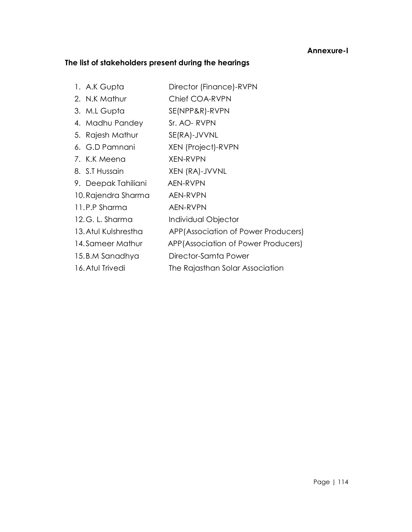#### **Annexure-I**

#### **The list of stakeholders present during the hearings**

1. A.K Gupta **Director (Finance)-RVPN** 2. N.K Mathur Chief COA-RVPN 3. M.L Gupta SE(NPP&R)-RVPN 4. Madhu Pandey Sr. AO- RVPN 5. Rajesh Mathur SE(RA)-JVVNL 6. G.D Pamnani XEN (Project)-RVPN 7. K.K Meena XEN-RVPN 8. S.T Hussain XEN (RA)-JVVNL 9. Deepak Tahiliani AEN-RVPN 10.Rajendra Sharma AEN-RVPN 11.P.P Sharma AEN-RVPN 12.G. L. Sharma Individual Objector 13.Atul Kulshrestha APP(Association of Power Producers) 14.Sameer Mathur APP(Association of Power Producers) 15.B.M Sanadhya Director-Samta Power 16. Atul Trivedi The Rajasthan Solar Association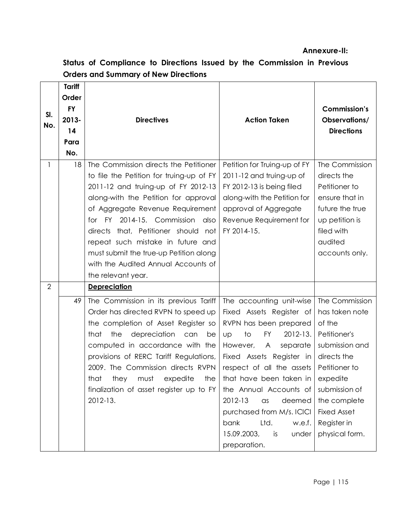#### **Annexure-II:**

| SI.<br>No.     | <b>Tariff</b><br>Order<br><b>FY</b><br>2013-<br>14<br>Para<br>No. | <b>Directives</b>                                                                                                                                                                                                                                                                                                                                                                                                             | <b>Action Taken</b>                                                                                                                                                                                                                                                                                                                                                                                 | <b>Commission's</b><br>Observations/<br><b>Directions</b>                                                                                                                                                        |
|----------------|-------------------------------------------------------------------|-------------------------------------------------------------------------------------------------------------------------------------------------------------------------------------------------------------------------------------------------------------------------------------------------------------------------------------------------------------------------------------------------------------------------------|-----------------------------------------------------------------------------------------------------------------------------------------------------------------------------------------------------------------------------------------------------------------------------------------------------------------------------------------------------------------------------------------------------|------------------------------------------------------------------------------------------------------------------------------------------------------------------------------------------------------------------|
| 1              | 18                                                                | The Commission directs the Petitioner<br>to file the Petition for truing-up of FY<br>2011-12 and truing-up of FY 2012-13<br>along-with the Petition for approval<br>of Aggregate Revenue Requirement<br>for FY 2014-15. Commission<br>also<br>directs that, Petitioner should not<br>repeat such mistake in future and<br>must submit the true-up Petition along<br>with the Audited Annual Accounts of<br>the relevant year. | Petition for Truing-up of FY<br>2011-12 and truing-up of<br>FY 2012-13 is being filed<br>along-with the Petition for<br>approval of Aggregate<br>Revenue Requirement for<br>FY 2014-15.                                                                                                                                                                                                             | The Commission<br>directs the<br>Petitioner to<br>ensure that in<br>future the true<br>up petition is<br>filed with<br>audited<br>accounts only.                                                                 |
| $\overline{2}$ |                                                                   | <b>Depreciation</b>                                                                                                                                                                                                                                                                                                                                                                                                           |                                                                                                                                                                                                                                                                                                                                                                                                     |                                                                                                                                                                                                                  |
|                | 49                                                                | The Commission in its previous Tariff<br>Order has directed RVPN to speed up<br>the completion of Asset Register so<br>the<br>depreciation<br>that<br>can<br>be<br>computed in accordance with the<br>provisions of RERC Tariff Regulations,<br>2009. The Commission directs RVPN<br>that they must expedite the<br>finalization of asset register up to FY<br>2012-13.                                                       | The accounting unit-wise<br>Fixed Assets Register of<br>RVPN has been prepared<br>to<br><b>FY</b><br>2012-13.<br>UD<br>However, A<br>separate<br>Fixed Assets Register in<br>respect of all the assets<br>that have been taken in<br>the Annual Accounts of<br>2012-13<br>deemed<br>$\alpha$ s<br>purchased from M/s. ICICI<br>Ltd.<br>bank<br>w.e.f.<br>15.09.2003,<br>is<br>under<br>preparation. | The Commission<br>has taken note<br>of the<br>Petitioner's<br>submission and<br>directs the<br>Petitioner to<br>expedite<br>submission of<br>the complete<br><b>Fixed Asset</b><br>Register in<br>physical form. |

# **Status of Compliance to Directions Issued by the Commission in Previous Orders and Summary of New Directions**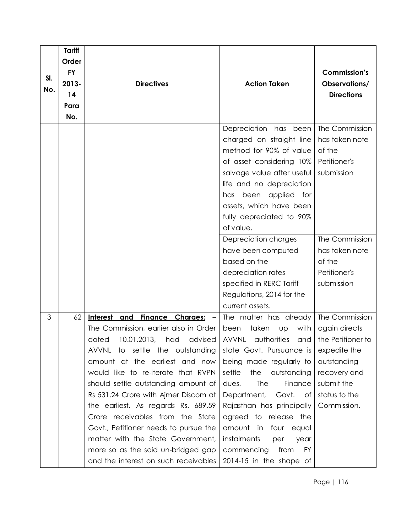|     | Tariff    |                                        |                                    |                     |
|-----|-----------|----------------------------------------|------------------------------------|---------------------|
|     | Order     |                                        |                                    |                     |
|     | <b>FY</b> |                                        |                                    | <b>Commission's</b> |
| SI. | 2013-     | <b>Directives</b>                      | <b>Action Taken</b>                | Observations/       |
| No. | 14        |                                        |                                    | <b>Directions</b>   |
|     | Para      |                                        |                                    |                     |
|     | No.       |                                        |                                    |                     |
|     |           |                                        | Depreciation has<br>been           | The Commission      |
|     |           |                                        | charged on straight line           | has taken note      |
|     |           |                                        | method for 90% of value            | of the              |
|     |           |                                        | of asset considering 10%           | Petitioner's        |
|     |           |                                        | salvage value after useful         | submission          |
|     |           |                                        | life and no depreciation           |                     |
|     |           |                                        | applied for<br>been<br>has         |                     |
|     |           |                                        | assets, which have been            |                     |
|     |           |                                        | fully depreciated to 90%           |                     |
|     |           |                                        | of value.                          |                     |
|     |           |                                        | Depreciation charges               | The Commission      |
|     |           |                                        | have been computed                 | has taken note      |
|     |           |                                        | based on the                       | of the              |
|     |           |                                        | depreciation rates                 | Petitioner's        |
|     |           |                                        | specified in RERC Tariff           | submission          |
|     |           |                                        | Regulations, 2014 for the          |                     |
|     |           |                                        | current assets.                    |                     |
| 3   | 62        | Finance Charges: -<br>Interest and     | The matter has already             | The Commission      |
|     |           | The Commission, earlier also in Order  | taken<br>with<br>been<br><b>UD</b> | again directs       |
|     |           | dated<br>10.01.2013,<br>had<br>advised | authorities<br>AVVNL<br>and        | the Petitioner to   |
|     |           | AVVNL to settle the outstanding        | state Govt. Pursuance is           | expedite the        |
|     |           | amount at the earliest and now         | being made regularly to            | outstanding         |
|     |           | would like to re-iterate that RVPN     | settle<br>the<br>outstanding       | recovery and        |
|     |           | should settle outstanding amount of    | <b>The</b><br>Finance<br>dues.     | submit the          |
|     |           | Rs 531.24 Crore with Ajmer Discom at   | Department,<br>Govt.<br>of         | status to the       |
|     |           | the earliest. As regards Rs. 689.59    | Rajasthan has principally          | Commission.         |
|     |           | Crore receivables from the State       | agreed to release the              |                     |
|     |           | Govt., Petitioner needs to pursue the  | amount in four equal               |                     |
|     |           | matter with the State Government,      | instalments<br>per<br>year         |                     |
|     |           | more so as the said un-bridged gap     | commencing<br>from<br>FY.          |                     |
|     |           | and the interest on such receivables   | 2014-15 in the shape of            |                     |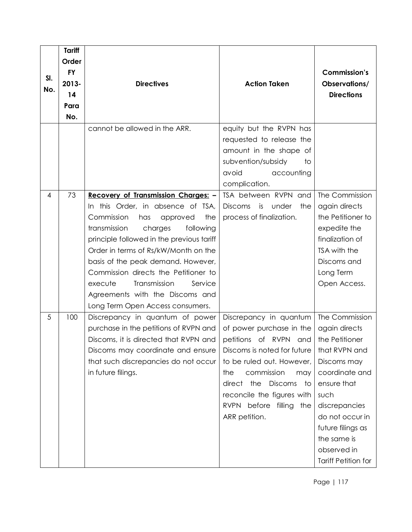|     | <b>Tariff</b> |                                           |                                                                           |                            |
|-----|---------------|-------------------------------------------|---------------------------------------------------------------------------|----------------------------|
|     | Order         |                                           |                                                                           |                            |
| SI. | <b>FY</b>     |                                           |                                                                           | <b>Commission's</b>        |
| No. | 2013-         | <b>Directives</b>                         | <b>Action Taken</b>                                                       | Observations/              |
|     | 14            |                                           |                                                                           | <b>Directions</b>          |
|     | Para          |                                           |                                                                           |                            |
|     | No.           |                                           |                                                                           |                            |
|     |               | cannot be allowed in the ARR.             | equity but the RVPN has<br>requested to release the                       |                            |
|     |               |                                           | amount in the shape of<br>subvention/subsidy<br>to<br>avoid<br>accounting |                            |
|     |               |                                           | complication.                                                             |                            |
| 4   | 73            | Recovery of Transmission Charges: -       | TSA between RVPN and                                                      | The Commission             |
|     |               | In this Order, in absence of TSA,         | is<br>under<br><b>Discoms</b><br>the                                      | again directs              |
|     |               | Commission<br>the<br>approved<br>has      | process of finalization.                                                  | the Petitioner to          |
|     |               | transmission<br>charges<br>following      |                                                                           | expedite the               |
|     |               | principle followed in the previous tariff |                                                                           | finalization of            |
|     |               | Order in terms of Rs/kW/Month on the      |                                                                           | TSA with the               |
|     |               | basis of the peak demand. However,        |                                                                           | Discoms and                |
|     |               | Commission directs the Petitioner to      |                                                                           | Long Term                  |
|     |               | Transmission<br>execute<br>Service        |                                                                           | Open Access.               |
|     |               | Agreements with the Discoms and           |                                                                           |                            |
|     |               | Long Term Open Access consumers.          |                                                                           |                            |
| 5   | 100           | Discrepancy in quantum of power           | Discrepancy in quantum                                                    | The Commission             |
|     |               | purchase in the petitions of RVPN and     | of power purchase in the                                                  | again directs              |
|     |               | Discoms, it is directed that RVPN and     | petitions of RVPN and                                                     | the Petitioner             |
|     |               | Discoms may coordinate and ensure         | Discoms is noted for future                                               | that RVPN and              |
|     |               | that such discrepancies do not occur      | to be ruled out. However,                                                 | Discoms may                |
|     |               | in future filings.                        | commission<br>the<br>may                                                  | coordinate and             |
|     |               |                                           | direct the Discoms<br>to                                                  | ensure that                |
|     |               |                                           | reconcile the figures with                                                | such                       |
|     |               |                                           | RVPN before filling the                                                   | discrepancies              |
|     |               |                                           | ARR petition.                                                             | do not occur in            |
|     |               |                                           |                                                                           | future filings as          |
|     |               |                                           |                                                                           | the same is                |
|     |               |                                           |                                                                           | observed in                |
|     |               |                                           |                                                                           | <b>Tariff Petition for</b> |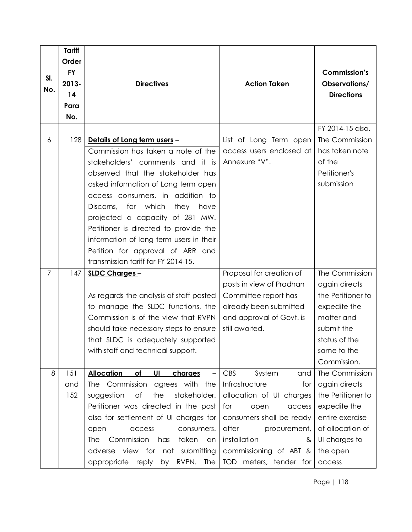|                | <b>Tariff</b> |                                                               |                             |                     |
|----------------|---------------|---------------------------------------------------------------|-----------------------------|---------------------|
|                | Order         |                                                               |                             |                     |
|                | <b>FY</b>     |                                                               |                             | <b>Commission's</b> |
| SI.            | 2013-         | <b>Directives</b>                                             | <b>Action Taken</b>         | Observations/       |
| No.            | 14            |                                                               |                             | <b>Directions</b>   |
|                | Para          |                                                               |                             |                     |
|                | No.           |                                                               |                             |                     |
|                |               |                                                               |                             | FY 2014-15 also.    |
| 6              | 128           | Details of Long term users -                                  | List of Long Term open      | The Commission      |
|                |               | Commission has taken a note of the                            | access users enclosed at    | has taken note      |
|                |               | stakeholders' comments and it is                              | Annexure "V".               | of the              |
|                |               | observed that the stakeholder has                             |                             | Petitioner's        |
|                |               | asked information of Long term open                           |                             | submission          |
|                |               | access consumers, in addition to                              |                             |                     |
|                |               | for which<br>Discoms,<br>they<br>have                         |                             |                     |
|                |               | projected a capacity of 281 MW.                               |                             |                     |
|                |               | Petitioner is directed to provide the                         |                             |                     |
|                |               | information of long term users in their                       |                             |                     |
|                |               | Petition for approval of ARR and                              |                             |                     |
|                |               | transmission tariff for FY 2014-15.                           |                             |                     |
| $\overline{7}$ | 147           | SLDC Charges-                                                 | Proposal for creation of    | The Commission      |
|                |               |                                                               | posts in view of Pradhan    | again directs       |
|                |               | As regards the analysis of staff posted                       | Committee report has        | the Petitioner to   |
|                |               | to manage the SLDC functions, the                             | already been submitted      | expedite the        |
|                |               | Commission is of the view that RVPN                           | and approval of Govt. is    | matter and          |
|                |               | should take necessary steps to ensure                         | still awaited.              | submit the          |
|                |               | that SLDC is adequately supported                             |                             | status of the       |
|                |               | with staff and technical support.                             |                             | same to the         |
|                |               |                                                               |                             | Commission.         |
| 8              | 151           | <b>Allocation</b><br>of<br>UI<br>charges<br>$\qquad \qquad -$ | <b>CBS</b><br>System<br>and | The Commission      |
|                | and           | The Commission<br>agrees with the                             | Infrastructure<br>for       | again directs       |
|                | 152           | the<br>stakeholder.<br>suggestion<br>Οf                       | allocation of UI charges    | the Petitioner to   |
|                |               | Petitioner was directed in the past                           | for<br>open<br>access       | expedite the        |
|                |               | also for settlement of UI charges for                         | consumers shall be ready    | entire exercise     |
|                |               | open<br>access<br>consumers.                                  | after<br>procurement,       | of allocation of    |
|                |               | Commission<br>has<br>taken<br>The<br>an                       | installation<br>&           | UI charges to       |
|                |               | adverse view for not submitting                               | commissioning of ABT &      | the open            |
|                |               | by RVPN. The<br>appropriate reply                             | TOD meters, tender for      | access              |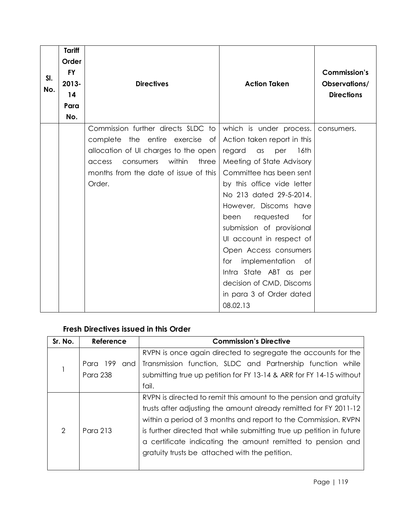| SI.<br>No. | <b>Tariff</b><br>Order<br><b>FY</b><br>$2013 -$<br>14<br>Para<br>No. | <b>Directives</b>                                                                                                                                                                                          | <b>Action Taken</b>                                                                                                                                                                                                                                                                                                                                                                                                                                                                | <b>Commission's</b><br>Observations/<br><b>Directions</b> |
|------------|----------------------------------------------------------------------|------------------------------------------------------------------------------------------------------------------------------------------------------------------------------------------------------------|------------------------------------------------------------------------------------------------------------------------------------------------------------------------------------------------------------------------------------------------------------------------------------------------------------------------------------------------------------------------------------------------------------------------------------------------------------------------------------|-----------------------------------------------------------|
|            |                                                                      | Commission further directs SLDC to<br>complete the entire exercise of<br>allocation of UI charges to the open<br>within<br>three<br>consumers<br>access<br>months from the date of issue of this<br>Order. | which is under process.<br>Action taken report in this<br>regard<br>$\alpha$ s<br>per<br>16th<br>Meeting of State Advisory<br>Committee has been sent<br>by this office vide letter<br>No 213 dated 29-5-2014.<br>However, Discoms have<br>requested<br>for<br>been<br>submission of provisional<br>Ul account in respect of<br>Open Access consumers<br>implementation<br>for<br>0f<br>Intra State ABT as per<br>decision of CMD, Discoms<br>in para 3 of Order dated<br>08.02.13 | consumers.                                                |

# **Fresh Directives issued in this Order**

| Sr. No. | Reference       | <b>Commission's Directive</b>                                        |  |  |
|---------|-----------------|----------------------------------------------------------------------|--|--|
|         |                 | RVPN is once again directed to segregate the accounts for the        |  |  |
|         | Para 199<br>and | Transmission function, SLDC and Partnership function while           |  |  |
|         | Para 238        | submitting true up petition for FY 13-14 & ARR for FY 14-15 without  |  |  |
|         |                 | fail.                                                                |  |  |
|         |                 | RVPN is directed to remit this amount to the pension and gratuity    |  |  |
|         |                 | trusts after adjusting the amount already remitted for FY 2011-12    |  |  |
|         |                 | within a period of 3 months and report to the Commission. RVPN       |  |  |
| 2       | Para 213        | is further directed that while submitting true up petition in future |  |  |
|         |                 | a certificate indicating the amount remitted to pension and          |  |  |
|         |                 | gratuity trusts be attached with the petition.                       |  |  |
|         |                 |                                                                      |  |  |